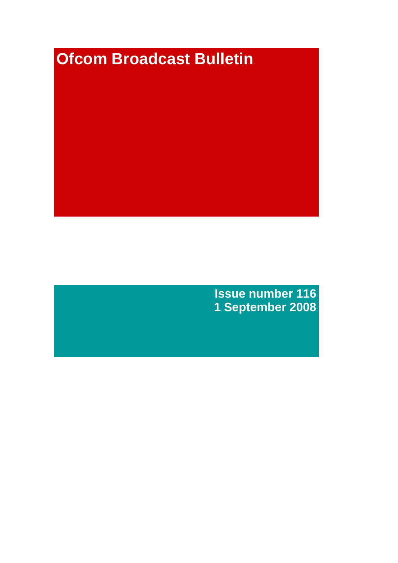# **Ofcom Broadcast Bulletin**

**Issue number 116 1 September 2008**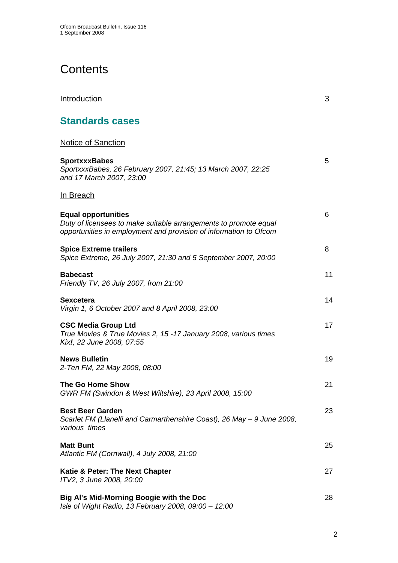# **Contents**

| Introduction                                                                                                                                                        | 3  |
|---------------------------------------------------------------------------------------------------------------------------------------------------------------------|----|
| <b>Standards cases</b>                                                                                                                                              |    |
| <b>Notice of Sanction</b>                                                                                                                                           |    |
| <b>SportxxxBabes</b><br>SportxxxBabes, 26 February 2007, 21:45; 13 March 2007, 22:25<br>and 17 March 2007, 23:00                                                    | 5  |
| <u>In Breach</u>                                                                                                                                                    |    |
| <b>Equal opportunities</b><br>Duty of licensees to make suitable arrangements to promote equal<br>opportunities in employment and provision of information to Ofcom | 6  |
| <b>Spice Extreme trailers</b><br>Spice Extreme, 26 July 2007, 21:30 and 5 September 2007, 20:00                                                                     | 8  |
| <b>Babecast</b><br>Friendly TV, 26 July 2007, from 21:00                                                                                                            | 11 |
| Sexcetera<br>Virgin 1, 6 October 2007 and 8 April 2008, 23:00                                                                                                       | 14 |
| <b>CSC Media Group Ltd</b><br>True Movies & True Movies 2, 15 -17 January 2008, various times<br>Kix!, 22 June 2008, 07:55                                          | 17 |
| <b>News Bulletin</b><br>2-Ten FM, 22 May 2008, 08:00                                                                                                                | 19 |
| The Go Home Show<br>GWR FM (Swindon & West Wiltshire), 23 April 2008, 15:00                                                                                         | 21 |
| <b>Best Beer Garden</b><br>Scarlet FM (Llanelli and Carmarthenshire Coast), 26 May - 9 June 2008,<br>various times                                                  | 23 |
| <b>Matt Bunt</b><br>Atlantic FM (Cornwall), 4 July 2008, 21:00                                                                                                      | 25 |
| Katie & Peter: The Next Chapter<br>ITV2, 3 June 2008, 20:00                                                                                                         | 27 |
| Big Al's Mid-Morning Boogie with the Doc<br>Isle of Wight Radio, 13 February 2008, 09:00 - 12:00                                                                    | 28 |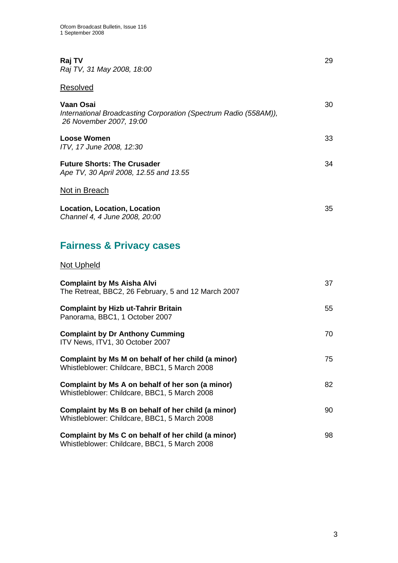| Raj TV<br>Raj TV, 31 May 2008, 18:00                                                                     | 29 |
|----------------------------------------------------------------------------------------------------------|----|
| Resolved                                                                                                 |    |
| Vaan Osai<br>International Broadcasting Corporation (Spectrum Radio (558AM)),<br>26 November 2007, 19:00 | 30 |
| <b>Loose Women</b><br>ITV, 17 June 2008, 12:30                                                           | 33 |
| <b>Future Shorts: The Crusader</b><br>Ape TV, 30 April 2008, 12.55 and 13.55                             | 34 |
| Not in Breach                                                                                            |    |
| <b>Location, Location, Location</b><br>Channel 4, 4 June 2008, 20:00                                     | 35 |

# **Fairness & Privacy cases**

## Not Upheld

| <b>Complaint by Ms Aisha Alvi</b><br>The Retreat, BBC2, 26 February, 5 and 12 March 2007           | 37 |
|----------------------------------------------------------------------------------------------------|----|
| <b>Complaint by Hizb ut-Tahrir Britain</b><br>Panorama, BBC1, 1 October 2007                       | 55 |
| <b>Complaint by Dr Anthony Cumming</b><br>ITV News, ITV1, 30 October 2007                          | 70 |
| Complaint by Ms M on behalf of her child (a minor)<br>Whistleblower: Childcare, BBC1, 5 March 2008 | 75 |
| Complaint by Ms A on behalf of her son (a minor)<br>Whistleblower: Childcare, BBC1, 5 March 2008   | 82 |
| Complaint by Ms B on behalf of her child (a minor)<br>Whistleblower: Childcare, BBC1, 5 March 2008 | 90 |
| Complaint by Ms C on behalf of her child (a minor)<br>Whistleblower: Childcare, BBC1, 5 March 2008 | 98 |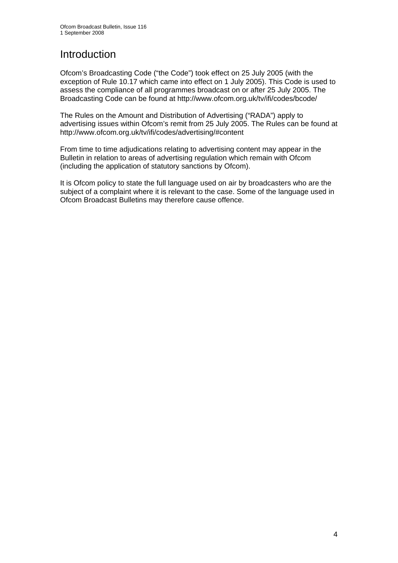# Introduction

Ofcom's Broadcasting Code ("the Code") took effect on 25 July 2005 (with the exception of Rule 10.17 which came into effect on 1 July 2005). This Code is used to assess the compliance of all programmes broadcast on or after 25 July 2005. The Broadcasting Code can be found at http://www.ofcom.org.uk/tv/ifi/codes/bcode/

The Rules on the Amount and Distribution of Advertising ("RADA") apply to advertising issues within Ofcom's remit from 25 July 2005. The Rules can be found at http://www.ofcom.org.uk/tv/ifi/codes/advertising/#content

From time to time adjudications relating to advertising content may appear in the Bulletin in relation to areas of advertising regulation which remain with Ofcom (including the application of statutory sanctions by Ofcom).

It is Ofcom policy to state the full language used on air by broadcasters who are the subject of a complaint where it is relevant to the case. Some of the language used in Ofcom Broadcast Bulletins may therefore cause offence.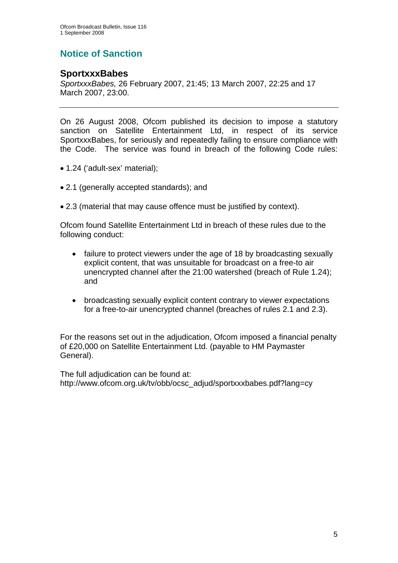# **Notice of Sanction**

## **SportxxxBabes**

*SportxxxBabes,* 26 February 2007, 21:45; 13 March 2007, 22:25 and 17 March 2007, 23:00.

On 26 August 2008, Ofcom published its decision to impose a statutory sanction on Satellite Entertainment Ltd, in respect of its service SportxxxBabes, for seriously and repeatedly failing to ensure compliance with the Code. The service was found in breach of the following Code rules:

- 1.24 ('adult-sex' material);
- 2.1 (generally accepted standards); and
- 2.3 (material that may cause offence must be justified by context).

Ofcom found Satellite Entertainment Ltd in breach of these rules due to the following conduct:

- failure to protect viewers under the age of 18 by broadcasting sexually explicit content, that was unsuitable for broadcast on a free-to air unencrypted channel after the 21:00 watershed (breach of Rule 1.24); and
- broadcasting sexually explicit content contrary to viewer expectations for a free-to-air unencrypted channel (breaches of rules 2.1 and 2.3).

For the reasons set out in the adjudication, Ofcom imposed a financial penalty of £20,000 on Satellite Entertainment Ltd. (payable to HM Paymaster General).

The full adjudication can be found at: http://www.ofcom.org.uk/tv/obb/ocsc\_adjud/sportxxxbabes.pdf?lang=cy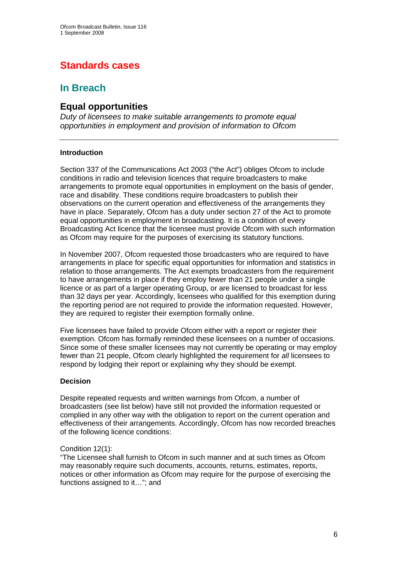# **Standards cases**

## **In Breach**

## **Equal opportunities**

*Duty of licensees to make suitable arrangements to promote equal opportunities in employment and provision of information to Ofcom* 

## **Introduction**

Section 337 of the Communications Act 2003 ("the Act") obliges Ofcom to include conditions in radio and television licences that require broadcasters to make arrangements to promote equal opportunities in employment on the basis of gender, race and disability. These conditions require broadcasters to publish their observations on the current operation and effectiveness of the arrangements they have in place. Separately, Ofcom has a duty under section 27 of the Act to promote equal opportunities in employment in broadcasting. It is a condition of every Broadcasting Act licence that the licensee must provide Ofcom with such information as Ofcom may require for the purposes of exercising its statutory functions.

In November 2007, Ofcom requested those broadcasters who are required to have arrangements in place for specific equal opportunities for information and statistics in relation to those arrangements. The Act exempts broadcasters from the requirement to have arrangements in place if they employ fewer than 21 people under a single licence or as part of a larger operating Group, or are licensed to broadcast for less than 32 days per year. Accordingly, licensees who qualified for this exemption during the reporting period are not required to provide the information requested. However, they are required to register their exemption formally online.

Five licensees have failed to provide Ofcom either with a report or register their exemption. Ofcom has formally reminded these licensees on a number of occasions. Since some of these smaller licensees may not currently be operating or may employ fewer than 21 people, Ofcom clearly highlighted the requirement for *all* licensees to respond by lodging their report or explaining why they should be exempt.

## **Decision**

Despite repeated requests and written warnings from Ofcom, a number of broadcasters (see list below) have still not provided the information requested or complied in any other way with the obligation to report on the current operation and effectiveness of their arrangements. Accordingly, Ofcom has now recorded breaches of the following licence conditions:

## Condition 12(1):

"The Licensee shall furnish to Ofcom in such manner and at such times as Ofcom may reasonably require such documents, accounts, returns, estimates, reports, notices or other information as Ofcom may require for the purpose of exercising the functions assigned to it…"; and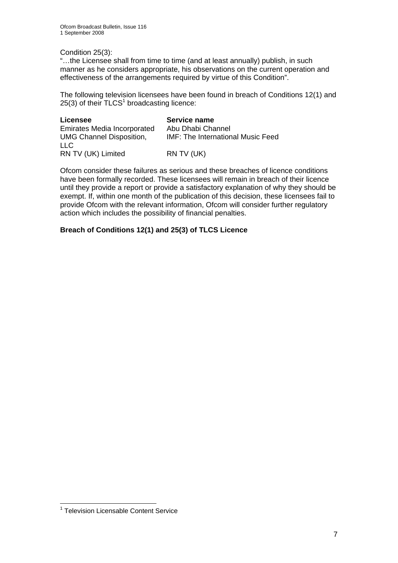## Condition 25(3):

"…the Licensee shall from time to time (and at least annually) publish, in such manner as he considers appropriate, his observations on the current operation and effectiveness of the arrangements required by virtue of this Condition".

The following television licensees have been found in breach of Conditions 12(1) and  $25(3)$  of their  $TLCS<sup>1</sup>$  broadcasting licence:

| Licensee                           | Service name                             |
|------------------------------------|------------------------------------------|
| <b>Emirates Media Incorporated</b> | Abu Dhabi Channel                        |
| <b>UMG Channel Disposition,</b>    | <b>IMF: The International Music Feed</b> |
| LLC.                               |                                          |
| RN TV (UK) Limited                 | RN TV (UK)                               |

Ofcom consider these failures as serious and these breaches of licence conditions have been formally recorded. These licensees will remain in breach of their licence until they provide a report or provide a satisfactory explanation of why they should be exempt. If, within one month of the publication of this decision, these licensees fail to provide Ofcom with the relevant information, Ofcom will consider further regulatory action which includes the possibility of financial penalties.

## **Breach of Conditions 12(1) and 25(3) of TLCS Licence**

 1 Television Licensable Content Service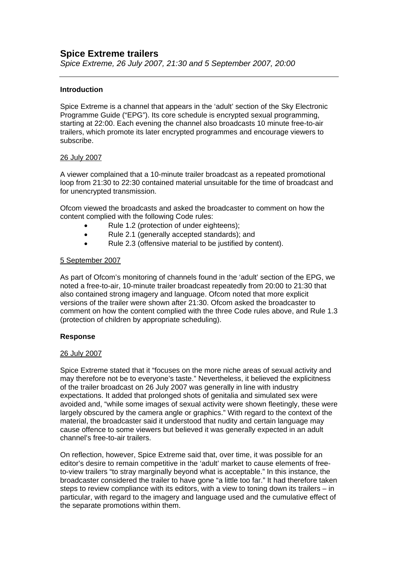## **Spice Extreme trailers**

*Spice Extreme, 26 July 2007, 21:30 and 5 September 2007, 20:00* 

## **Introduction**

Spice Extreme is a channel that appears in the 'adult' section of the Sky Electronic Programme Guide ("EPG"). Its core schedule is encrypted sexual programming, starting at 22:00. Each evening the channel also broadcasts 10 minute free-to-air trailers, which promote its later encrypted programmes and encourage viewers to subscribe.

## 26 July 2007

A viewer complained that a 10-minute trailer broadcast as a repeated promotional loop from 21:30 to 22:30 contained material unsuitable for the time of broadcast and for unencrypted transmission.

Ofcom viewed the broadcasts and asked the broadcaster to comment on how the content complied with the following Code rules:

- Rule 1.2 (protection of under eighteens);
- Rule 2.1 (generally accepted standards); and
- Rule 2.3 (offensive material to be justified by content).

## 5 September 2007

As part of Ofcom's monitoring of channels found in the 'adult' section of the EPG, we noted a free-to-air, 10-minute trailer broadcast repeatedly from 20:00 to 21:30 that also contained strong imagery and language. Ofcom noted that more explicit versions of the trailer were shown after 21:30. Ofcom asked the broadcaster to comment on how the content complied with the three Code rules above, and Rule 1.3 (protection of children by appropriate scheduling).

## **Response**

## 26 July 2007

Spice Extreme stated that it "focuses on the more niche areas of sexual activity and may therefore not be to everyone's taste." Nevertheless, it believed the explicitness of the trailer broadcast on 26 July 2007 was generally in line with industry expectations. It added that prolonged shots of genitalia and simulated sex were avoided and, "while some images of sexual activity were shown fleetingly, these were largely obscured by the camera angle or graphics." With regard to the context of the material, the broadcaster said it understood that nudity and certain language may cause offence to some viewers but believed it was generally expected in an adult channel's free-to-air trailers.

On reflection, however, Spice Extreme said that, over time, it was possible for an editor's desire to remain competitive in the 'adult' market to cause elements of freeto-view trailers "to stray marginally beyond what is acceptable." In this instance, the broadcaster considered the trailer to have gone "a little too far." It had therefore taken steps to review compliance with its editors, with a view to toning down its trailers – in particular, with regard to the imagery and language used and the cumulative effect of the separate promotions within them.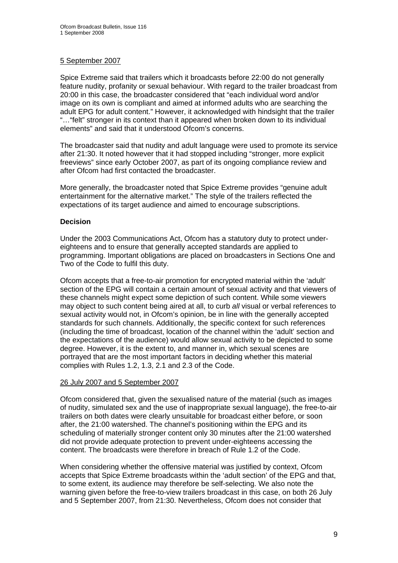## 5 September 2007

Spice Extreme said that trailers which it broadcasts before 22:00 do not generally feature nudity, profanity or sexual behaviour. With regard to the trailer broadcast from 20:00 in this case, the broadcaster considered that "each individual word and/or image on its own is compliant and aimed at informed adults who are searching the adult EPG for adult content." However, it acknowledged with hindsight that the trailer "…"felt" stronger in its context than it appeared when broken down to its individual elements" and said that it understood Ofcom's concerns.

The broadcaster said that nudity and adult language were used to promote its service after 21:30. It noted however that it had stopped including "stronger, more explicit freeviews" since early October 2007, as part of its ongoing compliance review and after Ofcom had first contacted the broadcaster.

More generally, the broadcaster noted that Spice Extreme provides "genuine adult entertainment for the alternative market." The style of the trailers reflected the expectations of its target audience and aimed to encourage subscriptions.

## **Decision**

Under the 2003 Communications Act, Ofcom has a statutory duty to protect undereighteens and to ensure that generally accepted standards are applied to programming. Important obligations are placed on broadcasters in Sections One and Two of the Code to fulfil this duty.

Ofcom accepts that a free-to-air promotion for encrypted material within the 'adult' section of the EPG will contain a certain amount of sexual activity and that viewers of these channels might expect some depiction of such content. While some viewers may object to such content being aired at all, to curb *all* visual or verbal references to sexual activity would not, in Ofcom's opinion, be in line with the generally accepted standards for such channels. Additionally, the specific context for such references (including the time of broadcast, location of the channel within the 'adult' section and the expectations of the audience) would allow sexual activity to be depicted to some degree. However, it is the extent to, and manner in, which sexual scenes are portrayed that are the most important factors in deciding whether this material complies with Rules 1.2, 1.3, 2.1 and 2.3 of the Code.

## 26 July 2007 and 5 September 2007

Ofcom considered that, given the sexualised nature of the material (such as images of nudity, simulated sex and the use of inappropriate sexual language), the free-to-air trailers on both dates were clearly unsuitable for broadcast either before, or soon after, the 21:00 watershed. The channel's positioning within the EPG and its scheduling of materially stronger content only 30 minutes after the 21:00 watershed did not provide adequate protection to prevent under-eighteens accessing the content. The broadcasts were therefore in breach of Rule 1.2 of the Code.

When considering whether the offensive material was justified by context, Ofcom accepts that Spice Extreme broadcasts within the 'adult section' of the EPG and that, to some extent, its audience may therefore be self-selecting. We also note the warning given before the free-to-view trailers broadcast in this case, on both 26 July and 5 September 2007, from 21:30. Nevertheless, Ofcom does not consider that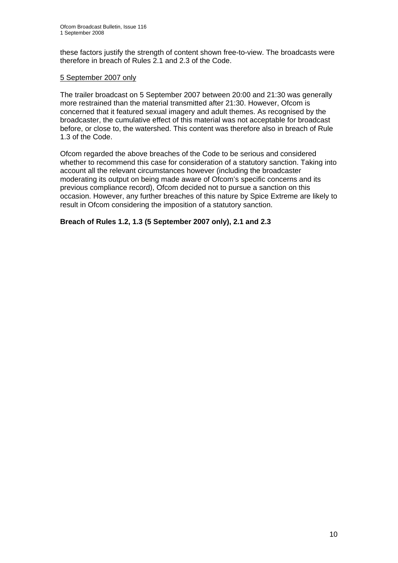these factors justify the strength of content shown free-to-view. The broadcasts were therefore in breach of Rules 2.1 and 2.3 of the Code.

## 5 September 2007 only

The trailer broadcast on 5 September 2007 between 20:00 and 21:30 was generally more restrained than the material transmitted after 21:30. However, Ofcom is concerned that it featured sexual imagery and adult themes. As recognised by the broadcaster, the cumulative effect of this material was not acceptable for broadcast before, or close to, the watershed. This content was therefore also in breach of Rule 1.3 of the Code.

Ofcom regarded the above breaches of the Code to be serious and considered whether to recommend this case for consideration of a statutory sanction. Taking into account all the relevant circumstances however (including the broadcaster moderating its output on being made aware of Ofcom's specific concerns and its previous compliance record), Ofcom decided not to pursue a sanction on this occasion. However, any further breaches of this nature by Spice Extreme are likely to result in Ofcom considering the imposition of a statutory sanction.

## **Breach of Rules 1.2, 1.3 (5 September 2007 only), 2.1 and 2.3**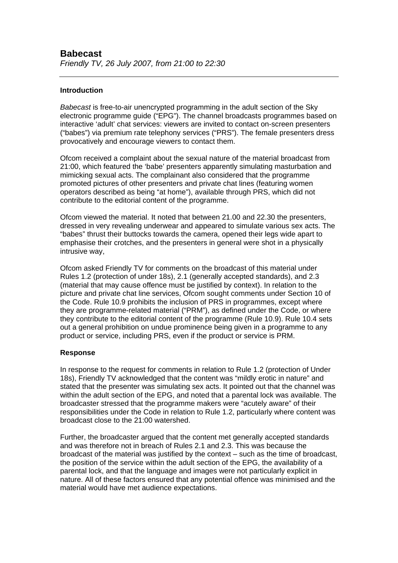## **Introduction**

*Babecast* is free-to-air unencrypted programming in the adult section of the Sky electronic programme guide ("EPG"). The channel broadcasts programmes based on interactive 'adult' chat services: viewers are invited to contact on-screen presenters ("babes") via premium rate telephony services ("PRS"). The female presenters dress provocatively and encourage viewers to contact them.

Ofcom received a complaint about the sexual nature of the material broadcast from 21:00, which featured the 'babe' presenters apparently simulating masturbation and mimicking sexual acts. The complainant also considered that the programme promoted pictures of other presenters and private chat lines (featuring women operators described as being "at home"), available through PRS, which did not contribute to the editorial content of the programme.

Ofcom viewed the material. It noted that between 21.00 and 22.30 the presenters, dressed in very revealing underwear and appeared to simulate various sex acts. The "babes" thrust their buttocks towards the camera, opened their legs wide apart to emphasise their crotches, and the presenters in general were shot in a physically intrusive way,

Ofcom asked Friendly TV for comments on the broadcast of this material under Rules 1.2 (protection of under 18s), 2.1 (generally accepted standards), and 2.3 (material that may cause offence must be justified by context). In relation to the picture and private chat line services, Ofcom sought comments under Section 10 of the Code. Rule 10.9 prohibits the inclusion of PRS in programmes, except where they are programme-related material ("PRM"), as defined under the Code, or where they contribute to the editorial content of the programme (Rule 10.9). Rule 10.4 sets out a general prohibition on undue prominence being given in a programme to any product or service, including PRS, even if the product or service is PRM.

## **Response**

In response to the request for comments in relation to Rule 1.2 (protection of Under 18s), Friendly TV acknowledged that the content was "mildly erotic in nature" and stated that the presenter was simulating sex acts. It pointed out that the channel was within the adult section of the EPG, and noted that a parental lock was available. The broadcaster stressed that the programme makers were "acutely aware" of their responsibilities under the Code in relation to Rule 1.2, particularly where content was broadcast close to the 21:00 watershed.

Further, the broadcaster argued that the content met generally accepted standards and was therefore not in breach of Rules 2.1 and 2.3. This was because the broadcast of the material was justified by the context – such as the time of broadcast, the position of the service within the adult section of the EPG, the availability of a parental lock, and that the language and images were not particularly explicit in nature. All of these factors ensured that any potential offence was minimised and the material would have met audience expectations.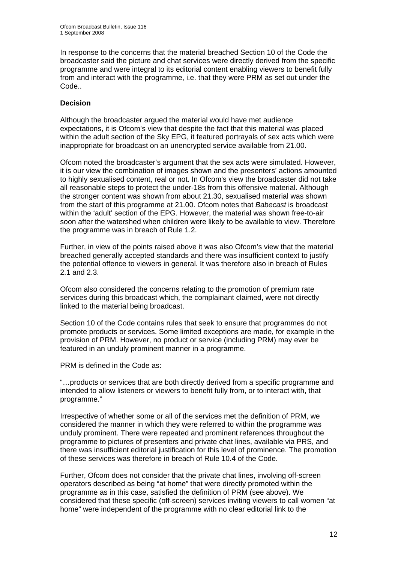In response to the concerns that the material breached Section 10 of the Code the broadcaster said the picture and chat services were directly derived from the specific programme and were integral to its editorial content enabling viewers to benefit fully from and interact with the programme, i.e. that they were PRM as set out under the Code..

## **Decision**

Although the broadcaster argued the material would have met audience expectations, it is Ofcom's view that despite the fact that this material was placed within the adult section of the Sky EPG, it featured portrayals of sex acts which were inappropriate for broadcast on an unencrypted service available from 21.00.

Ofcom noted the broadcaster's argument that the sex acts were simulated. However, it is our view the combination of images shown and the presenters' actions amounted to highly sexualised content, real or not. In Ofcom's view the broadcaster did not take all reasonable steps to protect the under-18s from this offensive material. Although the stronger content was shown from about 21.30, sexualised material was shown from the start of this programme at 21.00. Ofcom notes that *Babecast* is broadcast within the 'adult' section of the EPG. However, the material was shown free-to-air soon after the watershed when children were likely to be available to view. Therefore the programme was in breach of Rule 1.2.

Further, in view of the points raised above it was also Ofcom's view that the material breached generally accepted standards and there was insufficient context to justify the potential offence to viewers in general. It was therefore also in breach of Rules 2.1 and 2.3.

Ofcom also considered the concerns relating to the promotion of premium rate services during this broadcast which, the complainant claimed, were not directly linked to the material being broadcast.

Section 10 of the Code contains rules that seek to ensure that programmes do not promote products or services. Some limited exceptions are made, for example in the provision of PRM. However, no product or service (including PRM) may ever be featured in an unduly prominent manner in a programme.

PRM is defined in the Code as:

"…products or services that are both directly derived from a specific programme and intended to allow listeners or viewers to benefit fully from, or to interact with, that programme."

Irrespective of whether some or all of the services met the definition of PRM, we considered the manner in which they were referred to within the programme was unduly prominent. There were repeated and prominent references throughout the programme to pictures of presenters and private chat lines, available via PRS, and there was insufficient editorial justification for this level of prominence. The promotion of these services was therefore in breach of Rule 10.4 of the Code.

Further, Ofcom does not consider that the private chat lines, involving off-screen operators described as being "at home" that were directly promoted within the programme as in this case, satisfied the definition of PRM (see above). We considered that these specific (off-screen) services inviting viewers to call women "at home" were independent of the programme with no clear editorial link to the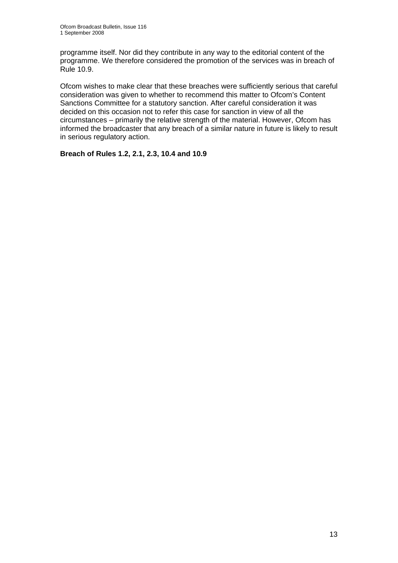programme itself. Nor did they contribute in any way to the editorial content of the programme. We therefore considered the promotion of the services was in breach of Rule 10.9.

Ofcom wishes to make clear that these breaches were sufficiently serious that careful consideration was given to whether to recommend this matter to Ofcom's Content Sanctions Committee for a statutory sanction. After careful consideration it was decided on this occasion not to refer this case for sanction in view of all the circumstances – primarily the relative strength of the material. However, Ofcom has informed the broadcaster that any breach of a similar nature in future is likely to result in serious regulatory action.

**Breach of Rules 1.2, 2.1, 2.3, 10.4 and 10.9**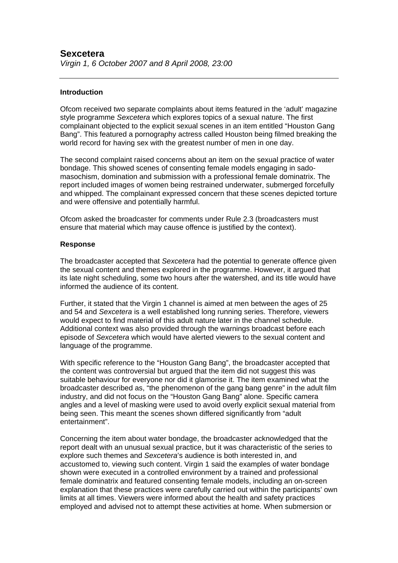## **Introduction**

Ofcom received two separate complaints about items featured in the 'adult' magazine style programme *Sexcetera* which explores topics of a sexual nature. The first complainant objected to the explicit sexual scenes in an item entitled "Houston Gang Bang". This featured a pornography actress called Houston being filmed breaking the world record for having sex with the greatest number of men in one day.

The second complaint raised concerns about an item on the sexual practice of water bondage. This showed scenes of consenting female models engaging in sadomasochism, domination and submission with a professional female dominatrix. The report included images of women being restrained underwater, submerged forcefully and whipped. The complainant expressed concern that these scenes depicted torture and were offensive and potentially harmful.

Ofcom asked the broadcaster for comments under Rule 2.3 (broadcasters must ensure that material which may cause offence is justified by the context).

## **Response**

The broadcaster accepted that *Sexcetera* had the potential to generate offence given the sexual content and themes explored in the programme. However, it argued that its late night scheduling, some two hours after the watershed, and its title would have informed the audience of its content.

Further, it stated that the Virgin 1 channel is aimed at men between the ages of 25 and 54 and *Sexcetera* is a well established long running series. Therefore, viewers would expect to find material of this adult nature later in the channel schedule. Additional context was also provided through the warnings broadcast before each episode of *Sexcetera* which would have alerted viewers to the sexual content and language of the programme.

With specific reference to the "Houston Gang Bang", the broadcaster accepted that the content was controversial but argued that the item did not suggest this was suitable behaviour for everyone nor did it glamorise it. The item examined what the broadcaster described as, "the phenomenon of the gang bang genre" in the adult film industry, and did not focus on the "Houston Gang Bang" alone. Specific camera angles and a level of masking were used to avoid overly explicit sexual material from being seen. This meant the scenes shown differed significantly from "adult entertainment".

Concerning the item about water bondage, the broadcaster acknowledged that the report dealt with an unusual sexual practice, but it was characteristic of the series to explore such themes and *Sexcetera*'s audience is both interested in, and accustomed to, viewing such content. Virgin 1 said the examples of water bondage shown were executed in a controlled environment by a trained and professional female dominatrix and featured consenting female models, including an on-screen explanation that these practices were carefully carried out within the participants' own limits at all times. Viewers were informed about the health and safety practices employed and advised not to attempt these activities at home. When submersion or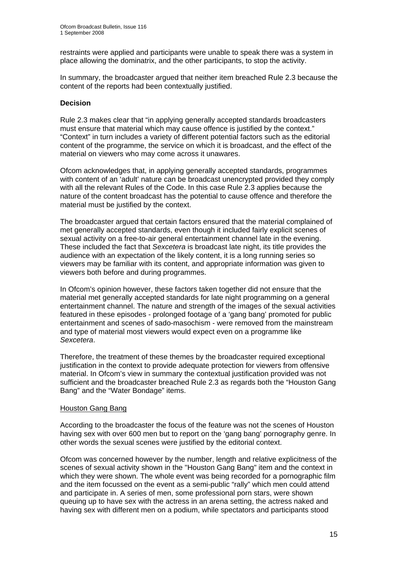restraints were applied and participants were unable to speak there was a system in place allowing the dominatrix, and the other participants, to stop the activity.

In summary, the broadcaster argued that neither item breached Rule 2.3 because the content of the reports had been contextually justified.

## **Decision**

Rule 2.3 makes clear that "in applying generally accepted standards broadcasters must ensure that material which may cause offence is justified by the context." "Context" in turn includes a variety of different potential factors such as the editorial content of the programme, the service on which it is broadcast, and the effect of the material on viewers who may come across it unawares.

Ofcom acknowledges that, in applying generally accepted standards, programmes with content of an 'adult' nature can be broadcast unencrypted provided they comply with all the relevant Rules of the Code. In this case Rule 2.3 applies because the nature of the content broadcast has the potential to cause offence and therefore the material must be justified by the context.

The broadcaster argued that certain factors ensured that the material complained of met generally accepted standards, even though it included fairly explicit scenes of sexual activity on a free-to-air general entertainment channel late in the evening. These included the fact that *Sexcetera* is broadcast late night, its title provides the audience with an expectation of the likely content, it is a long running series so viewers may be familiar with its content, and appropriate information was given to viewers both before and during programmes.

In Ofcom's opinion however, these factors taken together did not ensure that the material met generally accepted standards for late night programming on a general entertainment channel. The nature and strength of the images of the sexual activities featured in these episodes - prolonged footage of a 'gang bang' promoted for public entertainment and scenes of sado-masochism - were removed from the mainstream and type of material most viewers would expect even on a programme like *Sexcetera*.

Therefore, the treatment of these themes by the broadcaster required exceptional justification in the context to provide adequate protection for viewers from offensive material. In Ofcom's view in summary the contextual justification provided was not sufficient and the broadcaster breached Rule 2.3 as regards both the "Houston Gang Bang" and the "Water Bondage" items.

## Houston Gang Bang

According to the broadcaster the focus of the feature was not the scenes of Houston having sex with over 600 men but to report on the 'gang bang' pornography genre. In other words the sexual scenes were justified by the editorial context.

Ofcom was concerned however by the number, length and relative explicitness of the scenes of sexual activity shown in the "Houston Gang Bang" item and the context in which they were shown. The whole event was being recorded for a pornographic film and the item focussed on the event as a semi-public "rally" which men could attend and participate in. A series of men, some professional porn stars, were shown queuing up to have sex with the actress in an arena setting, the actress naked and having sex with different men on a podium, while spectators and participants stood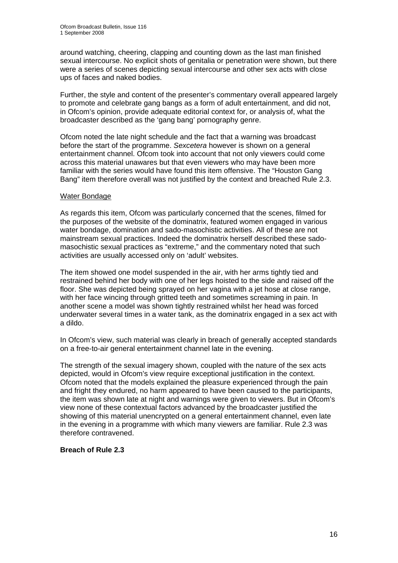around watching, cheering, clapping and counting down as the last man finished sexual intercourse. No explicit shots of genitalia or penetration were shown, but there were a series of scenes depicting sexual intercourse and other sex acts with close ups of faces and naked bodies.

Further, the style and content of the presenter's commentary overall appeared largely to promote and celebrate gang bangs as a form of adult entertainment, and did not, in Ofcom's opinion, provide adequate editorial context for, or analysis of, what the broadcaster described as the 'gang bang' pornography genre.

Ofcom noted the late night schedule and the fact that a warning was broadcast before the start of the programme. *Sexcetera* however is shown on a general entertainment channel. Ofcom took into account that not only viewers could come across this material unawares but that even viewers who may have been more familiar with the series would have found this item offensive. The "Houston Gang Bang" item therefore overall was not justified by the context and breached Rule 2.3.

## Water Bondage

As regards this item, Ofcom was particularly concerned that the scenes, filmed for the purposes of the website of the dominatrix, featured women engaged in various water bondage, domination and sado-masochistic activities. All of these are not mainstream sexual practices. Indeed the dominatrix herself described these sadomasochistic sexual practices as "extreme," and the commentary noted that such activities are usually accessed only on 'adult' websites.

The item showed one model suspended in the air, with her arms tightly tied and restrained behind her body with one of her legs hoisted to the side and raised off the floor. She was depicted being sprayed on her vagina with a jet hose at close range, with her face wincing through gritted teeth and sometimes screaming in pain. In another scene a model was shown tightly restrained whilst her head was forced underwater several times in a water tank, as the dominatrix engaged in a sex act with a dildo.

In Ofcom's view, such material was clearly in breach of generally accepted standards on a free-to-air general entertainment channel late in the evening.

The strength of the sexual imagery shown, coupled with the nature of the sex acts depicted, would in Ofcom's view require exceptional justification in the context. Ofcom noted that the models explained the pleasure experienced through the pain and fright they endured, no harm appeared to have been caused to the participants, the item was shown late at night and warnings were given to viewers. But in Ofcom's view none of these contextual factors advanced by the broadcaster justified the showing of this material unencrypted on a general entertainment channel, even late in the evening in a programme with which many viewers are familiar. Rule 2.3 was therefore contravened.

## **Breach of Rule 2.3**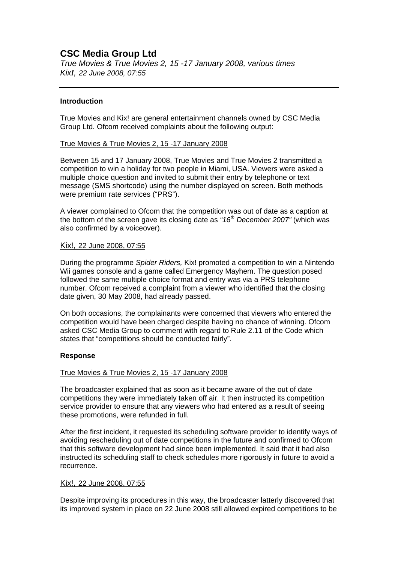## **CSC Media Group Ltd**

*True Movies & True Movies 2, 15 -17 January 2008, various times Kix!, 22 June 2008, 07:55*

## **Introduction**

True Movies and Kix! are general entertainment channels owned by CSC Media Group Ltd. Ofcom received complaints about the following output:

## True Movies & True Movies 2, 15 -17 January 2008

Between 15 and 17 January 2008, True Movies and True Movies 2 transmitted a competition to win a holiday for two people in Miami, USA. Viewers were asked a multiple choice question and invited to submit their entry by telephone or text message (SMS shortcode) using the number displayed on screen. Both methods were premium rate services ("PRS").

A viewer complained to Ofcom that the competition was out of date as a caption at the bottom of the screen gave its closing date as *"16th December 2007"* (which was also confirmed by a voiceover).

## Kix!, 22 June 2008, 07:55

During the programme *Spider Riders,* Kix! promoted a competition to win a Nintendo Wii games console and a game called Emergency Mayhem. The question posed followed the same multiple choice format and entry was via a PRS telephone number. Ofcom received a complaint from a viewer who identified that the closing date given, 30 May 2008, had already passed.

On both occasions, the complainants were concerned that viewers who entered the competition would have been charged despite having no chance of winning. Ofcom asked CSC Media Group to comment with regard to Rule 2.11 of the Code which states that "competitions should be conducted fairly".

## **Response**

## True Movies & True Movies 2, 15 -17 January 2008

The broadcaster explained that as soon as it became aware of the out of date competitions they were immediately taken off air. It then instructed its competition service provider to ensure that any viewers who had entered as a result of seeing these promotions, were refunded in full.

After the first incident, it requested its scheduling software provider to identify ways of avoiding rescheduling out of date competitions in the future and confirmed to Ofcom that this software development had since been implemented. It said that it had also instructed its scheduling staff to check schedules more rigorously in future to avoid a recurrence.

## Kix!, 22 June 2008, 07:55

Despite improving its procedures in this way, the broadcaster latterly discovered that its improved system in place on 22 June 2008 still allowed expired competitions to be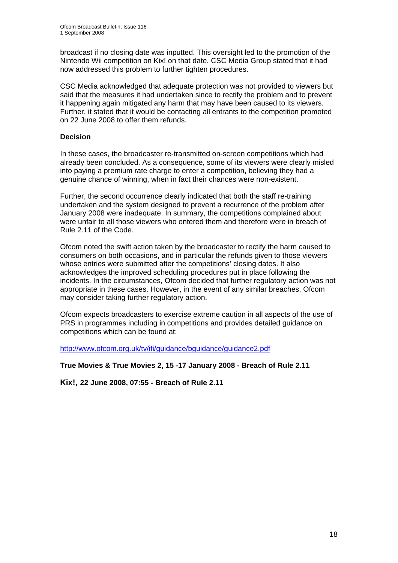broadcast if no closing date was inputted. This oversight led to the promotion of the Nintendo Wii competition on Kix! on that date. CSC Media Group stated that it had now addressed this problem to further tighten procedures.

CSC Media acknowledged that adequate protection was not provided to viewers but said that the measures it had undertaken since to rectify the problem and to prevent it happening again mitigated any harm that may have been caused to its viewers. Further, it stated that it would be contacting all entrants to the competition promoted on 22 June 2008 to offer them refunds.

## **Decision**

In these cases, the broadcaster re-transmitted on-screen competitions which had already been concluded. As a consequence, some of its viewers were clearly misled into paying a premium rate charge to enter a competition, believing they had a genuine chance of winning, when in fact their chances were non-existent.

Further, the second occurrence clearly indicated that both the staff re-training undertaken and the system designed to prevent a recurrence of the problem after January 2008 were inadequate. In summary, the competitions complained about were unfair to all those viewers who entered them and therefore were in breach of Rule 2.11 of the Code.

Ofcom noted the swift action taken by the broadcaster to rectify the harm caused to consumers on both occasions, and in particular the refunds given to those viewers whose entries were submitted after the competitions' closing dates. It also acknowledges the improved scheduling procedures put in place following the incidents. In the circumstances, Ofcom decided that further regulatory action was not appropriate in these cases. However, in the event of any similar breaches, Ofcom may consider taking further regulatory action.

Ofcom expects broadcasters to exercise extreme caution in all aspects of the use of PRS in programmes including in competitions and provides detailed guidance on competitions which can be found at:

http://www.ofcom.org.uk/tv/ifi/guidance/bguidance/guidance2.pdf

**True Movies & True Movies 2, 15 -17 January 2008 - Breach of Rule 2.11** 

**Kix!, 22 June 2008, 07:55 - Breach of Rule 2.11**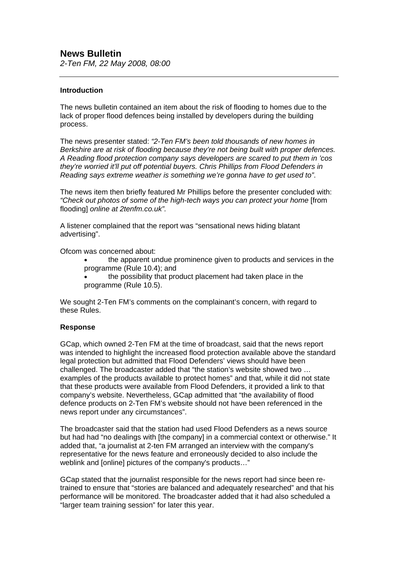*2-Ten FM, 22 May 2008, 08:00* 

## **Introduction**

The news bulletin contained an item about the risk of flooding to homes due to the lack of proper flood defences being installed by developers during the building process.

The news presenter stated: *"2-Ten FM's been told thousands of new homes in Berkshire are at risk of flooding because they're not being built with proper defences. A Reading flood protection company says developers are scared to put them in 'cos they're worried it'll put off potential buyers. Chris Phillips from Flood Defenders in Reading says extreme weather is something we're gonna have to get used to"*.

The news item then briefly featured Mr Phillips before the presenter concluded with: *"Check out photos of some of the high-tech ways you can protect your home* [from flooding] *online at 2tenfm.co.uk".* 

A listener complained that the report was "sensational news hiding blatant advertising".

Ofcom was concerned about:

- the apparent undue prominence given to products and services in the programme (Rule 10.4); and
- the possibility that product placement had taken place in the programme (Rule 10.5).

We sought 2-Ten FM's comments on the complainant's concern, with regard to these Rules.

## **Response**

GCap, which owned 2-Ten FM at the time of broadcast, said that the news report was intended to highlight the increased flood protection available above the standard legal protection but admitted that Flood Defenders' views should have been challenged. The broadcaster added that "the station's website showed two … examples of the products available to protect homes" and that, while it did not state that these products were available from Flood Defenders, it provided a link to that company's website. Nevertheless, GCap admitted that "the availability of flood defence products on 2-Ten FM's website should not have been referenced in the news report under any circumstances".

The broadcaster said that the station had used Flood Defenders as a news source but had had "no dealings with [the company] in a commercial context or otherwise." It added that, "a journalist at 2-ten FM arranged an interview with the company's representative for the news feature and erroneously decided to also include the weblink and [online] pictures of the company's products…"

GCap stated that the journalist responsible for the news report had since been retrained to ensure that "stories are balanced and adequately researched" and that his performance will be monitored. The broadcaster added that it had also scheduled a "larger team training session" for later this year.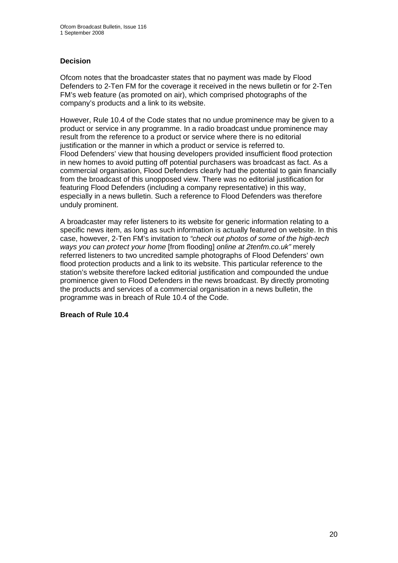## **Decision**

Ofcom notes that the broadcaster states that no payment was made by Flood Defenders to 2-Ten FM for the coverage it received in the news bulletin or for 2-Ten FM's web feature (as promoted on air), which comprised photographs of the company's products and a link to its website.

However, Rule 10.4 of the Code states that no undue prominence may be given to a product or service in any programme. In a radio broadcast undue prominence may result from the reference to a product or service where there is no editorial justification or the manner in which a product or service is referred to. Flood Defenders' view that housing developers provided insufficient flood protection in new homes to avoid putting off potential purchasers was broadcast as fact. As a commercial organisation, Flood Defenders clearly had the potential to gain financially from the broadcast of this unopposed view. There was no editorial justification for featuring Flood Defenders (including a company representative) in this way, especially in a news bulletin. Such a reference to Flood Defenders was therefore unduly prominent.

A broadcaster may refer listeners to its website for generic information relating to a specific news item, as long as such information is actually featured on website. In this case, however, 2-Ten FM's invitation to *"check out photos of some of the high-tech ways you can protect your home* [from flooding] *online at 2tenfm.co.uk"* merely referred listeners to two uncredited sample photographs of Flood Defenders' own flood protection products and a link to its website. This particular reference to the station's website therefore lacked editorial justification and compounded the undue prominence given to Flood Defenders in the news broadcast. By directly promoting the products and services of a commercial organisation in a news bulletin, the programme was in breach of Rule 10.4 of the Code.

**Breach of Rule 10.4**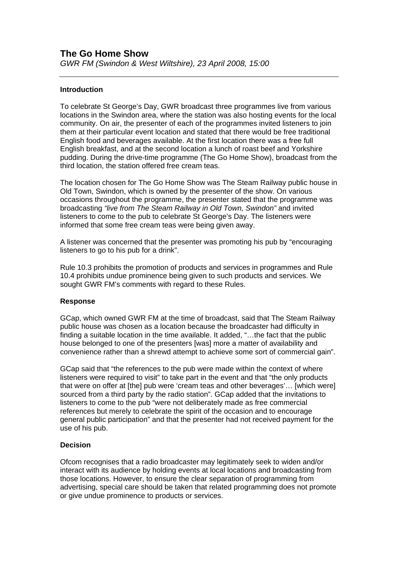## **Introduction**

To celebrate St George's Day, GWR broadcast three programmes live from various locations in the Swindon area, where the station was also hosting events for the local community. On air, the presenter of each of the programmes invited listeners to join them at their particular event location and stated that there would be free traditional English food and beverages available. At the first location there was a free full English breakfast, and at the second location a lunch of roast beef and Yorkshire pudding. During the drive-time programme (The Go Home Show), broadcast from the third location, the station offered free cream teas.

The location chosen for The Go Home Show was The Steam Railway public house in Old Town, Swindon, which is owned by the presenter of the show. On various occasions throughout the programme, the presenter stated that the programme was broadcasting *"live from The Steam Railway in Old Town, Swindon"* and invited listeners to come to the pub to celebrate St George's Day. The listeners were informed that some free cream teas were being given away.

A listener was concerned that the presenter was promoting his pub by "encouraging listeners to go to his pub for a drink".

Rule 10.3 prohibits the promotion of products and services in programmes and Rule 10.4 prohibits undue prominence being given to such products and services. We sought GWR FM's comments with regard to these Rules.

## **Response**

GCap, which owned GWR FM at the time of broadcast, said that The Steam Railway public house was chosen as a location because the broadcaster had difficulty in finding a suitable location in the time available. It added, "...the fact that the public house belonged to one of the presenters [was] more a matter of availability and convenience rather than a shrewd attempt to achieve some sort of commercial gain".

GCap said that "the references to the pub were made within the context of where listeners were required to visit" to take part in the event and that "the only products that were on offer at [the] pub were 'cream teas and other beverages'… [which were] sourced from a third party by the radio station". GCap added that the invitations to listeners to come to the pub "were not deliberately made as free commercial references but merely to celebrate the spirit of the occasion and to encourage general public participation" and that the presenter had not received payment for the use of his pub.

## **Decision**

Ofcom recognises that a radio broadcaster may legitimately seek to widen and/or interact with its audience by holding events at local locations and broadcasting from those locations. However, to ensure the clear separation of programming from advertising, special care should be taken that related programming does not promote or give undue prominence to products or services.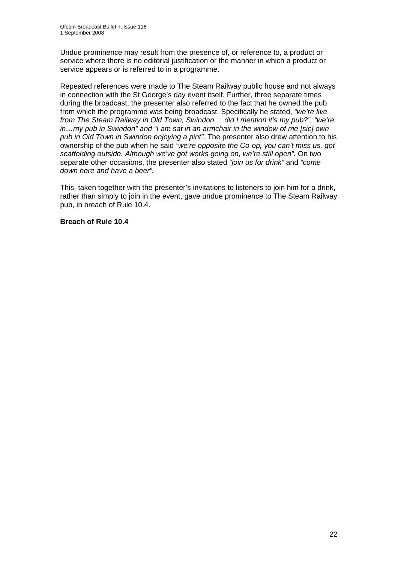Undue prominence may result from the presence of, or reference to, a product or service where there is no editorial justification or the manner in which a product or service appears or is referred to in a programme.

Repeated references were made to The Steam Railway public house and not always in connection with the St George's day event itself. Further, three separate times during the broadcast, the presenter also referred to the fact that he owned the pub from which the programme was being broadcast. Specifically he stated, *"we're live from The Steam Railway in Old Town, Swindon. . .did I mention it's my pub?", "we're in…my pub in Swindon" and "I am sat in an armchair in the window of me [sic] own pub in Old Town in Swindon enjoying a pint".* The presenter also drew attention to his ownership of the pub when he said *"we're opposite the Co-op, you can't miss us, got scaffolding outside. Although we've got works going on, we're still open".* On two separate other occasions, the presenter also stated *"join us for drink"* and *"come down here and have a beer".*

This, taken together with the presenter's invitations to listeners to join him for a drink, rather than simply to join in the event, gave undue prominence to The Steam Railway pub, in breach of Rule 10.4.

## **Breach of Rule 10.4**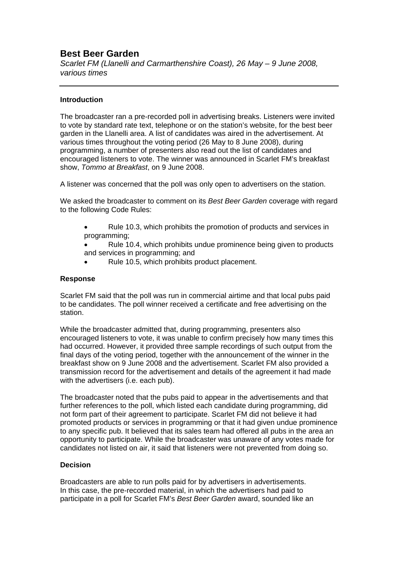## **Best Beer Garden**

*Scarlet FM (Llanelli and Carmarthenshire Coast), 26 May – 9 June 2008, various times* 

## **Introduction**

The broadcaster ran a pre-recorded poll in advertising breaks. Listeners were invited to vote by standard rate text, telephone or on the station's website, for the best beer garden in the Llanelli area. A list of candidates was aired in the advertisement. At various times throughout the voting period (26 May to 8 June 2008), during programming, a number of presenters also read out the list of candidates and encouraged listeners to vote. The winner was announced in Scarlet FM's breakfast show, *Tommo at Breakfast*, on 9 June 2008.

A listener was concerned that the poll was only open to advertisers on the station.

We asked the broadcaster to comment on its *Best Beer Garden* coverage with regard to the following Code Rules:

• Rule 10.3, which prohibits the promotion of products and services in programming;

Rule 10.4, which prohibits undue prominence being given to products and services in programming; and

• Rule 10.5, which prohibits product placement.

## **Response**

Scarlet FM said that the poll was run in commercial airtime and that local pubs paid to be candidates. The poll winner received a certificate and free advertising on the station.

While the broadcaster admitted that, during programming, presenters also encouraged listeners to vote, it was unable to confirm precisely how many times this had occurred. However, it provided three sample recordings of such output from the final days of the voting period, together with the announcement of the winner in the breakfast show on 9 June 2008 and the advertisement. Scarlet FM also provided a transmission record for the advertisement and details of the agreement it had made with the advertisers (i.e. each pub).

The broadcaster noted that the pubs paid to appear in the advertisements and that further references to the poll, which listed each candidate during programming, did not form part of their agreement to participate. Scarlet FM did not believe it had promoted products or services in programming or that it had given undue prominence to any specific pub. It believed that its sales team had offered all pubs in the area an opportunity to participate. While the broadcaster was unaware of any votes made for candidates not listed on air, it said that listeners were not prevented from doing so.

## **Decision**

Broadcasters are able to run polls paid for by advertisers in advertisements. In this case, the pre-recorded material, in which the advertisers had paid to participate in a poll for Scarlet FM's *Best Beer Garden* award, sounded like an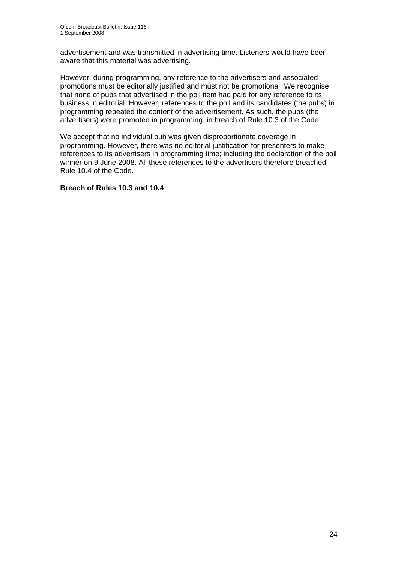advertisement and was transmitted in advertising time. Listeners would have been aware that this material was advertising.

However, during programming, any reference to the advertisers and associated promotions must be editorially justified and must not be promotional. We recognise that none of pubs that advertised in the poll item had paid for any reference to its business in editorial. However, references to the poll and its candidates (the pubs) in programming repeated the content of the advertisement. As such, the pubs (the advertisers) were promoted in programming, in breach of Rule 10.3 of the Code.

We accept that no individual pub was given disproportionate coverage in programming. However, there was no editorial justification for presenters to make references to its advertisers in programming time; including the declaration of the poll winner on 9 June 2008. All these references to the advertisers therefore breached Rule 10.4 of the Code.

## **Breach of Rules 10.3 and 10.4**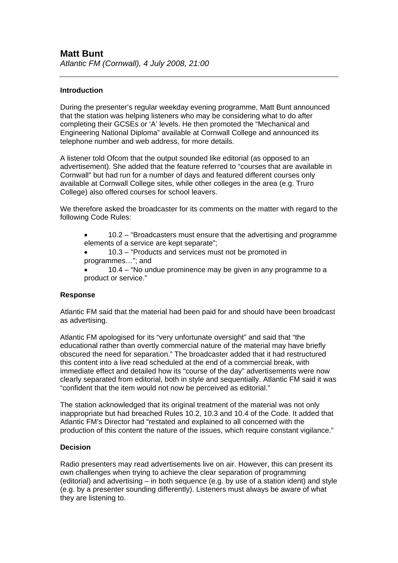## **Introduction**

During the presenter's regular weekday evening programme, Matt Bunt announced that the station was helping listeners who may be considering what to do after completing their GCSEs or 'A' levels. He then promoted the "Mechanical and Engineering National Diploma" available at Cornwall College and announced its telephone number and web address, for more details.

A listener told Ofcom that the output sounded like editorial (as opposed to an advertisement). She added that the feature referred to "courses that are available in Cornwall" but had run for a number of days and featured different courses only available at Cornwall College sites, while other colleges in the area (e.g. Truro College) also offered courses for school leavers.

We therefore asked the broadcaster for its comments on the matter with regard to the following Code Rules:

• 10.2 – "Broadcasters must ensure that the advertising and programme elements of a service are kept separate";

• 10.3 – "Products and services must not be promoted in programmes…"; and

• 10.4 – "No undue prominence may be given in any programme to a product or service."

## **Response**

Atlantic FM said that the material had been paid for and should have been broadcast as advertising.

Atlantic FM apologised for its "very unfortunate oversight" and said that "the educational rather than overtly commercial nature of the material may have briefly obscured the need for separation." The broadcaster added that it had restructured this content into a live read scheduled at the end of a commercial break, with immediate effect and detailed how its "course of the day" advertisements were now clearly separated from editorial, both in style and sequentially. Atlantic FM said it was "confident that the item would not now be perceived as editorial."

The station acknowledged that its original treatment of the material was not only inappropriate but had breached Rules 10.2, 10.3 and 10.4 of the Code. It added that Atlantic FM's Director had "restated and explained to all concerned with the production of this content the nature of the issues, which require constant vigilance."

## **Decision**

Radio presenters may read advertisements live on air. However, this can present its own challenges when trying to achieve the clear separation of programming (editorial) and advertising – in both sequence (e.g. by use of a station ident) and style (e.g. by a presenter sounding differently). Listeners must always be aware of what they are listening to.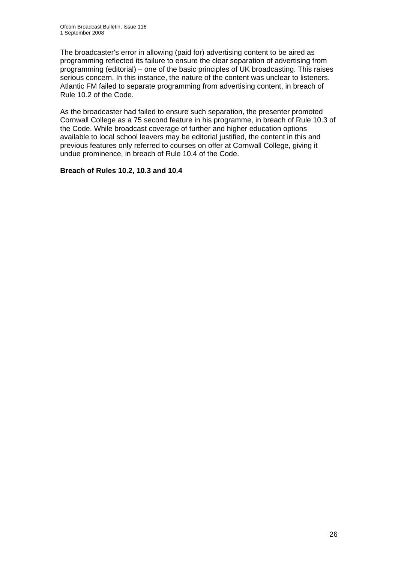The broadcaster's error in allowing (paid for) advertising content to be aired as programming reflected its failure to ensure the clear separation of advertising from programming (editorial) – one of the basic principles of UK broadcasting. This raises serious concern. In this instance, the nature of the content was unclear to listeners. Atlantic FM failed to separate programming from advertising content, in breach of Rule 10.2 of the Code.

As the broadcaster had failed to ensure such separation, the presenter promoted Cornwall College as a 75 second feature in his programme, in breach of Rule 10.3 of the Code. While broadcast coverage of further and higher education options available to local school leavers may be editorial justified, the content in this and previous features only referred to courses on offer at Cornwall College, giving it undue prominence, in breach of Rule 10.4 of the Code.

## **Breach of Rules 10.2, 10.3 and 10.4**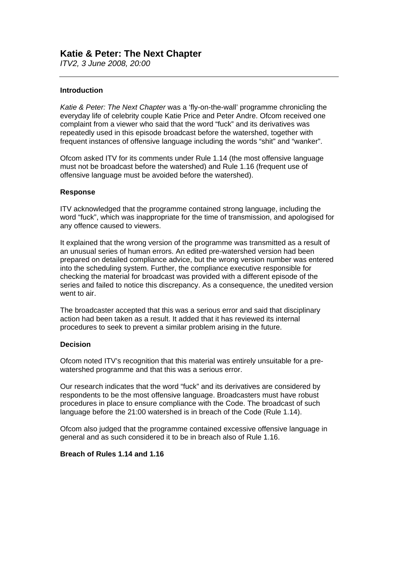## **Katie & Peter: The Next Chapter**

*ITV2, 3 June 2008, 20:00* 

## **Introduction**

*Katie & Peter: The Next Chapter* was a 'fly-on-the-wall' programme chronicling the everyday life of celebrity couple Katie Price and Peter Andre. Ofcom received one complaint from a viewer who said that the word "fuck" and its derivatives was repeatedly used in this episode broadcast before the watershed, together with frequent instances of offensive language including the words "shit" and "wanker".

Ofcom asked ITV for its comments under Rule 1.14 (the most offensive language must not be broadcast before the watershed) and Rule 1.16 (frequent use of offensive language must be avoided before the watershed).

## **Response**

ITV acknowledged that the programme contained strong language, including the word "fuck", which was inappropriate for the time of transmission, and apologised for any offence caused to viewers.

It explained that the wrong version of the programme was transmitted as a result of an unusual series of human errors. An edited pre-watershed version had been prepared on detailed compliance advice, but the wrong version number was entered into the scheduling system. Further, the compliance executive responsible for checking the material for broadcast was provided with a different episode of the series and failed to notice this discrepancy. As a consequence, the unedited version went to air.

The broadcaster accepted that this was a serious error and said that disciplinary action had been taken as a result. It added that it has reviewed its internal procedures to seek to prevent a similar problem arising in the future.

## **Decision**

Ofcom noted ITV's recognition that this material was entirely unsuitable for a prewatershed programme and that this was a serious error.

Our research indicates that the word "fuck" and its derivatives are considered by respondents to be the most offensive language. Broadcasters must have robust procedures in place to ensure compliance with the Code. The broadcast of such language before the 21:00 watershed is in breach of the Code (Rule 1.14).

Ofcom also judged that the programme contained excessive offensive language in general and as such considered it to be in breach also of Rule 1.16.

## **Breach of Rules 1.14 and 1.16**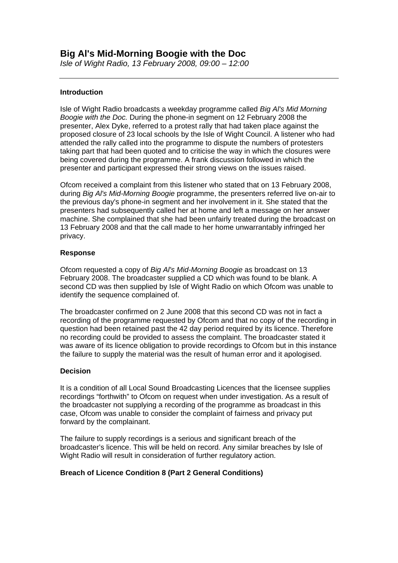*Isle of Wight Radio, 13 February 2008, 09:00 – 12:00* 

## **Introduction**

Isle of Wight Radio broadcasts a weekday programme called *Big Al's Mid Morning Boogie with the Doc.* During the phone-in segment on 12 February 2008 the presenter, Alex Dyke, referred to a protest rally that had taken place against the proposed closure of 23 local schools by the Isle of Wight Council. A listener who had attended the rally called into the programme to dispute the numbers of protesters taking part that had been quoted and to criticise the way in which the closures were being covered during the programme. A frank discussion followed in which the presenter and participant expressed their strong views on the issues raised.

Ofcom received a complaint from this listener who stated that on 13 February 2008, during *Big Al's Mid-Morning Boogie* programme, the presenters referred live on-air to the previous day's phone-in segment and her involvement in it. She stated that the presenters had subsequently called her at home and left a message on her answer machine. She complained that she had been unfairly treated during the broadcast on 13 February 2008 and that the call made to her home unwarrantably infringed her privacy.

## **Response**

Ofcom requested a copy of *Big Al's Mid-Morning Boogie* as broadcast on 13 February 2008. The broadcaster supplied a CD which was found to be blank. A second CD was then supplied by Isle of Wight Radio on which Ofcom was unable to identify the sequence complained of.

The broadcaster confirmed on 2 June 2008 that this second CD was not in fact a recording of the programme requested by Ofcom and that no copy of the recording in question had been retained past the 42 day period required by its licence. Therefore no recording could be provided to assess the complaint. The broadcaster stated it was aware of its licence obligation to provide recordings to Ofcom but in this instance the failure to supply the material was the result of human error and it apologised.

## **Decision**

It is a condition of all Local Sound Broadcasting Licences that the licensee supplies recordings "forthwith" to Ofcom on request when under investigation. As a result of the broadcaster not supplying a recording of the programme as broadcast in this case, Ofcom was unable to consider the complaint of fairness and privacy put forward by the complainant.

The failure to supply recordings is a serious and significant breach of the broadcaster's licence. This will be held on record. Any similar breaches by Isle of Wight Radio will result in consideration of further regulatory action.

## **Breach of Licence Condition 8 (Part 2 General Conditions)**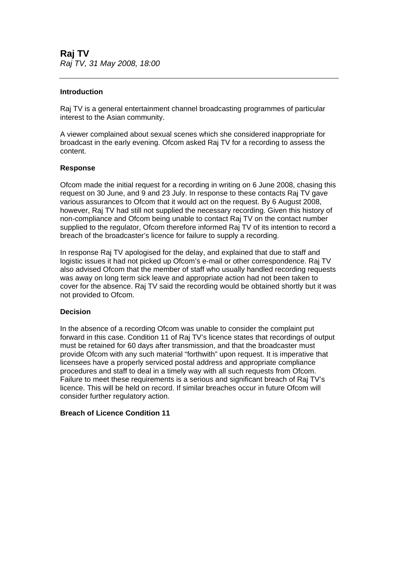## **Introduction**

Raj TV is a general entertainment channel broadcasting programmes of particular interest to the Asian community.

A viewer complained about sexual scenes which she considered inappropriate for broadcast in the early evening. Ofcom asked Raj TV for a recording to assess the content.

## **Response**

Ofcom made the initial request for a recording in writing on 6 June 2008, chasing this request on 30 June, and 9 and 23 July. In response to these contacts Raj TV gave various assurances to Ofcom that it would act on the request. By 6 August 2008, however, Raj TV had still not supplied the necessary recording. Given this history of non-compliance and Ofcom being unable to contact Raj TV on the contact number supplied to the regulator, Ofcom therefore informed Raj TV of its intention to record a breach of the broadcaster's licence for failure to supply a recording.

In response Raj TV apologised for the delay, and explained that due to staff and logistic issues it had not picked up Ofcom's e-mail or other correspondence. Raj TV also advised Ofcom that the member of staff who usually handled recording requests was away on long term sick leave and appropriate action had not been taken to cover for the absence. Raj TV said the recording would be obtained shortly but it was not provided to Ofcom.

## **Decision**

In the absence of a recording Ofcom was unable to consider the complaint put forward in this case. Condition 11 of Raj TV's licence states that recordings of output must be retained for 60 days after transmission, and that the broadcaster must provide Ofcom with any such material "forthwith" upon request. It is imperative that licensees have a properly serviced postal address and appropriate compliance procedures and staff to deal in a timely way with all such requests from Ofcom. Failure to meet these requirements is a serious and significant breach of Raj TV's licence. This will be held on record. If similar breaches occur in future Ofcom will consider further regulatory action.

## **Breach of Licence Condition 11**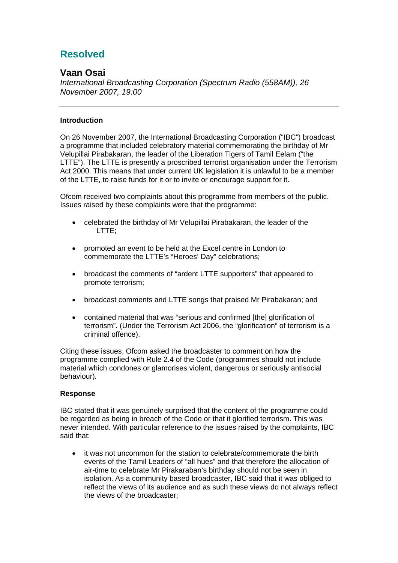# **Resolved**

## **Vaan Osai**

*International Broadcasting Corporation (Spectrum Radio (558AM)), 26 November 2007, 19:00* 

## **Introduction**

On 26 November 2007, the International Broadcasting Corporation ("IBC") broadcast a programme that included celebratory material commemorating the birthday of Mr Velupillai Pirabakaran, the leader of the Liberation Tigers of Tamil Eelam ("the LTTE"). The LTTE is presently a proscribed terrorist organisation under the Terrorism Act 2000. This means that under current UK legislation it is unlawful to be a member of the LTTE, to raise funds for it or to invite or encourage support for it.

Ofcom received two complaints about this programme from members of the public. Issues raised by these complaints were that the programme:

- celebrated the birthday of Mr Velupillai Pirabakaran, the leader of the LTTE;
- promoted an event to be held at the Excel centre in London to commemorate the LTTE's "Heroes' Day" celebrations;
- broadcast the comments of "ardent LTTE supporters" that appeared to promote terrorism;
- broadcast comments and LTTE songs that praised Mr Pirabakaran; and
- contained material that was "serious and confirmed [the] glorification of terrorism". (Under the Terrorism Act 2006, the "glorification" of terrorism is a criminal offence).

Citing these issues, Ofcom asked the broadcaster to comment on how the programme complied with Rule 2.4 of the Code (programmes should not include material which condones or glamorises violent, dangerous or seriously antisocial behaviour)*.*

## **Response**

IBC stated that it was genuinely surprised that the content of the programme could be regarded as being in breach of the Code or that it glorified terrorism. This was never intended. With particular reference to the issues raised by the complaints, IBC said that:

• it was not uncommon for the station to celebrate/commemorate the birth events of the Tamil Leaders of "all hues" and that therefore the allocation of air-time to celebrate Mr Pirakaraban's birthday should not be seen in isolation. As a community based broadcaster, IBC said that it was obliged to reflect the views of its audience and as such these views do not always reflect the views of the broadcaster;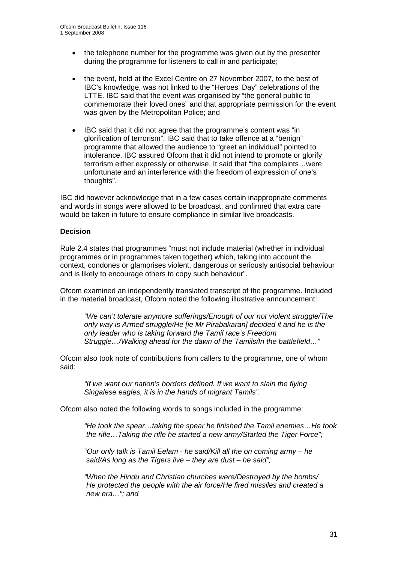- the telephone number for the programme was given out by the presenter during the programme for listeners to call in and participate;
- the event, held at the Excel Centre on 27 November 2007, to the best of IBC's knowledge, was not linked to the "Heroes' Day" celebrations of the LTTE. IBC said that the event was organised by "the general public to commemorate their loved ones" and that appropriate permission for the event was given by the Metropolitan Police; and
- IBC said that it did not agree that the programme's content was "in glorification of terrorism". IBC said that to take offence at a "benign" programme that allowed the audience to "greet an individual" pointed to intolerance. IBC assured Ofcom that it did not intend to promote or glorify terrorism either expressly or otherwise. It said that "the complaints…were unfortunate and an interference with the freedom of expression of one's thoughts".

IBC did however acknowledge that in a few cases certain inappropriate comments and words in songs were allowed to be broadcast; and confirmed that extra care would be taken in future to ensure compliance in similar live broadcasts.

## **Decision**

Rule 2.4 states that programmes "must not include material (whether in individual programmes or in programmes taken together) which, taking into account the context, condones or glamorises violent, dangerous or seriously antisocial behaviour and is likely to encourage others to copy such behaviour".

Ofcom examined an independently translated transcript of the programme. Included in the material broadcast, Ofcom noted the following illustrative announcement:

*"We can't tolerate anymore sufferings/Enough of our not violent struggle/The only way is Armed struggle/He [ie Mr Pirabakaran] decided it and he is the only leader who is taking forward the Tamil race's Freedom Struggle…/Walking ahead for the dawn of the Tamils/In the battlefield…"* 

Ofcom also took note of contributions from callers to the programme, one of whom said:

*"If we want our nation's borders defined. If we want to slain the flying Singalese eagles, it is in the hands of migrant Tamils".* 

Ofcom also noted the following words to songs included in the programme:

*"He took the spear…taking the spear he finished the Tamil enemies…He took the rifle…Taking the rifle he started a new army/Started the Tiger Force";* 

*"Our only talk is Tamil Eelam - he said/Kill all the on coming army – he said/As long as the Tigers live – they are dust – he said";* 

*"When the Hindu and Christian churches were/Destroyed by the bombs/ He protected the people with the air force/He fired missiles and created a new era…"; and*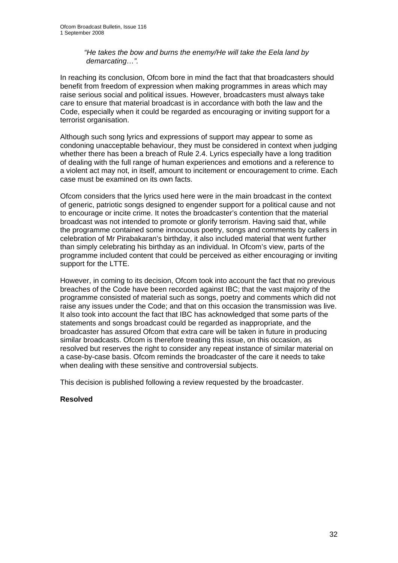*"He takes the bow and burns the enemy/He will take the Eela land by demarcating…".* 

In reaching its conclusion, Ofcom bore in mind the fact that that broadcasters should benefit from freedom of expression when making programmes in areas which may raise serious social and political issues. However, broadcasters must always take care to ensure that material broadcast is in accordance with both the law and the Code, especially when it could be regarded as encouraging or inviting support for a terrorist organisation.

Although such song lyrics and expressions of support may appear to some as condoning unacceptable behaviour, they must be considered in context when judging whether there has been a breach of Rule 2.4. Lyrics especially have a long tradition of dealing with the full range of human experiences and emotions and a reference to a violent act may not, in itself, amount to incitement or encouragement to crime. Each case must be examined on its own facts.

Ofcom considers that the lyrics used here were in the main broadcast in the context of generic, patriotic songs designed to engender support for a political cause and not to encourage or incite crime. It notes the broadcaster's contention that the material broadcast was not intended to promote or glorify terrorism. Having said that, while the programme contained some innocuous poetry, songs and comments by callers in celebration of Mr Pirabakaran's birthday, it also included material that went further than simply celebrating his birthday as an individual. In Ofcom's view, parts of the programme included content that could be perceived as either encouraging or inviting support for the LTTE.

However, in coming to its decision, Ofcom took into account the fact that no previous breaches of the Code have been recorded against IBC; that the vast majority of the programme consisted of material such as songs, poetry and comments which did not raise any issues under the Code; and that on this occasion the transmission was live. It also took into account the fact that IBC has acknowledged that some parts of the statements and songs broadcast could be regarded as inappropriate, and the broadcaster has assured Ofcom that extra care will be taken in future in producing similar broadcasts. Ofcom is therefore treating this issue, on this occasion, as resolved but reserves the right to consider any repeat instance of similar material on a case-by-case basis. Ofcom reminds the broadcaster of the care it needs to take when dealing with these sensitive and controversial subjects.

This decision is published following a review requested by the broadcaster.

## **Resolved**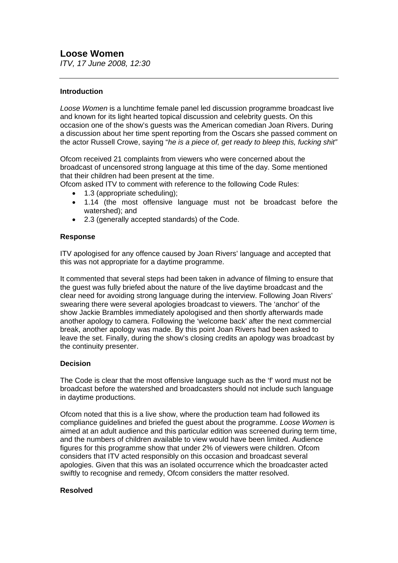*ITV, 17 June 2008, 12:30* 

## **Introduction**

*Loose Women* is a lunchtime female panel led discussion programme broadcast live and known for its light hearted topical discussion and celebrity guests. On this occasion one of the show's guests was the American comedian Joan Rivers. During a discussion about her time spent reporting from the Oscars she passed comment on the actor Russell Crowe, saying "*he is a piece of, get ready to bleep this, fucking shit"*

Ofcom received 21 complaints from viewers who were concerned about the broadcast of uncensored strong language at this time of the day. Some mentioned that their children had been present at the time.

Ofcom asked ITV to comment with reference to the following Code Rules:

- 1.3 (appropriate scheduling);
- 1.14 (the most offensive language must not be broadcast before the watershed); and
- 2.3 (generally accepted standards) of the Code.

## **Response**

ITV apologised for any offence caused by Joan Rivers' language and accepted that this was not appropriate for a daytime programme.

It commented that several steps had been taken in advance of filming to ensure that the guest was fully briefed about the nature of the live daytime broadcast and the clear need for avoiding strong language during the interview. Following Joan Rivers' swearing there were several apologies broadcast to viewers. The 'anchor' of the show Jackie Brambles immediately apologised and then shortly afterwards made another apology to camera. Following the 'welcome back' after the next commercial break, another apology was made. By this point Joan Rivers had been asked to leave the set. Finally, during the show's closing credits an apology was broadcast by the continuity presenter.

## **Decision**

The Code is clear that the most offensive language such as the 'f' word must not be broadcast before the watershed and broadcasters should not include such language in daytime productions.

Ofcom noted that this is a live show, where the production team had followed its compliance guidelines and briefed the guest about the programme. *Loose Women* is aimed at an adult audience and this particular edition was screened during term time, and the numbers of children available to view would have been limited. Audience figures for this programme show that under 2% of viewers were children. Ofcom considers that ITV acted responsibly on this occasion and broadcast several apologies. Given that this was an isolated occurrence which the broadcaster acted swiftly to recognise and remedy, Ofcom considers the matter resolved.

## **Resolved**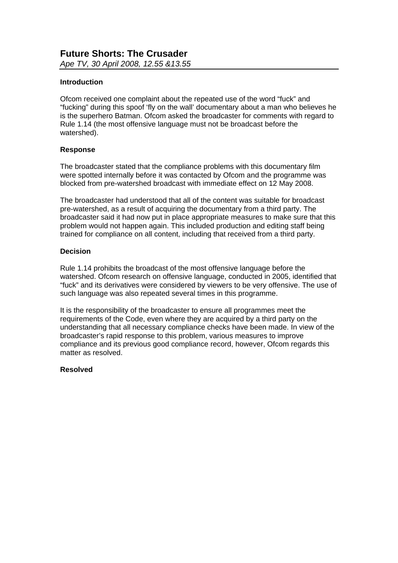## **Introduction**

Ofcom received one complaint about the repeated use of the word "fuck" and "fucking" during this spoof 'fly on the wall' documentary about a man who believes he is the superhero Batman. Ofcom asked the broadcaster for comments with regard to Rule 1.14 (the most offensive language must not be broadcast before the watershed).

## **Response**

The broadcaster stated that the compliance problems with this documentary film were spotted internally before it was contacted by Ofcom and the programme was blocked from pre-watershed broadcast with immediate effect on 12 May 2008.

The broadcaster had understood that all of the content was suitable for broadcast pre-watershed, as a result of acquiring the documentary from a third party. The broadcaster said it had now put in place appropriate measures to make sure that this problem would not happen again. This included production and editing staff being trained for compliance on all content, including that received from a third party.

## **Decision**

Rule 1.14 prohibits the broadcast of the most offensive language before the watershed. Ofcom research on offensive language, conducted in 2005, identified that "fuck" and its derivatives were considered by viewers to be very offensive. The use of such language was also repeated several times in this programme.

It is the responsibility of the broadcaster to ensure all programmes meet the requirements of the Code, even where they are acquired by a third party on the understanding that all necessary compliance checks have been made. In view of the broadcaster's rapid response to this problem, various measures to improve compliance and its previous good compliance record, however, Ofcom regards this matter as resolved.

## **Resolved**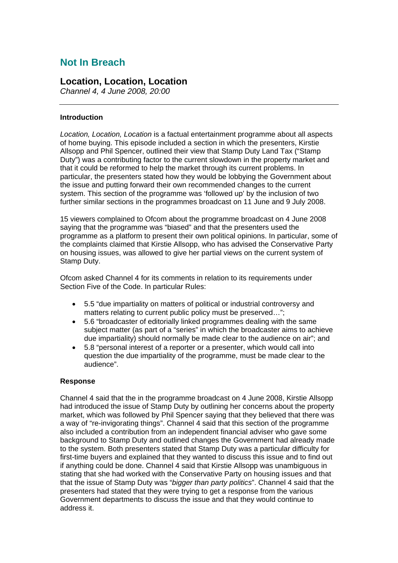## **Not In Breach**

## **Location, Location, Location**

*Channel 4, 4 June 2008, 20:00* 

## **Introduction**

*Location, Location, Location* is a factual entertainment programme about all aspects of home buying. This episode included a section in which the presenters, Kirstie Allsopp and Phil Spencer, outlined their view that Stamp Duty Land Tax ("Stamp Duty") was a contributing factor to the current slowdown in the property market and that it could be reformed to help the market through its current problems. In particular, the presenters stated how they would be lobbying the Government about the issue and putting forward their own recommended changes to the current system. This section of the programme was 'followed up' by the inclusion of two further similar sections in the programmes broadcast on 11 June and 9 July 2008.

15 viewers complained to Ofcom about the programme broadcast on 4 June 2008 saying that the programme was "biased" and that the presenters used the programme as a platform to present their own political opinions. In particular, some of the complaints claimed that Kirstie Allsopp, who has advised the Conservative Party on housing issues, was allowed to give her partial views on the current system of Stamp Duty.

Ofcom asked Channel 4 for its comments in relation to its requirements under Section Five of the Code. In particular Rules:

- 5.5 "due impartiality on matters of political or industrial controversy and matters relating to current public policy must be preserved…";
- 5.6 "broadcaster of editorially linked programmes dealing with the same subject matter (as part of a "series" in which the broadcaster aims to achieve due impartiality) should normally be made clear to the audience on air"; and
- 5.8 "personal interest of a reporter or a presenter, which would call into question the due impartiality of the programme, must be made clear to the audience".

## **Response**

Channel 4 said that the in the programme broadcast on 4 June 2008, Kirstie Allsopp had introduced the issue of Stamp Duty by outlining her concerns about the property market, which was followed by Phil Spencer saying that they believed that there was a way of "re-invigorating things". Channel 4 said that this section of the programme also included a contribution from an independent financial adviser who gave some background to Stamp Duty and outlined changes the Government had already made to the system. Both presenters stated that Stamp Duty was a particular difficulty for first-time buyers and explained that they wanted to discuss this issue and to find out if anything could be done. Channel 4 said that Kirstie Allsopp was unambiguous in stating that she had worked with the Conservative Party on housing issues and that that the issue of Stamp Duty was "*bigger than party politics*". Channel 4 said that the presenters had stated that they were trying to get a response from the various Government departments to discuss the issue and that they would continue to address it.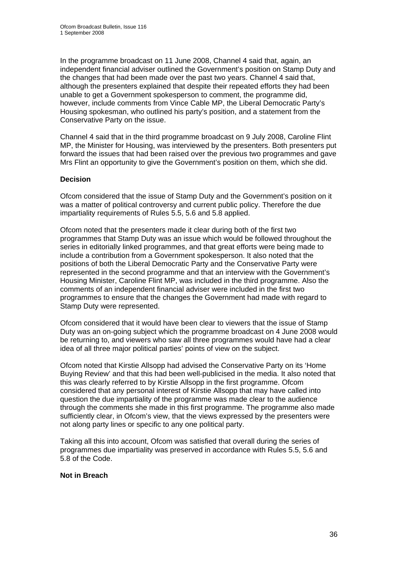In the programme broadcast on 11 June 2008, Channel 4 said that, again, an independent financial adviser outlined the Government's position on Stamp Duty and the changes that had been made over the past two years. Channel 4 said that, although the presenters explained that despite their repeated efforts they had been unable to get a Government spokesperson to comment, the programme did, however, include comments from Vince Cable MP, the Liberal Democratic Party's Housing spokesman, who outlined his party's position, and a statement from the Conservative Party on the issue.

Channel 4 said that in the third programme broadcast on 9 July 2008, Caroline Flint MP, the Minister for Housing, was interviewed by the presenters. Both presenters put forward the issues that had been raised over the previous two programmes and gave Mrs Flint an opportunity to give the Government's position on them, which she did.

## **Decision**

Ofcom considered that the issue of Stamp Duty and the Government's position on it was a matter of political controversy and current public policy. Therefore the due impartiality requirements of Rules 5.5, 5.6 and 5.8 applied.

Ofcom noted that the presenters made it clear during both of the first two programmes that Stamp Duty was an issue which would be followed throughout the series in editorially linked programmes, and that great efforts were being made to include a contribution from a Government spokesperson. It also noted that the positions of both the Liberal Democratic Party and the Conservative Party were represented in the second programme and that an interview with the Government's Housing Minister, Caroline Flint MP, was included in the third programme. Also the comments of an independent financial adviser were included in the first two programmes to ensure that the changes the Government had made with regard to Stamp Duty were represented.

Ofcom considered that it would have been clear to viewers that the issue of Stamp Duty was an on-going subject which the programme broadcast on 4 June 2008 would be returning to, and viewers who saw all three programmes would have had a clear idea of all three major political parties' points of view on the subject.

Ofcom noted that Kirstie Allsopp had advised the Conservative Party on its 'Home Buying Review' and that this had been well-publicised in the media. It also noted that this was clearly referred to by Kirstie Allsopp in the first programme. Ofcom considered that any personal interest of Kirstie Allsopp that may have called into question the due impartiality of the programme was made clear to the audience through the comments she made in this first programme. The programme also made sufficiently clear, in Ofcom's view, that the views expressed by the presenters were not along party lines or specific to any one political party.

Taking all this into account, Ofcom was satisfied that overall during the series of programmes due impartiality was preserved in accordance with Rules 5.5, 5.6 and 5.8 of the Code.

## **Not in Breach**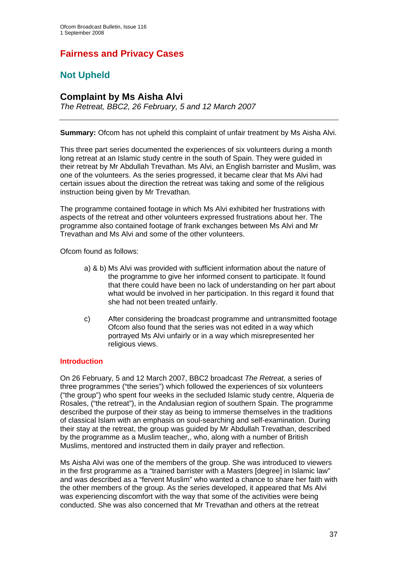# **Fairness and Privacy Cases**

# **Not Upheld**

## **Complaint by Ms Aisha Alvi**

*The Retreat, BBC2, 26 February, 5 and 12 March 2007* 

**Summary:** Ofcom has not upheld this complaint of unfair treatment by Ms Aisha Alvi.

This three part series documented the experiences of six volunteers during a month long retreat at an Islamic study centre in the south of Spain. They were guided in their retreat by Mr Abdullah Trevathan. Ms Alvi, an English barrister and Muslim, was one of the volunteers. As the series progressed, it became clear that Ms Alvi had certain issues about the direction the retreat was taking and some of the religious instruction being given by Mr Trevathan.

The programme contained footage in which Ms Alvi exhibited her frustrations with aspects of the retreat and other volunteers expressed frustrations about her. The programme also contained footage of frank exchanges between Ms Alvi and Mr Trevathan and Ms Alvi and some of the other volunteers.

Ofcom found as follows:

- a) & b) Ms Alvi was provided with sufficient information about the nature of the programme to give her informed consent to participate. It found that there could have been no lack of understanding on her part about what would be involved in her participation. In this regard it found that she had not been treated unfairly.
- c) After considering the broadcast programme and untransmitted footage Ofcom also found that the series was not edited in a way which portrayed Ms Alvi unfairly or in a way which misrepresented her religious views.

#### **Introduction**

On 26 February, 5 and 12 March 2007, BBC2 broadcast *The Retreat,* a series of three programmes ("the series") which followed the experiences of six volunteers ("the group") who spent four weeks in the secluded Islamic study centre, Alqueria de Rosales, ("the retreat"), in the Andalusian region of southern Spain. The programme described the purpose of their stay as being to immerse themselves in the traditions of classical Islam with an emphasis on soul-searching and self-examination. During their stay at the retreat, the group was guided by Mr Abdullah Trevathan, described by the programme as a Muslim teacher,, who, along with a number of British Muslims, mentored and instructed them in daily prayer and reflection.

Ms Aisha Alvi was one of the members of the group. She was introduced to viewers in the first programme as a "trained barrister with a Masters [degree] in Islamic law" and was described as a "fervent Muslim" who wanted a chance to share her faith with the other members of the group. As the series developed, it appeared that Ms Alvi was experiencing discomfort with the way that some of the activities were being conducted. She was also concerned that Mr Trevathan and others at the retreat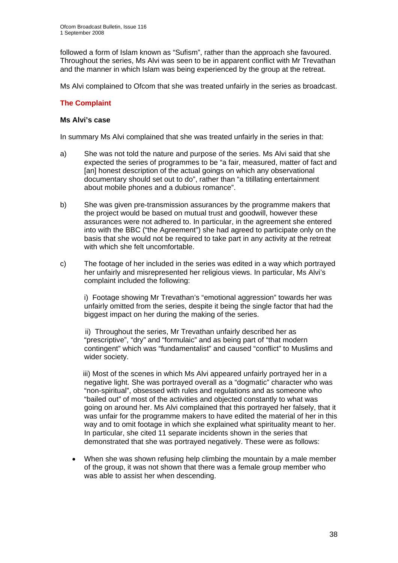followed a form of Islam known as "Sufism", rather than the approach she favoured. Throughout the series, Ms Alvi was seen to be in apparent conflict with Mr Trevathan and the manner in which Islam was being experienced by the group at the retreat.

Ms Alvi complained to Ofcom that she was treated unfairly in the series as broadcast.

#### **The Complaint**

#### **Ms Alvi's case**

In summary Ms Alvi complained that she was treated unfairly in the series in that:

- a) She was not told the nature and purpose of the series. Ms Alvi said that she expected the series of programmes to be "a fair, measured, matter of fact and [an] honest description of the actual goings on which any observational documentary should set out to do", rather than "a titillating entertainment about mobile phones and a dubious romance".
- b) She was given pre-transmission assurances by the programme makers that the project would be based on mutual trust and goodwill, however these assurances were not adhered to. In particular, in the agreement she entered into with the BBC ("the Agreement") she had agreed to participate only on the basis that she would not be required to take part in any activity at the retreat with which she felt uncomfortable.
- c) The footage of her included in the series was edited in a way which portrayed her unfairly and misrepresented her religious views. In particular, Ms Alvi's complaint included the following:

i) Footage showing Mr Trevathan's "emotional aggression" towards her was unfairly omitted from the series, despite it being the single factor that had the biggest impact on her during the making of the series.

 ii) Throughout the series, Mr Trevathan unfairly described her as "prescriptive", "dry" and "formulaic" and as being part of "that modern contingent" which was "fundamentalist" and caused "conflict" to Muslims and wider society.

 iii) Most of the scenes in which Ms Alvi appeared unfairly portrayed her in a negative light. She was portrayed overall as a "dogmatic" character who was "non-spiritual", obsessed with rules and regulations and as someone who "bailed out" of most of the activities and objected constantly to what was going on around her. Ms Alvi complained that this portrayed her falsely, that it was unfair for the programme makers to have edited the material of her in this way and to omit footage in which she explained what spirituality meant to her. In particular, she cited 11 separate incidents shown in the series that demonstrated that she was portrayed negatively. These were as follows:

When she was shown refusing help climbing the mountain by a male member of the group, it was not shown that there was a female group member who was able to assist her when descending.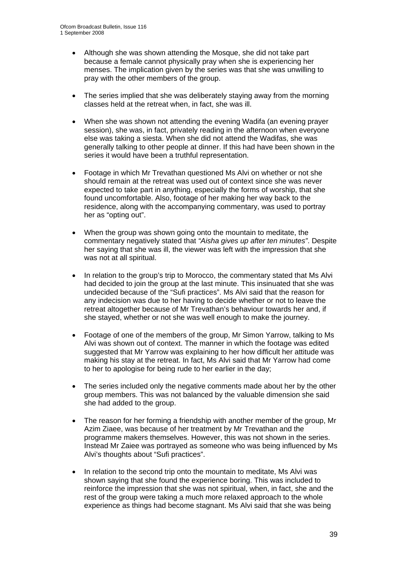- Although she was shown attending the Mosque, she did not take part because a female cannot physically pray when she is experiencing her menses. The implication given by the series was that she was unwilling to pray with the other members of the group.
- The series implied that she was deliberately staying away from the morning classes held at the retreat when, in fact, she was ill.
- When she was shown not attending the evening Wadifa (an evening prayer session), she was, in fact, privately reading in the afternoon when everyone else was taking a siesta. When she did not attend the Wadifas, she was generally talking to other people at dinner. If this had have been shown in the series it would have been a truthful representation.
- Footage in which Mr Trevathan questioned Ms Alvi on whether or not she should remain at the retreat was used out of context since she was never expected to take part in anything, especially the forms of worship, that she found uncomfortable. Also, footage of her making her way back to the residence, along with the accompanying commentary, was used to portray her as "opting out".
- When the group was shown going onto the mountain to meditate, the commentary negatively stated that *"Aisha gives up after ten minutes"*. Despite her saying that she was ill, the viewer was left with the impression that she was not at all spiritual.
- In relation to the group's trip to Morocco, the commentary stated that Ms Alvi had decided to join the group at the last minute. This insinuated that she was undecided because of the "Sufi practices". Ms Alvi said that the reason for any indecision was due to her having to decide whether or not to leave the retreat altogether because of Mr Trevathan's behaviour towards her and, if she stayed, whether or not she was well enough to make the journey.
- Footage of one of the members of the group, Mr Simon Yarrow, talking to Ms Alvi was shown out of context. The manner in which the footage was edited suggested that Mr Yarrow was explaining to her how difficult her attitude was making his stay at the retreat. In fact, Ms Alvi said that Mr Yarrow had come to her to apologise for being rude to her earlier in the day;
- The series included only the negative comments made about her by the other group members. This was not balanced by the valuable dimension she said she had added to the group.
- The reason for her forming a friendship with another member of the group, Mr Azim Ziaee, was because of her treatment by Mr Trevathan and the programme makers themselves. However, this was not shown in the series. Instead Mr Zaiee was portrayed as someone who was being influenced by Ms Alvi's thoughts about "Sufi practices".
- In relation to the second trip onto the mountain to meditate, Ms Alvi was shown saying that she found the experience boring. This was included to reinforce the impression that she was not spiritual, when, in fact, she and the rest of the group were taking a much more relaxed approach to the whole experience as things had become stagnant. Ms Alvi said that she was being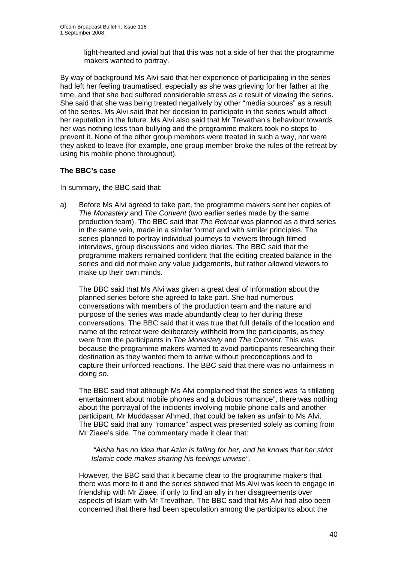light-hearted and jovial but that this was not a side of her that the programme makers wanted to portray.

By way of background Ms Alvi said that her experience of participating in the series had left her feeling traumatised, especially as she was grieving for her father at the time, and that she had suffered considerable stress as a result of viewing the series. She said that she was being treated negatively by other "media sources" as a result of the series. Ms Alvi said that her decision to participate in the series would affect her reputation in the future. Ms Alvi also said that Mr Trevathan's behaviour towards her was nothing less than bullying and the programme makers took no steps to prevent it. None of the other group members were treated in such a way, nor were they asked to leave (for example, one group member broke the rules of the retreat by using his mobile phone throughout).

#### **The BBC's case**

In summary, the BBC said that:

a) Before Ms Alvi agreed to take part, the programme makers sent her copies of *The Monastery* and *The Convent* (two earlier series made by the same production team). The BBC said that *The Retreat* was planned as a third series in the same vein, made in a similar format and with similar principles. The series planned to portray individual journeys to viewers through filmed interviews, group discussions and video diaries. The BBC said that the programme makers remained confident that the editing created balance in the series and did not make any value judgements, but rather allowed viewers to make up their own minds.

The BBC said that Ms Alvi was given a great deal of information about the planned series before she agreed to take part. She had numerous conversations with members of the production team and the nature and purpose of the series was made abundantly clear to her during these conversations. The BBC said that it was true that full details of the location and name of the retreat were deliberately withheld from the participants, as they were from the participants in *The Monastery* and *The Convent*. This was because the programme makers wanted to avoid participants researching their destination as they wanted them to arrive without preconceptions and to capture their unforced reactions. The BBC said that there was no unfairness in doing so.

The BBC said that although Ms Alvi complained that the series was "a titillating entertainment about mobile phones and a dubious romance", there was nothing about the portrayal of the incidents involving mobile phone calls and another participant, Mr Muddassar Ahmed, that could be taken as unfair to Ms Alvi. The BBC said that any "romance" aspect was presented solely as coming from Mr Ziaee's side. The commentary made it clear that:

*"Aisha has no idea that Azim is falling for her, and he knows that her strict Islamic code makes sharing his feelings unwise"*.

However, the BBC said that it became clear to the programme makers that there was more to it and the series showed that Ms Alvi was keen to engage in friendship with Mr Ziaee, if only to find an ally in her disagreements over aspects of Islam with Mr Trevathan. The BBC said that Ms Alvi had also been concerned that there had been speculation among the participants about the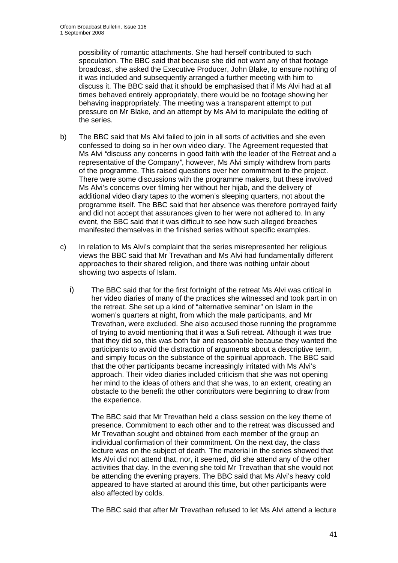possibility of romantic attachments. She had herself contributed to such speculation. The BBC said that because she did not want any of that footage broadcast, she asked the Executive Producer, John Blake, to ensure nothing of it was included and subsequently arranged a further meeting with him to discuss it. The BBC said that it should be emphasised that if Ms Alvi had at all times behaved entirely appropriately, there would be no footage showing her behaving inappropriately. The meeting was a transparent attempt to put pressure on Mr Blake, and an attempt by Ms Alvi to manipulate the editing of the series.

- b) The BBC said that Ms Alvi failed to join in all sorts of activities and she even confessed to doing so in her own video diary. The Agreement requested that Ms Alvi *"*discuss any concerns in good faith with the leader of the Retreat and a representative of the Company*"*, however, Ms Alvi simply withdrew from parts of the programme. This raised questions over her commitment to the project. There were some discussions with the programme makers, but these involved Ms Alvi's concerns over filming her without her hijab, and the delivery of additional video diary tapes to the women's sleeping quarters, not about the programme itself. The BBC said that her absence was therefore portrayed fairly and did not accept that assurances given to her were not adhered to. In any event, the BBC said that it was difficult to see how such alleged breaches manifested themselves in the finished series without specific examples.
- c) In relation to Ms Alvi's complaint that the series misrepresented her religious views the BBC said that Mr Trevathan and Ms Alvi had fundamentally different approaches to their shared religion, and there was nothing unfair about showing two aspects of Islam.
	- i) The BBC said that for the first fortnight of the retreat Ms Alvi was critical in her video diaries of many of the practices she witnessed and took part in on the retreat. She set up a kind of "alternative seminar" on Islam in the women's quarters at night, from which the male participants, and Mr Trevathan, were excluded. She also accused those running the programme of trying to avoid mentioning that it was a Sufi retreat. Although it was true that they did so, this was both fair and reasonable because they wanted the participants to avoid the distraction of arguments about a descriptive term, and simply focus on the substance of the spiritual approach. The BBC said that the other participants became increasingly irritated with Ms Alvi's approach. Their video diaries included criticism that she was not opening her mind to the ideas of others and that she was, to an extent, creating an obstacle to the benefit the other contributors were beginning to draw from the experience.

The BBC said that Mr Trevathan held a class session on the key theme of presence. Commitment to each other and to the retreat was discussed and Mr Trevathan sought and obtained from each member of the group an individual confirmation of their commitment. On the next day, the class lecture was on the subject of death. The material in the series showed that Ms Alvi did not attend that, nor, it seemed, did she attend any of the other activities that day. In the evening she told Mr Trevathan that she would not be attending the evening prayers. The BBC said that Ms Alvi's heavy cold appeared to have started at around this time, but other participants were also affected by colds.

The BBC said that after Mr Trevathan refused to let Ms Alvi attend a lecture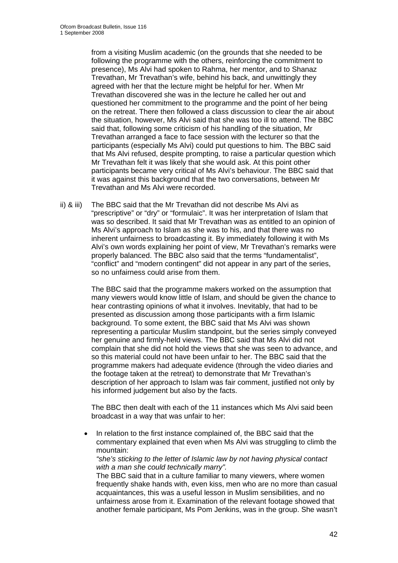from a visiting Muslim academic (on the grounds that she needed to be following the programme with the others, reinforcing the commitment to presence), Ms Alvi had spoken to Rahma, her mentor, and to Shanaz Trevathan, Mr Trevathan's wife, behind his back, and unwittingly they agreed with her that the lecture might be helpful for her. When Mr Trevathan discovered she was in the lecture he called her out and questioned her commitment to the programme and the point of her being on the retreat. There then followed a class discussion to clear the air about the situation, however, Ms Alvi said that she was too ill to attend. The BBC said that, following some criticism of his handling of the situation, Mr Trevathan arranged a face to face session with the lecturer so that the participants (especially Ms Alvi) could put questions to him. The BBC said that Ms Alvi refused, despite prompting, to raise a particular question which Mr Trevathan felt it was likely that she would ask. At this point other participants became very critical of Ms Alvi's behaviour. The BBC said that it was against this background that the two conversations, between Mr Trevathan and Ms Alvi were recorded.

ii) & iii) The BBC said that the Mr Trevathan did not describe Ms Alvi as "prescriptive" or "dry" or "formulaic". It was her interpretation of Islam that was so described. It said that Mr Trevathan was as entitled to an opinion of Ms Alvi's approach to Islam as she was to his, and that there was no inherent unfairness to broadcasting it. By immediately following it with Ms Alvi's own words explaining her point of view, Mr Trevathan's remarks were properly balanced. The BBC also said that the terms "fundamentalist", "conflict" and "modern contingent" did not appear in any part of the series, so no unfairness could arise from them.

> The BBC said that the programme makers worked on the assumption that many viewers would know little of Islam, and should be given the chance to hear contrasting opinions of what it involves. Inevitably, that had to be presented as discussion among those participants with a firm Islamic background. To some extent, the BBC said that Ms Alvi was shown representing a particular Muslim standpoint, but the series simply conveyed her genuine and firmly-held views. The BBC said that Ms Alvi did not complain that she did not hold the views that she was seen to advance, and so this material could not have been unfair to her. The BBC said that the programme makers had adequate evidence (through the video diaries and the footage taken at the retreat) to demonstrate that Mr Trevathan's description of her approach to Islam was fair comment, justified not only by his informed judgement but also by the facts.

The BBC then dealt with each of the 11 instances which Ms Alvi said been broadcast in a way that was unfair to her:

• In relation to the first instance complained of, the BBC said that the commentary explained that even when Ms Alvi was struggling to climb the mountain:

*"she's sticking to the letter of Islamic law by not having physical contact with a man she could technically marry".* 

The BBC said that in a culture familiar to many viewers, where women frequently shake hands with, even kiss, men who are no more than casual acquaintances, this was a useful lesson in Muslim sensibilities, and no unfairness arose from it. Examination of the relevant footage showed that another female participant, Ms Pom Jenkins, was in the group. She wasn't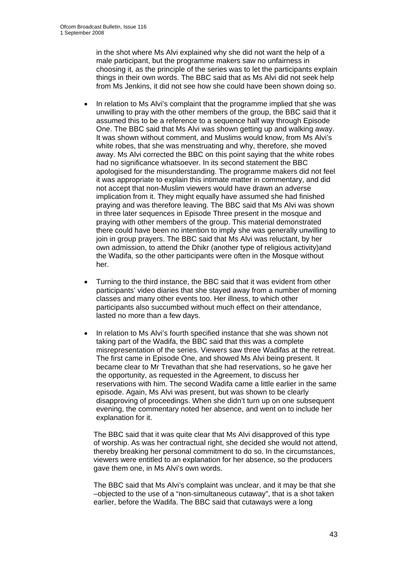in the shot where Ms Alvi explained why she did not want the help of a male participant, but the programme makers saw no unfairness in choosing it, as the principle of the series was to let the participants explain things in their own words. The BBC said that as Ms Alvi did not seek help from Ms Jenkins, it did not see how she could have been shown doing so.

- In relation to Ms Alvi's complaint that the programme implied that she was unwilling to pray with the other members of the group, the BBC said that it assumed this to be a reference to a sequence half way through Episode One. The BBC said that Ms Alvi was shown getting up and walking away. It was shown without comment, and Muslims would know, from Ms Alvi's white robes, that she was menstruating and why, therefore, she moved away. Ms Alvi corrected the BBC on this point saying that the white robes had no significance whatsoever. In its second statement the BBC apologised for the misunderstanding. The programme makers did not feel it was appropriate to explain this intimate matter in commentary, and did not accept that non-Muslim viewers would have drawn an adverse implication from it. They might equally have assumed she had finished praying and was therefore leaving. The BBC said that Ms Alvi was shown in three later sequences in Episode Three present in the mosque and praying with other members of the group. This material demonstrated there could have been no intention to imply she was generally unwilling to join in group prayers. The BBC said that Ms Alvi was reluctant, by her own admission, to attend the Dhikr (another type of religious activity)and the Wadifa, so the other participants were often in the Mosque without her.
- Turning to the third instance, the BBC said that it was evident from other participants' video diaries that she stayed away from a number of morning classes and many other events too. Her illness, to which other participants also succumbed without much effect on their attendance, lasted no more than a few days.
- In relation to Ms Alvi's fourth specified instance that she was shown not taking part of the Wadifa, the BBC said that this was a complete misrepresentation of the series. Viewers saw three Wadifas at the retreat. The first came in Episode One, and showed Ms Alvi being present. It became clear to Mr Trevathan that she had reservations, so he gave her the opportunity, as requested in the Agreement, to discuss her reservations with him. The second Wadifa came a little earlier in the same episode. Again, Ms Alvi was present, but was shown to be clearly disapproving of proceedings. When she didn't turn up on one subsequent evening, the commentary noted her absence, and went on to include her explanation for it.

The BBC said that it was quite clear that Ms Alvi disapproved of this type of worship. As was her contractual right, she decided she would not attend, thereby breaking her personal commitment to do so. In the circumstances, viewers were entitled to an explanation for her absence, so the producers gave them one, in Ms Alvi's own words.

The BBC said that Ms Alvi's complaint was unclear, and it may be that she –objected to the use of a "non-simultaneous cutaway", that is a shot taken earlier, before the Wadifa. The BBC said that cutaways were a long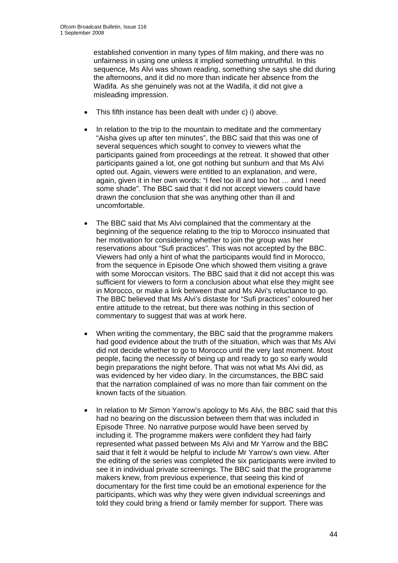established convention in many types of film making, and there was no unfairness in using one unless it implied something untruthful. In this sequence, Ms Alvi was shown reading, something she says she did during the afternoons, and it did no more than indicate her absence from the Wadifa. As she genuinely was not at the Wadifa, it did not give a misleading impression.

- This fifth instance has been dealt with under c) i) above.
- In relation to the trip to the mountain to meditate and the commentary "Aisha gives up after ten minutes", the BBC said that this was one of several sequences which sought to convey to viewers what the participants gained from proceedings at the retreat. It showed that other participants gained a lot, one got nothing but sunburn and that Ms Alvi opted out. Again, viewers were entitled to an explanation, and were, again, given it in her own words: "I feel too ill and too hot … and I need some shade". The BBC said that it did not accept viewers could have drawn the conclusion that she was anything other than ill and uncomfortable.
- The BBC said that Ms Alvi complained that the commentary at the beginning of the sequence relating to the trip to Morocco insinuated that her motivation for considering whether to join the group was her reservations about "Sufi practices". This was not accepted by the BBC. Viewers had only a hint of what the participants would find in Morocco, from the sequence in Episode One which showed them visiting a grave with some Moroccan visitors. The BBC said that it did not accept this was sufficient for viewers to form a conclusion about what else they might see in Morocco, or make a link between that and Ms Alvi's reluctance to go. The BBC believed that Ms Alvi's distaste for "Sufi practices" coloured her entire attitude to the retreat, but there was nothing in this section of commentary to suggest that was at work here.
- When writing the commentary, the BBC said that the programme makers had good evidence about the truth of the situation, which was that Ms Alvi did not decide whether to go to Morocco until the very last moment. Most people, facing the necessity of being up and ready to go so early would begin preparations the night before. That was not what Ms Alvi did, as was evidenced by her video diary. In the circumstances, the BBC said that the narration complained of was no more than fair comment on the known facts of the situation.
- In relation to Mr Simon Yarrow's apology to Ms Alvi, the BBC said that this had no bearing on the discussion between them that was included in Episode Three. No narrative purpose would have been served by including it. The programme makers were confident they had fairly represented what passed between Ms Alvi and Mr Yarrow and the BBC said that it felt it would be helpful to include Mr Yarrow's own view. After the editing of the series was completed the six participants were invited to see it in individual private screenings. The BBC said that the programme makers knew, from previous experience, that seeing this kind of documentary for the first time could be an emotional experience for the participants, which was why they were given individual screenings and told they could bring a friend or family member for support. There was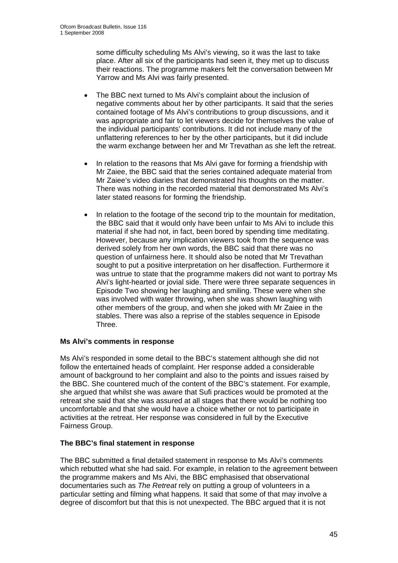some difficulty scheduling Ms Alvi's viewing, so it was the last to take place. After all six of the participants had seen it, they met up to discuss their reactions. The programme makers felt the conversation between Mr Yarrow and Ms Alvi was fairly presented.

- The BBC next turned to Ms Alvi's complaint about the inclusion of negative comments about her by other participants. It said that the series contained footage of Ms Alvi's contributions to group discussions, and it was appropriate and fair to let viewers decide for themselves the value of the individual participants' contributions. It did not include many of the unflattering references to her by the other participants, but it did include the warm exchange between her and Mr Trevathan as she left the retreat.
- In relation to the reasons that Ms Alvi gave for forming a friendship with Mr Zaiee, the BBC said that the series contained adequate material from Mr Zaiee's video diaries that demonstrated his thoughts on the matter. There was nothing in the recorded material that demonstrated Ms Alvi's later stated reasons for forming the friendship.
- In relation to the footage of the second trip to the mountain for meditation, the BBC said that it would only have been unfair to Ms Alvi to include this material if she had not, in fact, been bored by spending time meditating. However, because any implication viewers took from the sequence was derived solely from her own words, the BBC said that there was no question of unfairness here. It should also be noted that Mr Trevathan sought to put a positive interpretation on her disaffection. Furthermore it was untrue to state that the programme makers did not want to portray Ms Alvi's light-hearted or jovial side. There were three separate sequences in Episode Two showing her laughing and smiling. These were when she was involved with water throwing, when she was shown laughing with other members of the group, and when she joked with Mr Zaiee in the stables. There was also a reprise of the stables sequence in Episode Three.

#### **Ms Alvi's comments in response**

Ms Alvi's responded in some detail to the BBC's statement although she did not follow the entertained heads of complaint. Her response added a considerable amount of background to her complaint and also to the points and issues raised by the BBC. She countered much of the content of the BBC's statement. For example, she argued that whilst she was aware that Sufi practices would be promoted at the retreat she said that she was assured at all stages that there would be nothing too uncomfortable and that she would have a choice whether or not to participate in activities at the retreat. Her response was considered in full by the Executive Fairness Group.

#### **The BBC's final statement in response**

The BBC submitted a final detailed statement in response to Ms Alvi's comments which rebutted what she had said. For example, in relation to the agreement between the programme makers and Ms Alvi, the BBC emphasised that observational documentaries such as *The Retreat* rely on putting a group of volunteers in a particular setting and filming what happens. It said that some of that may involve a degree of discomfort but that this is not unexpected. The BBC argued that it is not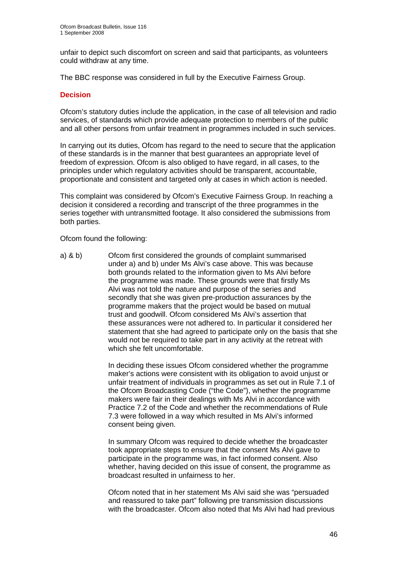unfair to depict such discomfort on screen and said that participants, as volunteers could withdraw at any time.

The BBC response was considered in full by the Executive Fairness Group.

#### **Decision**

Ofcom's statutory duties include the application, in the case of all television and radio services, of standards which provide adequate protection to members of the public and all other persons from unfair treatment in programmes included in such services.

In carrying out its duties, Ofcom has regard to the need to secure that the application of these standards is in the manner that best guarantees an appropriate level of freedom of expression. Ofcom is also obliged to have regard, in all cases, to the principles under which regulatory activities should be transparent, accountable, proportionate and consistent and targeted only at cases in which action is needed.

This complaint was considered by Ofcom's Executive Fairness Group. In reaching a decision it considered a recording and transcript of the three programmes in the series together with untransmitted footage. It also considered the submissions from both parties.

Ofcom found the following:

a) & b) Ofcom first considered the grounds of complaint summarised under a) and b) under Ms Alvi's case above. This was because both grounds related to the information given to Ms Alvi before the programme was made. These grounds were that firstly Ms Alvi was not told the nature and purpose of the series and secondly that she was given pre-production assurances by the programme makers that the project would be based on mutual trust and goodwill. Ofcom considered Ms Alvi's assertion that these assurances were not adhered to. In particular it considered her statement that she had agreed to participate only on the basis that she would not be required to take part in any activity at the retreat with which she felt uncomfortable.

> In deciding these issues Ofcom considered whether the programme maker's actions were consistent with its obligation to avoid unjust or unfair treatment of individuals in programmes as set out in Rule 7.1 of the Ofcom Broadcasting Code ("the Code"), whether the programme makers were fair in their dealings with Ms Alvi in accordance with Practice 7.2 of the Code and whether the recommendations of Rule 7.3 were followed in a way which resulted in Ms Alvi's informed consent being given.

 In summary Ofcom was required to decide whether the broadcaster took appropriate steps to ensure that the consent Ms Alvi gave to participate in the programme was, in fact informed consent. Also whether, having decided on this issue of consent, the programme as broadcast resulted in unfairness to her.

 Ofcom noted that in her statement Ms Alvi said she was "persuaded and reassured to take part" following pre transmission discussions with the broadcaster. Ofcom also noted that Ms Alvi had had previous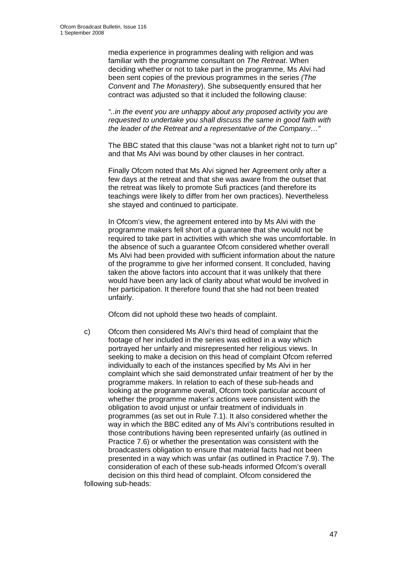media experience in programmes dealing with religion and was familiar with the programme consultant on *The Retreat*. When deciding whether or not to take part in the programme, Ms Alvi had been sent copies of the previous programmes in the series *(The Convent* and *The Monastery*). She subsequently ensured that her contract was adjusted so that it included the following clause:

 *"..in the event you are unhappy about any proposed activity you are requested to undertake you shall discuss the same in good faith with the leader of the Retreat and a representative of the Company…"* 

 The BBC stated that this clause "was not a blanket right not to turn up" and that Ms Alvi was bound by other clauses in her contract.

 Finally Ofcom noted that Ms Alvi signed her Agreement only after a few days at the retreat and that she was aware from the outset that the retreat was likely to promote Sufi practices (and therefore its teachings were likely to differ from her own practices). Nevertheless she stayed and continued to participate.

 In Ofcom's view, the agreement entered into by Ms Alvi with the programme makers fell short of a guarantee that she would not be required to take part in activities with which she was uncomfortable. In the absence of such a guarantee Ofcom considered whether overall Ms Alvi had been provided with sufficient information about the nature of the programme to give her informed consent. It concluded, having taken the above factors into account that it was unlikely that there would have been any lack of clarity about what would be involved in her participation. It therefore found that she had not been treated unfairly.

Ofcom did not uphold these two heads of complaint.

c) Ofcom then considered Ms Alvi's third head of complaint that the footage of her included in the series was edited in a way which portrayed her unfairly and misrepresented her religious views. In seeking to make a decision on this head of complaint Ofcom referred individually to each of the instances specified by Ms Alvi in her complaint which she said demonstrated unfair treatment of her by the programme makers. In relation to each of these sub-heads and looking at the programme overall, Ofcom took particular account of whether the programme maker's actions were consistent with the obligation to avoid unjust or unfair treatment of individuals in programmes (as set out in Rule 7.1). It also considered whether the way in which the BBC edited any of Ms Alvi's contributions resulted in those contributions having been represented unfairly (as outlined in Practice 7.6) or whether the presentation was consistent with the broadcasters obligation to ensure that material facts had not been presented in a way which was unfair (as outlined in Practice 7.9). The consideration of each of these sub-heads informed Ofcom's overall decision on this third head of complaint. Ofcom considered the following sub-heads: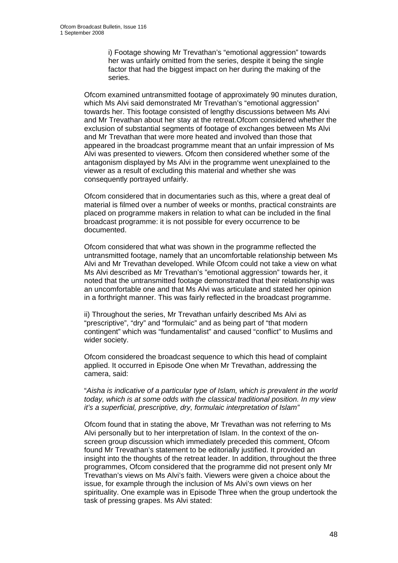i) Footage showing Mr Trevathan's "emotional aggression" towards her was unfairly omitted from the series, despite it being the single factor that had the biggest impact on her during the making of the series.

Ofcom examined untransmitted footage of approximately 90 minutes duration, which Ms Alvi said demonstrated Mr Trevathan's "emotional aggression" towards her. This footage consisted of lengthy discussions between Ms Alvi and Mr Trevathan about her stay at the retreat.Ofcom considered whether the exclusion of substantial segments of footage of exchanges between Ms Alvi and Mr Trevathan that were more heated and involved than those that appeared in the broadcast programme meant that an unfair impression of Ms Alvi was presented to viewers. Ofcom then considered whether some of the antagonism displayed by Ms Alvi in the programme went unexplained to the viewer as a result of excluding this material and whether she was consequently portrayed unfairly.

Ofcom considered that in documentaries such as this, where a great deal of material is filmed over a number of weeks or months, practical constraints are placed on programme makers in relation to what can be included in the final broadcast programme: it is not possible for every occurrence to be documented.

Ofcom considered that what was shown in the programme reflected the untransmitted footage, namely that an uncomfortable relationship between Ms Alvi and Mr Trevathan developed. While Ofcom could not take a view on what Ms Alvi described as Mr Trevathan's "emotional aggression" towards her, it noted that the untransmitted footage demonstrated that their relationship was an uncomfortable one and that Ms Alvi was articulate and stated her opinion in a forthright manner. This was fairly reflected in the broadcast programme.

ii) Throughout the series, Mr Trevathan unfairly described Ms Alvi as "prescriptive", "dry" and "formulaic" and as being part of "that modern contingent" which was "fundamentalist" and caused "conflict" to Muslims and wider society.

Ofcom considered the broadcast sequence to which this head of complaint applied. It occurred in Episode One when Mr Trevathan, addressing the camera, said:

"*Aisha is indicative of a particular type of Islam, which is prevalent in the world today, which is at some odds with the classical traditional position. In my view it's a superficial, prescriptive, dry, formulaic interpretation of Islam"* 

Ofcom found that in stating the above, Mr Trevathan was not referring to Ms Alvi personally but to her interpretation of Islam. In the context of the onscreen group discussion which immediately preceded this comment, Ofcom found Mr Trevathan's statement to be editorially justified. It provided an insight into the thoughts of the retreat leader. In addition, throughout the three programmes, Ofcom considered that the programme did not present only Mr Trevathan's views on Ms Alvi's faith. Viewers were given a choice about the issue, for example through the inclusion of Ms Alvi's own views on her spirituality. One example was in Episode Three when the group undertook the task of pressing grapes. Ms Alvi stated: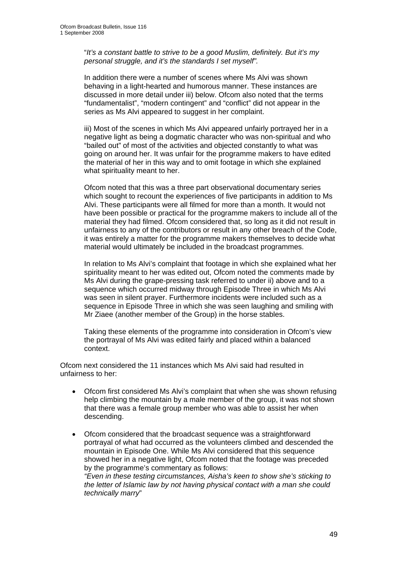"*It's a constant battle to strive to be a good Muslim, definitely. But it's my personal struggle, and it's the standards I set myself".* 

In addition there were a number of scenes where Ms Alvi was shown behaving in a light-hearted and humorous manner. These instances are discussed in more detail under iii) below. Ofcom also noted that the terms "fundamentalist", "modern contingent" and "conflict" did not appear in the series as Ms Alvi appeared to suggest in her complaint.

iii) Most of the scenes in which Ms Alvi appeared unfairly portrayed her in a negative light as being a dogmatic character who was non-spiritual and who "bailed out" of most of the activities and objected constantly to what was going on around her. It was unfair for the programme makers to have edited the material of her in this way and to omit footage in which she explained what spirituality meant to her.

Ofcom noted that this was a three part observational documentary series which sought to recount the experiences of five participants in addition to Ms Alvi. These participants were all filmed for more than a month. It would not have been possible or practical for the programme makers to include all of the material they had filmed. Ofcom considered that, so long as it did not result in unfairness to any of the contributors or result in any other breach of the Code, it was entirely a matter for the programme makers themselves to decide what material would ultimately be included in the broadcast programmes.

In relation to Ms Alvi's complaint that footage in which she explained what her spirituality meant to her was edited out, Ofcom noted the comments made by Ms Alvi during the grape-pressing task referred to under ii) above and to a sequence which occurred midway through Episode Three in which Ms Alvi was seen in silent prayer. Furthermore incidents were included such as a sequence in Episode Three in which she was seen laughing and smiling with Mr Ziaee (another member of the Group) in the horse stables.

Taking these elements of the programme into consideration in Ofcom's view the portrayal of Ms Alvi was edited fairly and placed within a balanced context.

Ofcom next considered the 11 instances which Ms Alvi said had resulted in unfairness to her:

- Ofcom first considered Ms Alvi's complaint that when she was shown refusing help climbing the mountain by a male member of the group, it was not shown that there was a female group member who was able to assist her when descending.
- Ofcom considered that the broadcast sequence was a straightforward portrayal of what had occurred as the volunteers climbed and descended the mountain in Episode One. While Ms Alvi considered that this sequence showed her in a negative light, Ofcom noted that the footage was preceded by the programme's commentary as follows:  *"Even in these testing circumstances, Aisha's keen to show she's sticking to the letter of Islamic law by not having physical contact with a man she could technically marry*"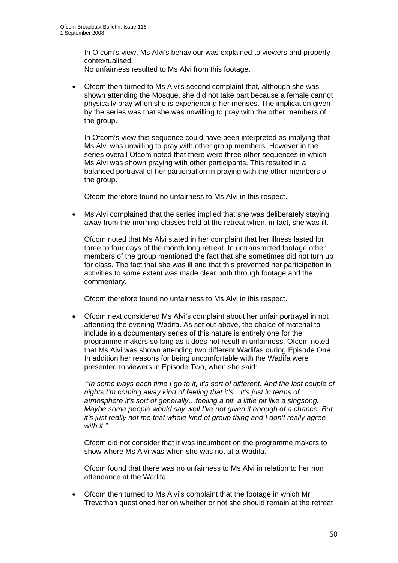In Ofcom's view, Ms Alvi's behaviour was explained to viewers and properly contextualised.

No unfairness resulted to Ms Alvi from this footage.

• Ofcom then turned to Ms Alvi's second complaint that, although she was shown attending the Mosque, she did not take part because a female cannot physically pray when she is experiencing her menses. The implication given by the series was that she was unwilling to pray with the other members of the group.

 In Ofcom's view this sequence could have been interpreted as implying that Ms Alvi was unwilling to pray with other group members. However in the series overall Ofcom noted that there were three other sequences in which Ms Alvi was shown praying with other participants. This resulted in a balanced portrayal of her participation in praying with the other members of the group.

Ofcom therefore found no unfairness to Ms Alvi in this respect.

• Ms Alvi complained that the series implied that she was deliberately staying away from the morning classes held at the retreat when, in fact, she was ill.

 Ofcom noted that Ms Alvi stated in her complaint that her illness lasted for three to four days of the month long retreat. In untransmitted footage other members of the group mentioned the fact that she sometimes did not turn up for class. The fact that she was ill and that this prevented her participation in activities to some extent was made clear both through footage and the commentary.

Ofcom therefore found no unfairness to Ms Alvi in this respect.

• Ofcom next considered Ms Alvi's complaint about her unfair portrayal in not attending the evening Wadifa. As set out above, the choice of material to include in a documentary series of this nature is entirely one for the programme makers so long as it does not result in unfairness. Ofcom noted that Ms Alvi was shown attending two different Wadifas during Episode One. In addition her reasons for being uncomfortable with the Wadifa were presented to viewers in Episode Two, when she said:

 "*In some ways each time I go to it, it's sort of different. And the last couple of nights I'm coming away kind of feeling that it's…it's just in terms of atmosphere it's sort of generally…feeling a bit, a little bit like a singsong. Maybe some people would say well I've not given it enough of a chance. But it's just really not me that whole kind of group thing and I don't really agree with it."* 

 Ofcom did not consider that it was incumbent on the programme makers to show where Ms Alvi was when she was not at a Wadifa.

 Ofcom found that there was no unfairness to Ms Alvi in relation to her non attendance at the Wadifa.

• Ofcom then turned to Ms Alvi's complaint that the footage in which Mr Trevathan questioned her on whether or not she should remain at the retreat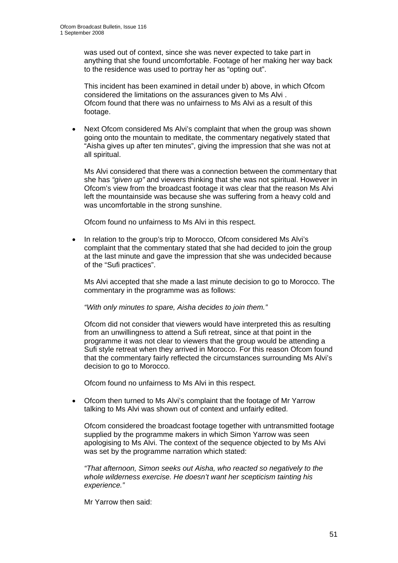was used out of context, since she was never expected to take part in anything that she found uncomfortable. Footage of her making her way back to the residence was used to portray her as "opting out".

 This incident has been examined in detail under b) above, in which Ofcom considered the limitations on the assurances given to Ms Alvi . Ofcom found that there was no unfairness to Ms Alvi as a result of this footage.

Next Ofcom considered Ms Alvi's complaint that when the group was shown going onto the mountain to meditate, the commentary negatively stated that "Aisha gives up after ten minutes", giving the impression that she was not at all spiritual.

 Ms Alvi considered that there was a connection between the commentary that she has *"given up"* and viewers thinking that she was not spiritual. However in Ofcom's view from the broadcast footage it was clear that the reason Ms Alvi left the mountainside was because she was suffering from a heavy cold and was uncomfortable in the strong sunshine.

Ofcom found no unfairness to Ms Alvi in this respect.

• In relation to the group's trip to Morocco, Ofcom considered Ms Alvi's complaint that the commentary stated that she had decided to join the group at the last minute and gave the impression that she was undecided because of the "Sufi practices".

 Ms Alvi accepted that she made a last minute decision to go to Morocco. The commentary in the programme was as follows:

 *"With only minutes to spare, Aisha decides to join them."* 

 Ofcom did not consider that viewers would have interpreted this as resulting from an unwillingness to attend a Sufi retreat, since at that point in the programme it was not clear to viewers that the group would be attending a Sufi style retreat when they arrived in Morocco. For this reason Ofcom found that the commentary fairly reflected the circumstances surrounding Ms Alvi's decision to go to Morocco.

Ofcom found no unfairness to Ms Alvi in this respect.

• Ofcom then turned to Ms Alvi's complaint that the footage of Mr Yarrow talking to Ms Alvi was shown out of context and unfairly edited.

 Ofcom considered the broadcast footage together with untransmitted footage supplied by the programme makers in which Simon Yarrow was seen apologising to Ms Alvi. The context of the sequence objected to by Ms Alvi was set by the programme narration which stated:

 *"That afternoon, Simon seeks out Aisha, who reacted so negatively to the whole wilderness exercise. He doesn't want her scepticism tainting his experience."*

Mr Yarrow then said: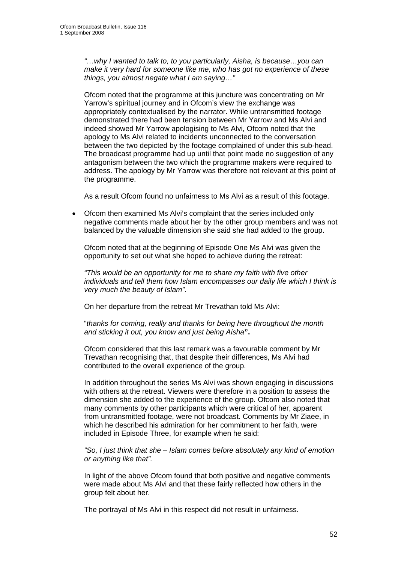*"…why I wanted to talk to, to you particularly, Aisha, is because…you can make it very hard for someone like me, who has got no experience of these things, you almost negate what I am saying…"* 

 Ofcom noted that the programme at this juncture was concentrating on Mr Yarrow's spiritual journey and in Ofcom's view the exchange was appropriately contextualised by the narrator. While untransmitted footage demonstrated there had been tension between Mr Yarrow and Ms Alvi and indeed showed Mr Yarrow apologising to Ms Alvi, Ofcom noted that the apology to Ms Alvi related to incidents unconnected to the conversation between the two depicted by the footage complained of under this sub-head. The broadcast programme had up until that point made no suggestion of any antagonism between the two which the programme makers were required to address. The apology by Mr Yarrow was therefore not relevant at this point of the programme.

As a result Ofcom found no unfairness to Ms Alvi as a result of this footage.

• Ofcom then examined Ms Alvi's complaint that the series included only negative comments made about her by the other group members and was not balanced by the valuable dimension she said she had added to the group.

 Ofcom noted that at the beginning of Episode One Ms Alvi was given the opportunity to set out what she hoped to achieve during the retreat:

 *"This would be an opportunity for me to share my faith with five other individuals and tell them how Islam encompasses our daily life which I think is very much the beauty of Islam".* 

On her departure from the retreat Mr Trevathan told Ms Alvi:

 "*thanks for coming, really and thanks for being here throughout the month and sticking it out, you know and just being Aisha***".** 

 Ofcom considered that this last remark was a favourable comment by Mr Trevathan recognising that, that despite their differences, Ms Alvi had contributed to the overall experience of the group.

 In addition throughout the series Ms Alvi was shown engaging in discussions with others at the retreat. Viewers were therefore in a position to assess the dimension she added to the experience of the group. Ofcom also noted that many comments by other participants which were critical of her, apparent from untransmitted footage, were not broadcast. Comments by Mr Ziaee, in which he described his admiration for her commitment to her faith, were included in Episode Three, for example when he said:

 *"So, I just think that she – Islam comes before absolutely any kind of emotion or anything like that".* 

 In light of the above Ofcom found that both positive and negative comments were made about Ms Alvi and that these fairly reflected how others in the group felt about her.

The portrayal of Ms Alvi in this respect did not result in unfairness.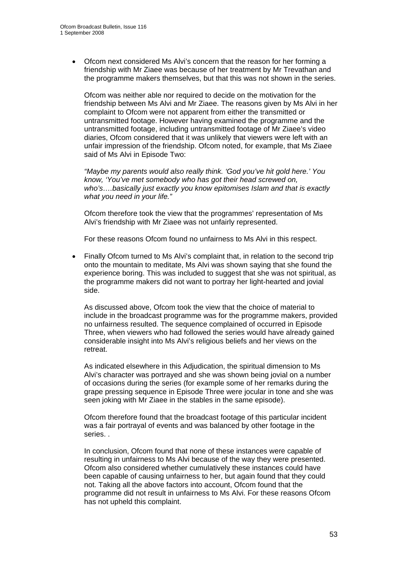• Ofcom next considered Ms Alvi's concern that the reason for her forming a friendship with Mr Ziaee was because of her treatment by Mr Trevathan and the programme makers themselves, but that this was not shown in the series.

 Ofcom was neither able nor required to decide on the motivation for the friendship between Ms Alvi and Mr Ziaee. The reasons given by Ms Alvi in her complaint to Ofcom were not apparent from either the transmitted or untransmitted footage. However having examined the programme and the untransmitted footage, including untransmitted footage of Mr Ziaee's video diaries, Ofcom considered that it was unlikely that viewers were left with an unfair impression of the friendship. Ofcom noted, for example, that Ms Ziaee said of Ms Alvi in Episode Two:

 *"Maybe my parents would also really think. 'God you've hit gold here.' You know, 'You've met somebody who has got their head screwed on, who's….basically just exactly you know epitomises Islam and that is exactly what you need in your life."* 

 Ofcom therefore took the view that the programmes' representation of Ms Alvi's friendship with Mr Ziaee was not unfairly represented.

For these reasons Ofcom found no unfairness to Ms Alvi in this respect.

Finally Ofcom turned to Ms Alvi's complaint that, in relation to the second trip onto the mountain to meditate, Ms Alvi was shown saying that she found the experience boring. This was included to suggest that she was not spiritual, as the programme makers did not want to portray her light-hearted and jovial side.

 As discussed above, Ofcom took the view that the choice of material to include in the broadcast programme was for the programme makers, provided no unfairness resulted. The sequence complained of occurred in Episode Three, when viewers who had followed the series would have already gained considerable insight into Ms Alvi's religious beliefs and her views on the retreat.

 As indicated elsewhere in this Adjudication, the spiritual dimension to Ms Alvi's character was portrayed and she was shown being jovial on a number of occasions during the series (for example some of her remarks during the grape pressing sequence in Episode Three were jocular in tone and she was seen joking with Mr Ziaee in the stables in the same episode).

 Ofcom therefore found that the broadcast footage of this particular incident was a fair portrayal of events and was balanced by other footage in the series. .

 In conclusion, Ofcom found that none of these instances were capable of resulting in unfairness to Ms Alvi because of the way they were presented. Ofcom also considered whether cumulatively these instances could have been capable of causing unfairness to her, but again found that they could not. Taking all the above factors into account, Ofcom found that the programme did not result in unfairness to Ms Alvi. For these reasons Ofcom has not upheld this complaint.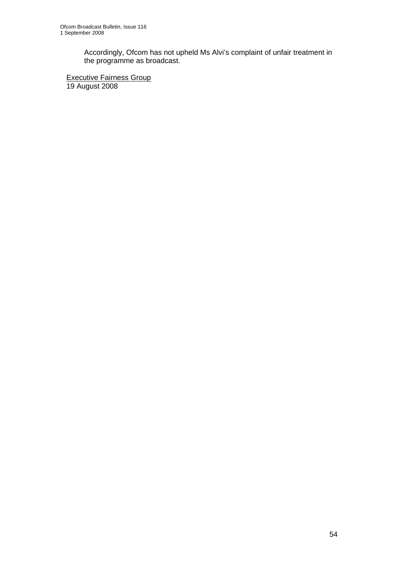Accordingly, Ofcom has not upheld Ms Alvi's complaint of unfair treatment in the programme as broadcast.

**Executive Fairness Group** 19 August 2008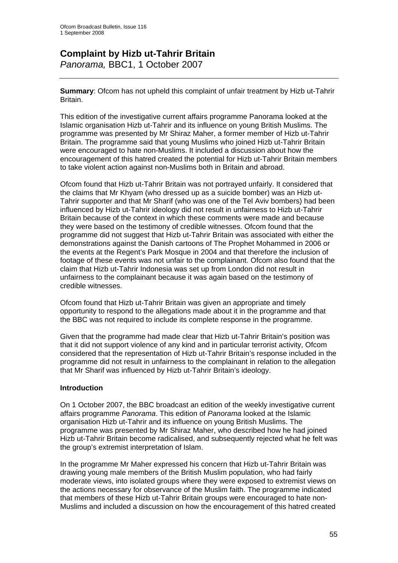# **Complaint by Hizb ut-Tahrir Britain**

*Panorama,* BBC1, 1 October 2007

**Summary**: Ofcom has not upheld this complaint of unfair treatment by Hizb ut-Tahrir Britain.

This edition of the investigative current affairs programme Panorama looked at the Islamic organisation Hizb ut-Tahrir and its influence on young British Muslims. The programme was presented by Mr Shiraz Maher, a former member of Hizb ut-Tahrir Britain. The programme said that young Muslims who joined Hizb ut-Tahrir Britain were encouraged to hate non-Muslims. It included a discussion about how the encouragement of this hatred created the potential for Hizb ut-Tahrir Britain members to take violent action against non-Muslims both in Britain and abroad.

Ofcom found that Hizb ut-Tahrir Britain was not portrayed unfairly. It considered that the claims that Mr Khyam (who dressed up as a suicide bomber) was an Hizb ut-Tahrir supporter and that Mr Sharif (who was one of the Tel Aviv bombers) had been influenced by Hizb ut-Tahrir ideology did not result in unfairness to Hizb ut-Tahrir Britain because of the context in which these comments were made and because they were based on the testimony of credible witnesses. Ofcom found that the programme did not suggest that Hizb ut-Tahrir Britain was associated with either the demonstrations against the Danish cartoons of The Prophet Mohammed in 2006 or the events at the Regent's Park Mosque in 2004 and that therefore the inclusion of footage of these events was not unfair to the complainant. Ofcom also found that the claim that Hizb ut-Tahrir Indonesia was set up from London did not result in unfairness to the complainant because it was again based on the testimony of credible witnesses.

Ofcom found that Hizb ut-Tahrir Britain was given an appropriate and timely opportunity to respond to the allegations made about it in the programme and that the BBC was not required to include its complete response in the programme.

Given that the programme had made clear that Hizb ut-Tahrir Britain's position was that it did not support violence of any kind and in particular terrorist activity, Ofcom considered that the representation of Hizb ut-Tahrir Britain's response included in the programme did not result in unfairness to the complainant in relation to the allegation that Mr Sharif was influenced by Hizb ut-Tahrir Britain's ideology.

#### **Introduction**

On 1 October 2007, the BBC broadcast an edition of the weekly investigative current affairs programme *Panorama*. This edition of *Panorama* looked at the Islamic organisation Hizb ut-Tahrir and its influence on young British Muslims. The programme was presented by Mr Shiraz Maher, who described how he had joined Hizb ut-Tahrir Britain become radicalised, and subsequently rejected what he felt was the group's extremist interpretation of Islam.

In the programme Mr Maher expressed his concern that Hizb ut-Tahrir Britain was drawing young male members of the British Muslim population, who had fairly moderate views, into isolated groups where they were exposed to extremist views on the actions necessary for observance of the Muslim faith. The programme indicated that members of these Hizb ut-Tahrir Britain groups were encouraged to hate non-Muslims and included a discussion on how the encouragement of this hatred created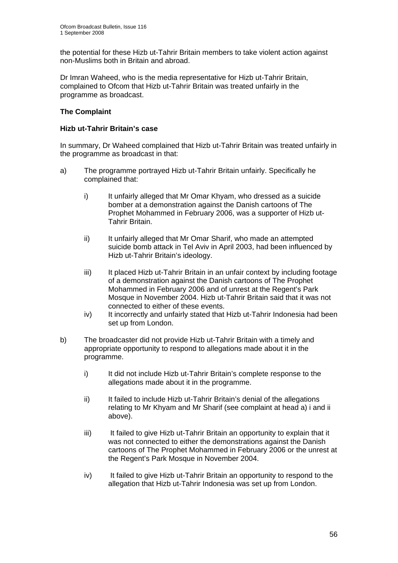the potential for these Hizb ut-Tahrir Britain members to take violent action against non-Muslims both in Britain and abroad.

Dr Imran Waheed, who is the media representative for Hizb ut-Tahrir Britain, complained to Ofcom that Hizb ut-Tahrir Britain was treated unfairly in the programme as broadcast.

#### **The Complaint**

#### **Hizb ut-Tahrir Britain's case**

In summary, Dr Waheed complained that Hizb ut-Tahrir Britain was treated unfairly in the programme as broadcast in that:

- a) The programme portrayed Hizb ut-Tahrir Britain unfairly. Specifically he complained that:
	- i) It unfairly alleged that Mr Omar Khyam, who dressed as a suicide bomber at a demonstration against the Danish cartoons of The Prophet Mohammed in February 2006, was a supporter of Hizb ut- Tahrir Britain.
	- ii) It unfairly alleged that Mr Omar Sharif, who made an attempted suicide bomb attack in Tel Aviv in April 2003, had been influenced by Hizb ut-Tahrir Britain's ideology.
	- iii) It placed Hizb ut-Tahrir Britain in an unfair context by including footage of a demonstration against the Danish cartoons of The Prophet Mohammed in February 2006 and of unrest at the Regent's Park Mosque in November 2004. Hizb ut-Tahrir Britain said that it was not connected to either of these events.
	- iv) It incorrectly and unfairly stated that Hizb ut-Tahrir Indonesia had been set up from London.
- b) The broadcaster did not provide Hizb ut-Tahrir Britain with a timely and appropriate opportunity to respond to allegations made about it in the programme.
	- i) It did not include Hizb ut-Tahrir Britain's complete response to the allegations made about it in the programme.
	- ii) It failed to include Hizb ut-Tahrir Britain's denial of the allegations relating to Mr Khyam and Mr Sharif (see complaint at head a) i and ii above).
	- iii) It failed to give Hizb ut-Tahrir Britain an opportunity to explain that it was not connected to either the demonstrations against the Danish cartoons of The Prophet Mohammed in February 2006 or the unrest at the Regent's Park Mosque in November 2004.
	- iv) It failed to give Hizb ut-Tahrir Britain an opportunity to respond to the allegation that Hizb ut-Tahrir Indonesia was set up from London.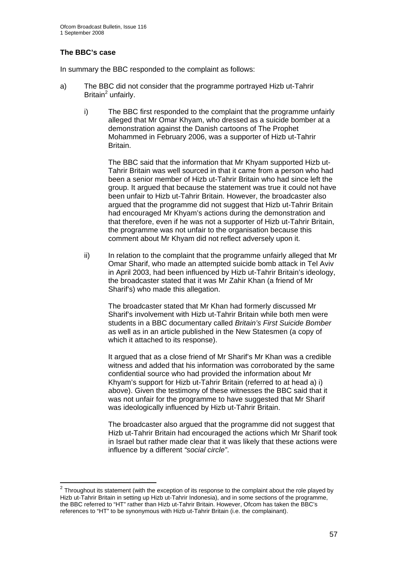#### **The BBC's case**

1

In summary the BBC responded to the complaint as follows:

- a) The BBC did not consider that the programme portrayed Hizb ut-Tahrir  $Britain<sup>2</sup>$  unfairly.
	- i) The BBC first responded to the complaint that the programme unfairly alleged that Mr Omar Khyam, who dressed as a suicide bomber at a demonstration against the Danish cartoons of The Prophet Mohammed in February 2006, was a supporter of Hizb ut-Tahrir Britain.

 The BBC said that the information that Mr Khyam supported Hizb ut- Tahrir Britain was well sourced in that it came from a person who had been a senior member of Hizb ut-Tahrir Britain who had since left the group. It argued that because the statement was true it could not have been unfair to Hizb ut-Tahrir Britain. However, the broadcaster also argued that the programme did not suggest that Hizb ut-Tahrir Britain had encouraged Mr Khyam's actions during the demonstration and that therefore, even if he was not a supporter of Hizb ut-Tahrir Britain, the programme was not unfair to the organisation because this comment about Mr Khyam did not reflect adversely upon it.

 ii) In relation to the complaint that the programme unfairly alleged that Mr Omar Sharif, who made an attempted suicide bomb attack in Tel Aviv in April 2003, had been influenced by Hizb ut-Tahrir Britain's ideology, the broadcaster stated that it was Mr Zahir Khan (a friend of Mr Sharif's) who made this allegation.

 The broadcaster stated that Mr Khan had formerly discussed Mr Sharif's involvement with Hizb ut-Tahrir Britain while both men were students in a BBC documentary called *Britain's First Suicide Bomber* as well as in an article published in the New Statesmen (a copy of which it attached to its response).

 It argued that as a close friend of Mr Sharif's Mr Khan was a credible witness and added that his information was corroborated by the same confidential source who had provided the information about Mr Khyam's support for Hizb ut-Tahrir Britain (referred to at head a) i) above). Given the testimony of these witnesses the BBC said that it was not unfair for the programme to have suggested that Mr Sharif was ideologically influenced by Hizb ut-Tahrir Britain.

 The broadcaster also argued that the programme did not suggest that Hizb ut-Tahrir Britain had encouraged the actions which Mr Sharif took in Israel but rather made clear that it was likely that these actions were influence by a different *"social circle"*.

 $2$  Throughout its statement (with the exception of its response to the complaint about the role played by Hizb ut-Tahrir Britain in setting up Hizb ut-Tahrir Indonesia), and in some sections of the programme, the BBC referred to "HT" rather than Hizb ut-Tahrir Britain. However, Ofcom has taken the BBC's references to "HT" to be synonymous with Hizb ut-Tahrir Britain (i.e. the complainant).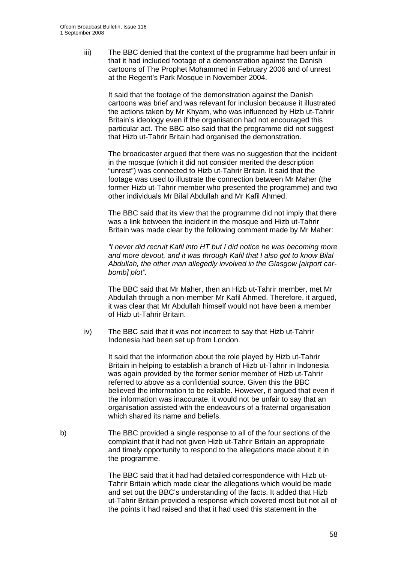iii) The BBC denied that the context of the programme had been unfair in that it had included footage of a demonstration against the Danish cartoons of The Prophet Mohammed in February 2006 and of unrest at the Regent's Park Mosque in November 2004.

 It said that the footage of the demonstration against the Danish cartoons was brief and was relevant for inclusion because it illustrated the actions taken by Mr Khyam, who was influenced by Hizb ut-Tahrir Britain's ideology even if the organisation had not encouraged this particular act. The BBC also said that the programme did not suggest that Hizb ut-Tahrir Britain had organised the demonstration.

 The broadcaster argued that there was no suggestion that the incident in the mosque (which it did not consider merited the description "unrest") was connected to Hizb ut-Tahrir Britain. It said that the footage was used to illustrate the connection between Mr Maher (the former Hizb ut-Tahrir member who presented the programme) and two other individuals Mr Bilal Abdullah and Mr Kafil Ahmed.

 The BBC said that its view that the programme did not imply that there was a link between the incident in the mosque and Hizb ut-Tahrir Britain was made clear by the following comment made by Mr Maher:

 *"I never did recruit Kafil into HT but I did notice he was becoming more and more devout, and it was through Kafil that I also got to know Bilal Abdullah, the other man allegedly involved in the Glasgow [airport car bomb] plot".* 

 The BBC said that Mr Maher, then an Hizb ut-Tahrir member, met Mr Abdullah through a non-member Mr Kafil Ahmed. Therefore, it argued, it was clear that Mr Abdullah himself would not have been a member of Hizb ut-Tahrir Britain.

 iv) The BBC said that it was not incorrect to say that Hizb ut-Tahrir Indonesia had been set up from London.

> It said that the information about the role played by Hizb ut-Tahrir Britain in helping to establish a branch of Hizb ut-Tahrir in Indonesia was again provided by the former senior member of Hizb ut-Tahrir referred to above as a confidential source. Given this the BBC believed the information to be reliable. However, it argued that even if the information was inaccurate, it would not be unfair to say that an organisation assisted with the endeavours of a fraternal organisation which shared its name and beliefs.

b) The BBC provided a single response to all of the four sections of the complaint that it had not given Hizb ut-Tahrir Britain an appropriate and timely opportunity to respond to the allegations made about it in the programme.

> The BBC said that it had had detailed correspondence with Hizb ut- Tahrir Britain which made clear the allegations which would be made and set out the BBC's understanding of the facts. It added that Hizb ut-Tahrir Britain provided a response which covered most but not all of the points it had raised and that it had used this statement in the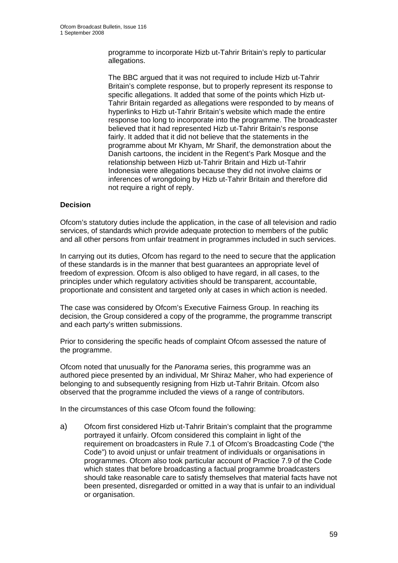programme to incorporate Hizb ut-Tahrir Britain's reply to particular allegations.

 The BBC argued that it was not required to include Hizb ut-Tahrir Britain's complete response, but to properly represent its response to specific allegations. It added that some of the points which Hizb ut- Tahrir Britain regarded as allegations were responded to by means of hyperlinks to Hizb ut-Tahrir Britain's website which made the entire response too long to incorporate into the programme. The broadcaster believed that it had represented Hizb ut-Tahrir Britain's response fairly. It added that it did not believe that the statements in the programme about Mr Khyam, Mr Sharif, the demonstration about the Danish cartoons, the incident in the Regent's Park Mosque and the relationship between Hizb ut-Tahrir Britain and Hizb ut-Tahrir Indonesia were allegations because they did not involve claims or inferences of wrongdoing by Hizb ut-Tahrir Britain and therefore did not require a right of reply.

#### **Decision**

Ofcom's statutory duties include the application, in the case of all television and radio services, of standards which provide adequate protection to members of the public and all other persons from unfair treatment in programmes included in such services.

In carrying out its duties, Ofcom has regard to the need to secure that the application of these standards is in the manner that best guarantees an appropriate level of freedom of expression. Ofcom is also obliged to have regard, in all cases, to the principles under which regulatory activities should be transparent, accountable, proportionate and consistent and targeted only at cases in which action is needed.

The case was considered by Ofcom's Executive Fairness Group. In reaching its decision, the Group considered a copy of the programme, the programme transcript and each party's written submissions.

Prior to considering the specific heads of complaint Ofcom assessed the nature of the programme.

Ofcom noted that unusually for the *Panorama* series, this programme was an authored piece presented by an individual, Mr Shiraz Maher, who had experience of belonging to and subsequently resigning from Hizb ut-Tahrir Britain. Ofcom also observed that the programme included the views of a range of contributors.

In the circumstances of this case Ofcom found the following:

a) Ofcom first considered Hizb ut-Tahrir Britain's complaint that the programme portrayed it unfairly. Ofcom considered this complaint in light of the requirement on broadcasters in Rule 7.1 of Ofcom's Broadcasting Code ("the Code") to avoid unjust or unfair treatment of individuals or organisations in programmes. Ofcom also took particular account of Practice 7.9 of the Code which states that before broadcasting a factual programme broadcasters should take reasonable care to satisfy themselves that material facts have not been presented, disregarded or omitted in a way that is unfair to an individual or organisation.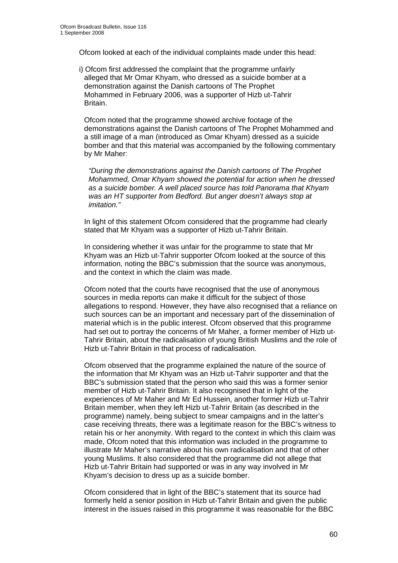Ofcom looked at each of the individual complaints made under this head:

i) Ofcom first addressed the complaint that the programme unfairly alleged that Mr Omar Khyam, who dressed as a suicide bomber at a demonstration against the Danish cartoons of The Prophet Mohammed in February 2006, was a supporter of Hizb ut-Tahrir Britain.

 Ofcom noted that the programme showed archive footage of the demonstrations against the Danish cartoons of The Prophet Mohammed and a still image of a man (introduced as Omar Khyam) dressed as a suicide bomber and that this material was accompanied by the following commentary by Mr Maher:

*"During the demonstrations against the Danish cartoons of The Prophet Mohammed, Omar Khyam showed the potential for action when he dressed as a suicide bomber. A well placed source has told Panorama that Khyam was an HT supporter from Bedford. But anger doesn't always stop at imitation."* 

 In light of this statement Ofcom considered that the programme had clearly stated that Mr Khyam was a supporter of Hizb ut-Tahrir Britain.

 In considering whether it was unfair for the programme to state that Mr Khyam was an Hizb ut-Tahrir supporter Ofcom looked at the source of this information, noting the BBC's submission that the source was anonymous, and the context in which the claim was made.

 Ofcom noted that the courts have recognised that the use of anonymous sources in media reports can make it difficult for the subject of those allegations to respond. However, they have also recognised that a reliance on such sources can be an important and necessary part of the dissemination of material which is in the public interest. Ofcom observed that this programme had set out to portray the concerns of Mr Maher, a former member of Hizb ut- Tahrir Britain, about the radicalisation of young British Muslims and the role of Hizb ut-Tahrir Britain in that process of radicalisation.

 Ofcom observed that the programme explained the nature of the source of the information that Mr Khyam was an Hizb ut-Tahrir supporter and that the BBC's submission stated that the person who said this was a former senior member of Hizb ut-Tahrir Britain. It also recognised that in light of the experiences of Mr Maher and Mr Ed Hussein, another former Hizb ut-Tahrir Britain member, when they left Hizb ut-Tahrir Britain (as described in the programme) namely, being subject to smear campaigns and in the latter's case receiving threats, there was a legitimate reason for the BBC's witness to retain his or her anonymity. With regard to the context in which this claim was made, Ofcom noted that this information was included in the programme to illustrate Mr Maher's narrative about his own radicalisation and that of other young Muslims. It also considered that the programme did not allege that Hizb ut-Tahrir Britain had supported or was in any way involved in Mr Khyam's decision to dress up as a suicide bomber.

 Ofcom considered that in light of the BBC's statement that its source had formerly held a senior position in Hizb ut-Tahrir Britain and given the public interest in the issues raised in this programme it was reasonable for the BBC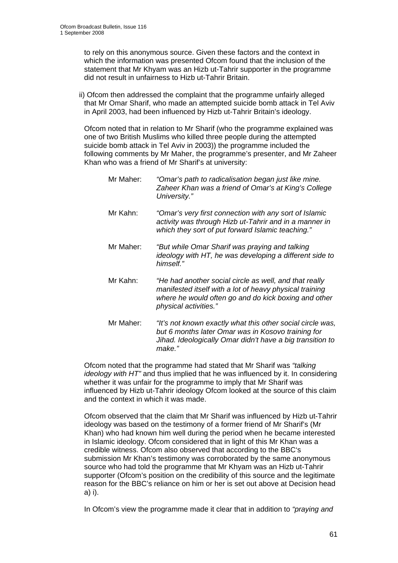to rely on this anonymous source. Given these factors and the context in which the information was presented Ofcom found that the inclusion of the statement that Mr Khyam was an Hizb ut-Tahrir supporter in the programme did not result in unfairness to Hizb ut-Tahrir Britain.

ii) Ofcom then addressed the complaint that the programme unfairly alleged that Mr Omar Sharif, who made an attempted suicide bomb attack in Tel Aviv in April 2003, had been influenced by Hizb ut-Tahrir Britain's ideology.

 Ofcom noted that in relation to Mr Sharif (who the programme explained was one of two British Muslims who killed three people during the attempted suicide bomb attack in Tel Aviv in 2003)) the programme included the following comments by Mr Maher, the programme's presenter, and Mr Zaheer Khan who was a friend of Mr Sharif's at university:

- Mr Maher: *"Omar's path to radicalisation began just like mine. Zaheer Khan was a friend of Omar's at King's College University."*
- Mr Kahn: *"Omar's very first connection with any sort of Islamic activity was through Hizb ut-Tahrir and in a manner in which they sort of put forward Islamic teaching."*
- Mr Maher: *"But while Omar Sharif was praying and talking ideology with HT, he was developing a different side to himself."*
- Mr Kahn: *"He had another social circle as well, and that really manifested itself with a lot of heavy physical training where he would often go and do kick boxing and other physical activities."*
- Mr Maher: *"It's not known exactly what this other social circle was, but 6 months later Omar was in Kosovo training for Jihad. Ideologically Omar didn't have a big transition to make."*

 Ofcom noted that the programme had stated that Mr Sharif was *"talking ideology with HT"* and thus implied that he was influenced by it. In considering whether it was unfair for the programme to imply that Mr Sharif was influenced by Hizb ut-Tahrir ideology Ofcom looked at the source of this claim and the context in which it was made.

 Ofcom observed that the claim that Mr Sharif was influenced by Hizb ut-Tahrir ideology was based on the testimony of a former friend of Mr Sharif's (Mr Khan) who had known him well during the period when he became interested in Islamic ideology. Ofcom considered that in light of this Mr Khan was a credible witness. Ofcom also observed that according to the BBC's submission Mr Khan's testimony was corroborated by the same anonymous source who had told the programme that Mr Khyam was an Hizb ut-Tahrir supporter (Ofcom's position on the credibility of this source and the legitimate reason for the BBC's reliance on him or her is set out above at Decision head a) i).

In Ofcom's view the programme made it clear that in addition to *"praying and*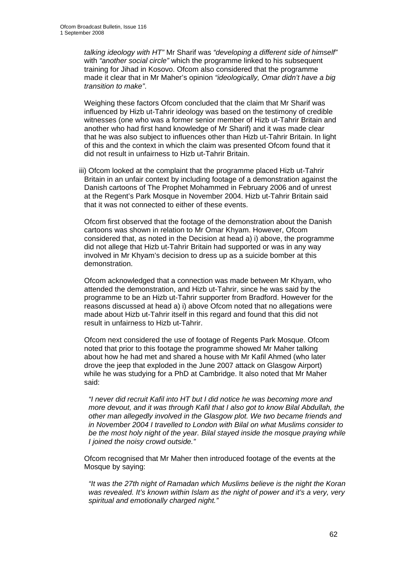*talking ideology with HT"* Mr Sharif was *"developing a different side of himself"* with *"another social circle"* which the programme linked to his subsequent training for Jihad in Kosovo. Ofcom also considered that the programme made it clear that in Mr Maher's opinion *"ideologically, Omar didn't have a big transition to make"*.

 Weighing these factors Ofcom concluded that the claim that Mr Sharif was influenced by Hizb ut-Tahrir ideology was based on the testimony of credible witnesses (one who was a former senior member of Hizb ut-Tahrir Britain and another who had first hand knowledge of Mr Sharif) and it was made clear that he was also subject to influences other than Hizb ut-Tahrir Britain. In light of this and the context in which the claim was presented Ofcom found that it did not result in unfairness to Hizb ut-Tahrir Britain.

iii) Ofcom looked at the complaint that the programme placed Hizb ut-Tahrir Britain in an unfair context by including footage of a demonstration against the Danish cartoons of The Prophet Mohammed in February 2006 and of unrest at the Regent's Park Mosque in November 2004. Hizb ut-Tahrir Britain said that it was not connected to either of these events.

 Ofcom first observed that the footage of the demonstration about the Danish cartoons was shown in relation to Mr Omar Khyam. However, Ofcom considered that, as noted in the Decision at head a) i) above, the programme did not allege that Hizb ut-Tahrir Britain had supported or was in any way involved in Mr Khyam's decision to dress up as a suicide bomber at this demonstration.

 Ofcom acknowledged that a connection was made between Mr Khyam, who attended the demonstration, and Hizb ut-Tahrir, since he was said by the programme to be an Hizb ut-Tahrir supporter from Bradford. However for the reasons discussed at head a) i) above Ofcom noted that no allegations were made about Hizb ut-Tahrir itself in this regard and found that this did not result in unfairness to Hizb ut-Tahrir.

 Ofcom next considered the use of footage of Regents Park Mosque. Ofcom noted that prior to this footage the programme showed Mr Maher talking about how he had met and shared a house with Mr Kafil Ahmed (who later drove the jeep that exploded in the June 2007 attack on Glasgow Airport) while he was studying for a PhD at Cambridge. It also noted that Mr Maher said:

*"I never did recruit Kafil into HT but I did notice he was becoming more and more devout, and it was through Kafil that I also got to know Bilal Abdullah, the other man allegedly involved in the Glasgow plot. We two became friends and in November 2004 I travelled to London with Bilal on what Muslims consider to*  be the most holy night of the year. Bilal stayed inside the mosque praying while *I joined the noisy crowd outside."* 

 Ofcom recognised that Mr Maher then introduced footage of the events at the Mosque by saving:

*"It was the 27th night of Ramadan which Muslims believe is the night the Koran was revealed. It's known within Islam as the night of power and it's a very, very spiritual and emotionally charged night."*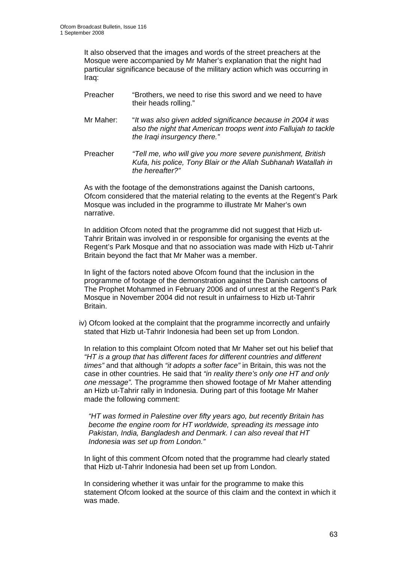It also observed that the images and words of the street preachers at the Mosque were accompanied by Mr Maher's explanation that the night had particular significance because of the military action which was occurring in Iraq:

- Preacher "Brothers, we need to rise this sword and we need to have their heads rolling."
- Mr Maher: "*It was also given added significance because in 2004 it was also the night that American troops went into Fallujah to tackle the Iraqi insurgency there."*
- Preacher *"Tell me, who will give you more severe punishment, British Kufa, his police, Tony Blair or the Allah Subhanah Watallah in the hereafter?"*

 As with the footage of the demonstrations against the Danish cartoons, Ofcom considered that the material relating to the events at the Regent's Park Mosque was included in the programme to illustrate Mr Maher's own narrative.

 In addition Ofcom noted that the programme did not suggest that Hizb ut- Tahrir Britain was involved in or responsible for organising the events at the Regent's Park Mosque and that no association was made with Hizb ut-Tahrir Britain beyond the fact that Mr Maher was a member.

 In light of the factors noted above Ofcom found that the inclusion in the programme of footage of the demonstration against the Danish cartoons of The Prophet Mohammed in February 2006 and of unrest at the Regent's Park Mosque in November 2004 did not result in unfairness to Hizb ut-Tahrir Britain.

iv) Ofcom looked at the complaint that the programme incorrectly and unfairly stated that Hizb ut-Tahrir Indonesia had been set up from London.

 In relation to this complaint Ofcom noted that Mr Maher set out his belief that *"HT is a group that has different faces for different countries and different times"* and that although *"it adopts a softer face"* in Britain, this was not the case in other countries. He said that *"in reality there's only one HT and only one message".* The programme then showed footage of Mr Maher attending an Hizb ut-Tahrir rally in Indonesia. During part of this footage Mr Maher made the following comment:

*"HT was formed in Palestine over fifty years ago, but recently Britain has become the engine room for HT worldwide, spreading its message into Pakistan, India, Bangladesh and Denmark. I can also reveal that HT Indonesia was set up from London."* 

 In light of this comment Ofcom noted that the programme had clearly stated that Hizb ut-Tahrir Indonesia had been set up from London.

 In considering whether it was unfair for the programme to make this statement Ofcom looked at the source of this claim and the context in which it was made.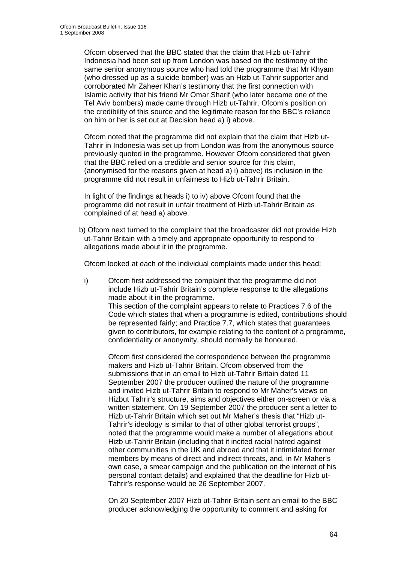Ofcom observed that the BBC stated that the claim that Hizb ut-Tahrir Indonesia had been set up from London was based on the testimony of the same senior anonymous source who had told the programme that Mr Khyam (who dressed up as a suicide bomber) was an Hizb ut-Tahrir supporter and corroborated Mr Zaheer Khan's testimony that the first connection with Islamic activity that his friend Mr Omar Sharif (who later became one of the Tel Aviv bombers) made came through Hizb ut-Tahrir. Ofcom's position on the credibility of this source and the legitimate reason for the BBC's reliance on him or her is set out at Decision head a) i) above.

 Ofcom noted that the programme did not explain that the claim that Hizb ut- Tahrir in Indonesia was set up from London was from the anonymous source previously quoted in the programme. However Ofcom considered that given that the BBC relied on a credible and senior source for this claim, (anonymised for the reasons given at head a) i) above) its inclusion in the programme did not result in unfairness to Hizb ut-Tahrir Britain.

 In light of the findings at heads i) to iv) above Ofcom found that the programme did not result in unfair treatment of Hizb ut-Tahrir Britain as complained of at head a) above.

b) Ofcom next turned to the complaint that the broadcaster did not provide Hizb ut-Tahrir Britain with a timely and appropriate opportunity to respond to allegations made about it in the programme.

Ofcom looked at each of the individual complaints made under this head:

 i) Ofcom first addressed the complaint that the programme did not include Hizb ut-Tahrir Britain's complete response to the allegations made about it in the programme. This section of the complaint appears to relate to Practices 7.6 of the Code which states that when a programme is edited, contributions should be represented fairly; and Practice 7.7, which states that guarantees given to contributors, for example relating to the content of a programme, confidentiality or anonymity, should normally be honoured.

 Ofcom first considered the correspondence between the programme makers and Hizb ut-Tahrir Britain. Ofcom observed from the submissions that in an email to Hizb ut-Tahrir Britain dated 11 September 2007 the producer outlined the nature of the programme and invited Hizb ut-Tahrir Britain to respond to Mr Maher's views on Hizbut Tahrir's structure, aims and objectives either on-screen or via a written statement. On 19 September 2007 the producer sent a letter to Hizb ut-Tahrir Britain which set out Mr Maher's thesis that "Hizb ut- Tahrir's ideology is similar to that of other global terrorist groups", noted that the programme would make a number of allegations about Hizb ut-Tahrir Britain (including that it incited racial hatred against other communities in the UK and abroad and that it intimidated former members by means of direct and indirect threats, and, in Mr Maher's own case, a smear campaign and the publication on the internet of his personal contact details) and explained that the deadline for Hizb ut- Tahrir's response would be 26 September 2007.

 On 20 September 2007 Hizb ut-Tahrir Britain sent an email to the BBC producer acknowledging the opportunity to comment and asking for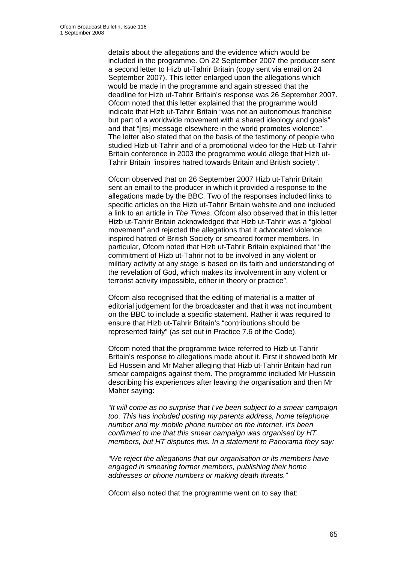details about the allegations and the evidence which would be included in the programme. On 22 September 2007 the producer sent a second letter to Hizb ut-Tahrir Britain (copy sent via email on 24 September 2007). This letter enlarged upon the allegations which would be made in the programme and again stressed that the deadline for Hizb ut-Tahrir Britain's response was 26 September 2007. Ofcom noted that this letter explained that the programme would indicate that Hizb ut-Tahrir Britain "was not an autonomous franchise but part of a worldwide movement with a shared ideology and goals" and that "[its] message elsewhere in the world promotes violence". The letter also stated that on the basis of the testimony of people who studied Hizb ut-Tahrir and of a promotional video for the Hizb ut-Tahrir Britain conference in 2003 the programme would allege that Hizb ut- Tahrir Britain "inspires hatred towards Britain and British society".

 Ofcom observed that on 26 September 2007 Hizb ut-Tahrir Britain sent an email to the producer in which it provided a response to the allegations made by the BBC. Two of the responses included links to specific articles on the Hizb ut-Tahrir Britain website and one included a link to an article in *The Times*. Ofcom also observed that in this letter Hizb ut-Tahrir Britain acknowledged that Hizb ut-Tahrir was a "global movement" and rejected the allegations that it advocated violence, inspired hatred of British Society or smeared former members. In particular, Ofcom noted that Hizb ut-Tahrir Britain explained that "the commitment of Hizb ut-Tahrir not to be involved in any violent or military activity at any stage is based on its faith and understanding of the revelation of God, which makes its involvement in any violent or terrorist activity impossible, either in theory or practice".

 Ofcom also recognised that the editing of material is a matter of editorial judgement for the broadcaster and that it was not incumbent on the BBC to include a specific statement. Rather it was required to ensure that Hizb ut-Tahrir Britain's "contributions should be represented fairly" (as set out in Practice 7.6 of the Code).

 Ofcom noted that the programme twice referred to Hizb ut-Tahrir Britain's response to allegations made about it. First it showed both Mr Ed Hussein and Mr Maher alleging that Hizb ut-Tahrir Britain had run smear campaigns against them. The programme included Mr Hussein describing his experiences after leaving the organisation and then Mr Maher saying:

 *"It will come as no surprise that I've been subject to a smear campaign too. This has included posting my parents address, home telephone number and my mobile phone number on the internet. It's been confirmed to me that this smear campaign was organised by HT members, but HT disputes this. In a statement to Panorama they say:* 

 *"We reject the allegations that our organisation or its members have engaged in smearing former members, publishing their home addresses or phone numbers or making death threats."* 

Ofcom also noted that the programme went on to say that: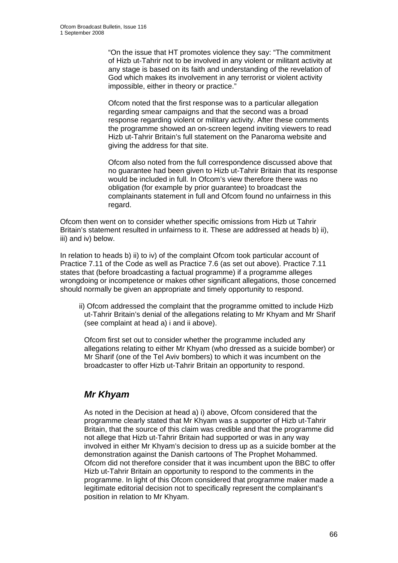"On the issue that HT promotes violence they say: "The commitment of Hizb ut-Tahrir not to be involved in any violent or militant activity at any stage is based on its faith and understanding of the revelation of God which makes its involvement in any terrorist or violent activity impossible, either in theory or practice."

 Ofcom noted that the first response was to a particular allegation regarding smear campaigns and that the second was a broad response regarding violent or military activity. After these comments the programme showed an on-screen legend inviting viewers to read Hizb ut-Tahrir Britain's full statement on the Panaroma website and giving the address for that site.

 Ofcom also noted from the full correspondence discussed above that no guarantee had been given to Hizb ut-Tahrir Britain that its response would be included in full. In Ofcom's view therefore there was no obligation (for example by prior guarantee) to broadcast the complainants statement in full and Ofcom found no unfairness in this regard.

Ofcom then went on to consider whether specific omissions from Hizb ut Tahrir Britain's statement resulted in unfairness to it. These are addressed at heads b) ii), iii) and iv) below.

In relation to heads b) ii) to iv) of the complaint Ofcom took particular account of Practice 7.11 of the Code as well as Practice 7.6 (as set out above). Practice 7.11 states that (before broadcasting a factual programme) if a programme alleges wrongdoing or incompetence or makes other significant allegations, those concerned should normally be given an appropriate and timely opportunity to respond.

ii) Ofcom addressed the complaint that the programme omitted to include Hizb ut-Tahrir Britain's denial of the allegations relating to Mr Khyam and Mr Sharif (see complaint at head a) i and ii above).

 Ofcom first set out to consider whether the programme included any allegations relating to either Mr Khyam (who dressed as a suicide bomber) or Mr Sharif (one of the Tel Aviv bombers) to which it was incumbent on the broadcaster to offer Hizb ut-Tahrir Britain an opportunity to respond.

## *Mr Khyam*

 As noted in the Decision at head a) i) above, Ofcom considered that the programme clearly stated that Mr Khyam was a supporter of Hizb ut-Tahrir Britain, that the source of this claim was credible and that the programme did not allege that Hizb ut-Tahrir Britain had supported or was in any way involved in either Mr Khyam's decision to dress up as a suicide bomber at the demonstration against the Danish cartoons of The Prophet Mohammed. Ofcom did not therefore consider that it was incumbent upon the BBC to offer Hizb ut-Tahrir Britain an opportunity to respond to the comments in the programme. In light of this Ofcom considered that programme maker made a legitimate editorial decision not to specifically represent the complainant's position in relation to Mr Khyam.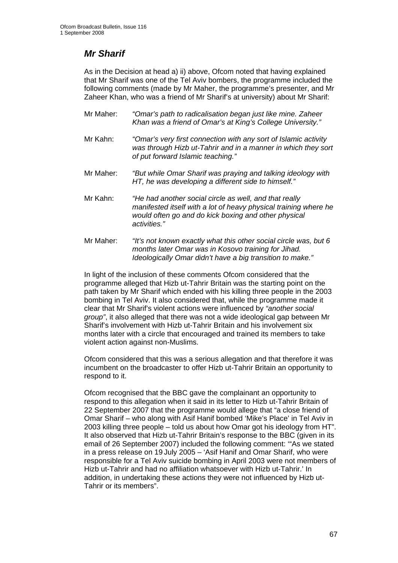## *Mr Sharif*

 As in the Decision at head a) ii) above, Ofcom noted that having explained that Mr Sharif was one of the Tel Aviv bombers, the programme included the following comments (made by Mr Maher, the programme's presenter, and Mr Zaheer Khan, who was a friend of Mr Sharif's at university) about Mr Sharif:

- Mr Maher: *"Omar's path to radicalisation began just like mine. Zaheer Khan was a friend of Omar's at King's College University."*
- Mr Kahn: *"Omar's very first connection with any sort of Islamic activity was through Hizb ut-Tahrir and in a manner in which they sort of put forward Islamic teaching."*
- Mr Maher: *"But while Omar Sharif was praying and talking ideology with HT, he was developing a different side to himself."*
- Mr Kahn: *"He had another social circle as well, and that really manifested itself with a lot of heavy physical training where he would often go and do kick boxing and other physical activities."*
- Mr Maher: *"It's not known exactly what this other social circle was, but 6 months later Omar was in Kosovo training for Jihad. Ideologically Omar didn't have a big transition to make."*

 In light of the inclusion of these comments Ofcom considered that the programme alleged that Hizb ut-Tahrir Britain was the starting point on the path taken by Mr Sharif which ended with his killing three people in the 2003 bombing in Tel Aviv. It also considered that, while the programme made it clear that Mr Sharif's violent actions were influenced by *"another social group"*, it also alleged that there was not a wide ideological gap between Mr Sharif's involvement with Hizb ut-Tahrir Britain and his involvement six months later with a circle that encouraged and trained its members to take violent action against non-Muslims.

 Ofcom considered that this was a serious allegation and that therefore it was incumbent on the broadcaster to offer Hizb ut-Tahrir Britain an opportunity to respond to it.

 Ofcom recognised that the BBC gave the complainant an opportunity to respond to this allegation when it said in its letter to Hizb ut-Tahrir Britain of 22 September 2007 that the programme would allege that "a close friend of Omar Sharif – who along with Asif Hanif bombed 'Mike's Place' in Tel Aviv in 2003 killing three people – told us about how Omar got his ideology from HT". It also observed that Hizb ut-Tahrir Britain's response to the BBC (given in its email of 26 September 2007) included the following comment: '"As we stated in a press release on 19 July 2005 – 'Asif Hanif and Omar Sharif, who were responsible for a Tel Aviv suicide bombing in April 2003 were not members of Hizb ut-Tahrir and had no affiliation whatsoever with Hizb ut-Tahrir.' In addition, in undertaking these actions they were not influenced by Hizb ut- Tahrir or its members".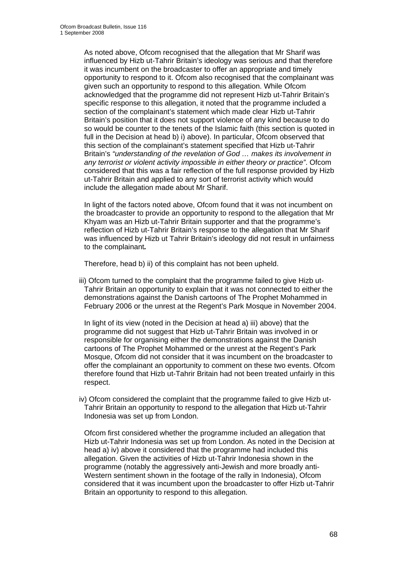As noted above, Ofcom recognised that the allegation that Mr Sharif was influenced by Hizb ut-Tahrir Britain's ideology was serious and that therefore it was incumbent on the broadcaster to offer an appropriate and timely opportunity to respond to it. Ofcom also recognised that the complainant was given such an opportunity to respond to this allegation. While Ofcom acknowledged that the programme did not represent Hizb ut-Tahrir Britain's specific response to this allegation, it noted that the programme included a section of the complainant's statement which made clear Hizb ut-Tahrir Britain's position that it does not support violence of any kind because to do so would be counter to the tenets of the Islamic faith (this section is quoted in full in the Decision at head b) i) above). In particular, Ofcom observed that this section of the complainant's statement specified that Hizb ut-Tahrir Britain's *"understanding of the revelation of God … makes its involvement in any terrorist or violent activity impossible in either theory or practice"*. Ofcom considered that this was a fair reflection of the full response provided by Hizb ut-Tahrir Britain and applied to any sort of terrorist activity which would include the allegation made about Mr Sharif.

 In light of the factors noted above, Ofcom found that it was not incumbent on the broadcaster to provide an opportunity to respond to the allegation that Mr Khyam was an Hizb ut-Tahrir Britain supporter and that the programme's reflection of Hizb ut-Tahrir Britain's response to the allegation that Mr Sharif was influenced by Hizb ut Tahrir Britain's ideology did not result in unfairness to the complainant*.* 

Therefore, head b) ii) of this complaint has not been upheld.

iii) Ofcom turned to the complaint that the programme failed to give Hizb ut- Tahrir Britain an opportunity to explain that it was not connected to either the demonstrations against the Danish cartoons of The Prophet Mohammed in February 2006 or the unrest at the Regent's Park Mosque in November 2004.

 In light of its view (noted in the Decision at head a) iii) above) that the programme did not suggest that Hizb ut-Tahrir Britain was involved in or responsible for organising either the demonstrations against the Danish cartoons of The Prophet Mohammed or the unrest at the Regent's Park Mosque, Ofcom did not consider that it was incumbent on the broadcaster to offer the complainant an opportunity to comment on these two events. Ofcom therefore found that Hizb ut-Tahrir Britain had not been treated unfairly in this respect.

iv) Ofcom considered the complaint that the programme failed to give Hizb ut- Tahrir Britain an opportunity to respond to the allegation that Hizb ut-Tahrir Indonesia was set up from London.

 Ofcom first considered whether the programme included an allegation that Hizb ut-Tahrir Indonesia was set up from London. As noted in the Decision at head a) iv) above it considered that the programme had included this allegation. Given the activities of Hizb ut-Tahrir Indonesia shown in the programme (notably the aggressively anti-Jewish and more broadly anti- Western sentiment shown in the footage of the rally in Indonesia), Ofcom considered that it was incumbent upon the broadcaster to offer Hizb ut-Tahrir Britain an opportunity to respond to this allegation.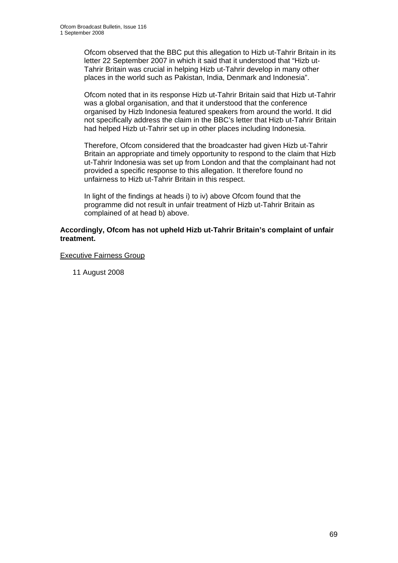Ofcom observed that the BBC put this allegation to Hizb ut-Tahrir Britain in its letter 22 September 2007 in which it said that it understood that "Hizb ut- Tahrir Britain was crucial in helping Hizb ut-Tahrir develop in many other places in the world such as Pakistan, India, Denmark and Indonesia".

 Ofcom noted that in its response Hizb ut-Tahrir Britain said that Hizb ut-Tahrir was a global organisation, and that it understood that the conference organised by Hizb Indonesia featured speakers from around the world. It did not specifically address the claim in the BBC's letter that Hizb ut-Tahrir Britain had helped Hizb ut-Tahrir set up in other places including Indonesia.

 Therefore, Ofcom considered that the broadcaster had given Hizb ut-Tahrir Britain an appropriate and timely opportunity to respond to the claim that Hizb ut-Tahrir Indonesia was set up from London and that the complainant had not provided a specific response to this allegation. It therefore found no unfairness to Hizb ut-Tahrir Britain in this respect.

 In light of the findings at heads i) to iv) above Ofcom found that the programme did not result in unfair treatment of Hizb ut-Tahrir Britain as complained of at head b) above.

#### **Accordingly, Ofcom has not upheld Hizb ut-Tahrir Britain's complaint of unfair treatment.**

#### Executive Fairness Group

11 August 2008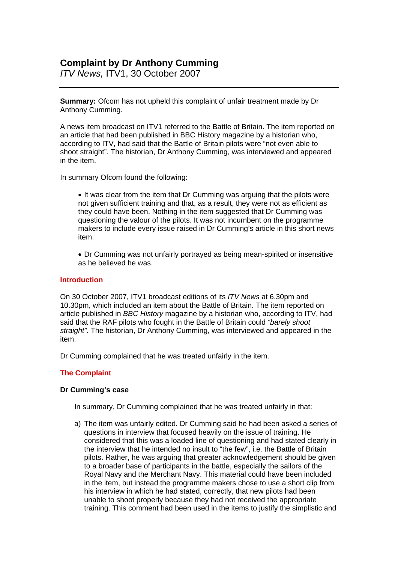### **Complaint by Dr Anthony Cumming**

*ITV News,* ITV1, 30 October 2007

**Summary:** Ofcom has not upheld this complaint of unfair treatment made by Dr Anthony Cumming.

A news item broadcast on ITV1 referred to the Battle of Britain. The item reported on an article that had been published in BBC History magazine by a historian who, according to ITV, had said that the Battle of Britain pilots were "not even able to shoot straight". The historian, Dr Anthony Cumming, was interviewed and appeared in the item.

In summary Ofcom found the following:

• It was clear from the item that Dr Cumming was arguing that the pilots were not given sufficient training and that, as a result, they were not as efficient as they could have been. Nothing in the item suggested that Dr Cumming was questioning the valour of the pilots. It was not incumbent on the programme makers to include every issue raised in Dr Cumming's article in this short news item.

• Dr Cumming was not unfairly portrayed as being mean-spirited or insensitive as he believed he was.

#### **Introduction**

On 30 October 2007, ITV1 broadcast editions of its *ITV News* at 6.30pm and 10.30pm, which included an item about the Battle of Britain. The item reported on article published in *BBC History* magazine by a historian who, according to ITV, had said that the RAF pilots who fought in the Battle of Britain could *"barely shoot straight"*. The historian, Dr Anthony Cumming, was interviewed and appeared in the item.

Dr Cumming complained that he was treated unfairly in the item.

#### **The Complaint**

#### **Dr Cumming's case**

In summary, Dr Cumming complained that he was treated unfairly in that:

a) The item was unfairly edited. Dr Cumming said he had been asked a series of questions in interview that focused heavily on the issue of training. He considered that this was a loaded line of questioning and had stated clearly in the interview that he intended no insult to "the few", i.e. the Battle of Britain pilots. Rather, he was arguing that greater acknowledgement should be given to a broader base of participants in the battle, especially the sailors of the Royal Navy and the Merchant Navy. This material could have been included in the item, but instead the programme makers chose to use a short clip from his interview in which he had stated, correctly, that new pilots had been unable to shoot properly because they had not received the appropriate training. This comment had been used in the items to justify the simplistic and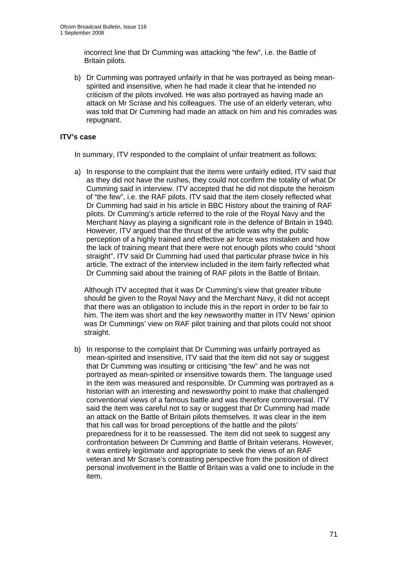incorrect line that Dr Cumming was attacking "the few", i.e. the Battle of Britain pilots.

b) Dr Cumming was portrayed unfairly in that he was portrayed as being meanspirited and insensitive, when he had made it clear that he intended no criticism of the pilots involved. He was also portrayed as having made an attack on Mr Scrase and his colleagues. The use of an elderly veteran, who was told that Dr Cumming had made an attack on him and his comrades was repugnant.

#### **ITV's case**

In summary, ITV responded to the complaint of unfair treatment as follows:

a) In response to the complaint that the items were unfairly edited, ITV said that as they did not have the rushes, they could not confirm the totality of what Dr Cumming said in interview. ITV accepted that he did not dispute the heroism of "the few", i.e. the RAF pilots. ITV said that the item closely reflected what Dr Cumming had said in his article in BBC History about the training of RAF pilots. Dr Cumming's article referred to the role of the Royal Navy and the Merchant Navy as playing a significant role in the defence of Britain in 1940. However, ITV argued that the thrust of the article was why the public perception of a highly trained and effective air force was mistaken and how the lack of training meant that there were not enough pilots who could "shoot straight". ITV said Dr Cumming had used that particular phrase twice in his article. The extract of the interview included in the item fairly reflected what Dr Cumming said about the training of RAF pilots in the Battle of Britain.

 Although ITV accepted that it was Dr Cumming's view that greater tribute should be given to the Royal Navy and the Merchant Navy, it did not accept that there was an obligation to include this in the report in order to be fair to him. The item was short and the key newsworthy matter in ITV News' opinion was Dr Cummings' view on RAF pilot training and that pilots could not shoot straight.

b) In response to the complaint that Dr Cumming was unfairly portrayed as mean-spirited and insensitive, ITV said that the item did not say or suggest that Dr Cumming was insulting or criticising "the few" and he was not portrayed as mean-spirited or insensitive towards them. The language used in the item was measured and responsible. Dr Cumming was portrayed as a historian with an interesting and newsworthy point to make that challenged conventional views of a famous battle and was therefore controversial. ITV said the item was careful not to say or suggest that Dr Cumming had made an attack on the Battle of Britain pilots themselves. It was clear in the item that his call was for broad perceptions of the battle and the pilots' preparedness for it to be reassessed. The item did not seek to suggest any confrontation between Dr Cumming and Battle of Britain veterans. However, it was entirely legitimate and appropriate to seek the views of an RAF veteran and Mr Scrase's contrasting perspective from the position of direct personal involvement in the Battle of Britain was a valid one to include in the item.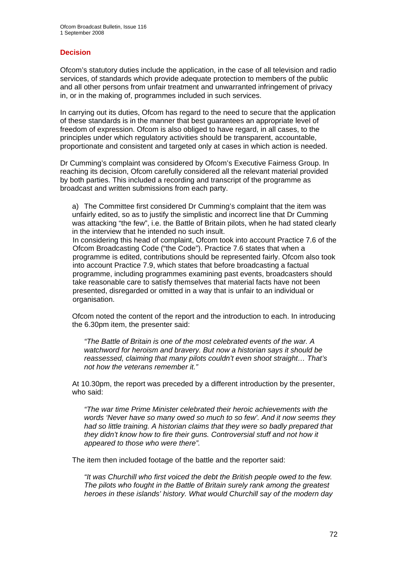#### **Decision**

Ofcom's statutory duties include the application, in the case of all television and radio services, of standards which provide adequate protection to members of the public and all other persons from unfair treatment and unwarranted infringement of privacy in, or in the making of, programmes included in such services.

In carrying out its duties, Ofcom has regard to the need to secure that the application of these standards is in the manner that best guarantees an appropriate level of freedom of expression. Ofcom is also obliged to have regard, in all cases, to the principles under which regulatory activities should be transparent, accountable, proportionate and consistent and targeted only at cases in which action is needed.

Dr Cumming's complaint was considered by Ofcom's Executive Fairness Group. In reaching its decision, Ofcom carefully considered all the relevant material provided by both parties. This included a recording and transcript of the programme as broadcast and written submissions from each party.

a) The Committee first considered Dr Cumming's complaint that the item was unfairly edited, so as to justify the simplistic and incorrect line that Dr Cumming was attacking "the few", i.e. the Battle of Britain pilots, when he had stated clearly in the interview that he intended no such insult.

In considering this head of complaint, Ofcom took into account Practice 7.6 of the Ofcom Broadcasting Code ("the Code"). Practice 7.6 states that when a programme is edited, contributions should be represented fairly. Ofcom also took into account Practice 7.9, which states that before broadcasting a factual programme, including programmes examining past events, broadcasters should take reasonable care to satisfy themselves that material facts have not been presented, disregarded or omitted in a way that is unfair to an individual or organisation.

Ofcom noted the content of the report and the introduction to each. In introducing the 6.30pm item, the presenter said:

*"The Battle of Britain is one of the most celebrated events of the war. A watchword for heroism and bravery. But now a historian says it should be reassessed, claiming that many pilots couldn't even shoot straight… That's not how the veterans remember it."* 

At 10.30pm, the report was preceded by a different introduction by the presenter, who said:

*"The war time Prime Minister celebrated their heroic achievements with the words 'Never have so many owed so much to so few'. And it now seems they had so little training. A historian claims that they were so badly prepared that they didn't know how to fire their guns. Controversial stuff and not how it appeared to those who were there".* 

The item then included footage of the battle and the reporter said:

*"It was Churchill who first voiced the debt the British people owed to the few. The pilots who fought in the Battle of Britain surely rank among the greatest heroes in these islands' history. What would Churchill say of the modern day*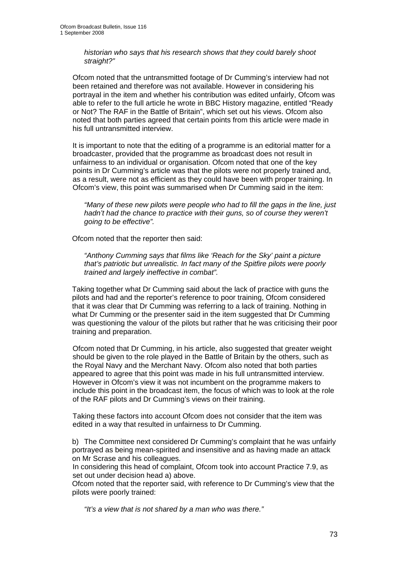*historian who says that his research shows that they could barely shoot straight?"* 

Ofcom noted that the untransmitted footage of Dr Cumming's interview had not been retained and therefore was not available. However in considering his portrayal in the item and whether his contribution was edited unfairly, Ofcom was able to refer to the full article he wrote in BBC History magazine, entitled "Ready or Not? The RAF in the Battle of Britain", which set out his views. Ofcom also noted that both parties agreed that certain points from this article were made in his full untransmitted interview.

It is important to note that the editing of a programme is an editorial matter for a broadcaster, provided that the programme as broadcast does not result in unfairness to an individual or organisation. Ofcom noted that one of the key points in Dr Cumming's article was that the pilots were not properly trained and, as a result, were not as efficient as they could have been with proper training. In Ofcom's view, this point was summarised when Dr Cumming said in the item:

*"Many of these new pilots were people who had to fill the gaps in the line, just hadn't had the chance to practice with their guns, so of course they weren't going to be effective".* 

Ofcom noted that the reporter then said:

*"Anthony Cumming says that films like 'Reach for the Sky' paint a picture that's patriotic but unrealistic. In fact many of the Spitfire pilots were poorly trained and largely ineffective in combat".* 

Taking together what Dr Cumming said about the lack of practice with guns the pilots and had and the reporter's reference to poor training, Ofcom considered that it was clear that Dr Cumming was referring to a lack of training. Nothing in what Dr Cumming or the presenter said in the item suggested that Dr Cumming was questioning the valour of the pilots but rather that he was criticising their poor training and preparation.

Ofcom noted that Dr Cumming, in his article, also suggested that greater weight should be given to the role played in the Battle of Britain by the others, such as the Royal Navy and the Merchant Navy. Ofcom also noted that both parties appeared to agree that this point was made in his full untransmitted interview. However in Ofcom's view it was not incumbent on the programme makers to include this point in the broadcast item, the focus of which was to look at the role of the RAF pilots and Dr Cumming's views on their training.

Taking these factors into account Ofcom does not consider that the item was edited in a way that resulted in unfairness to Dr Cumming.

b) The Committee next considered Dr Cumming's complaint that he was unfairly portrayed as being mean-spirited and insensitive and as having made an attack on Mr Scrase and his colleagues.

In considering this head of complaint, Ofcom took into account Practice 7.9, as set out under decision head a) above.

Ofcom noted that the reporter said, with reference to Dr Cumming's view that the pilots were poorly trained:

*"It's a view that is not shared by a man who was there."*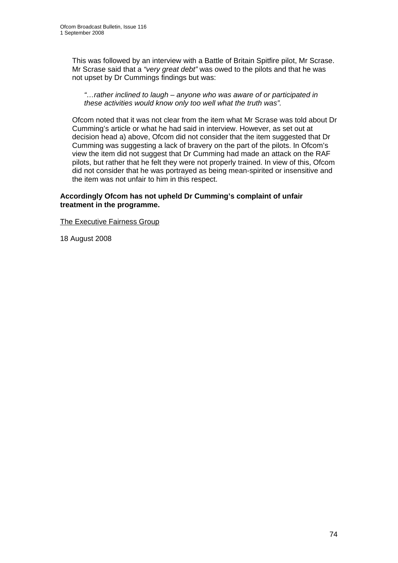This was followed by an interview with a Battle of Britain Spitfire pilot, Mr Scrase. Mr Scrase said that a *"very great debt"* was owed to the pilots and that he was not upset by Dr Cummings findings but was:

*"…rather inclined to laugh – anyone who was aware of or participated in these activities would know only too well what the truth was".* 

Ofcom noted that it was not clear from the item what Mr Scrase was told about Dr Cumming's article or what he had said in interview. However, as set out at decision head a) above, Ofcom did not consider that the item suggested that Dr Cumming was suggesting a lack of bravery on the part of the pilots. In Ofcom's view the item did not suggest that Dr Cumming had made an attack on the RAF pilots, but rather that he felt they were not properly trained. In view of this, Ofcom did not consider that he was portrayed as being mean-spirited or insensitive and the item was not unfair to him in this respect.

#### **Accordingly Ofcom has not upheld Dr Cumming's complaint of unfair treatment in the programme.**

The Executive Fairness Group

18 August 2008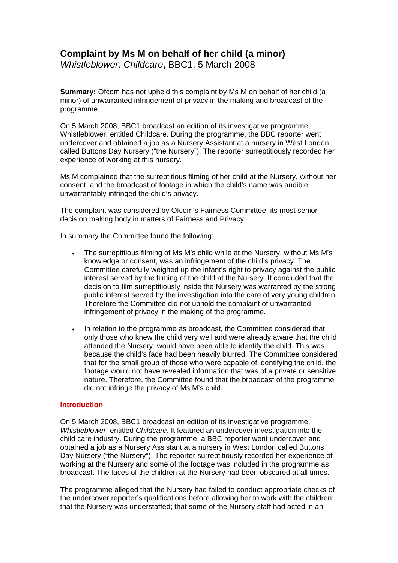*Whistleblower: Childcare*, BBC1, 5 March 2008

**Summary:** Ofcom has not upheld this complaint by Ms M on behalf of her child (a minor) of unwarranted infringement of privacy in the making and broadcast of the programme.

On 5 March 2008, BBC1 broadcast an edition of its investigative programme, Whistleblower, entitled Childcare. During the programme, the BBC reporter went undercover and obtained a job as a Nursery Assistant at a nursery in West London called Buttons Day Nursery ("the Nursery"). The reporter surreptitiously recorded her experience of working at this nursery.

Ms M complained that the surreptitious filming of her child at the Nursery, without her consent, and the broadcast of footage in which the child's name was audible, unwarrantably infringed the child's privacy.

The complaint was considered by Ofcom's Fairness Committee, its most senior decision making body in matters of Fairness and Privacy.

In summary the Committee found the following:

- The surreptitious filming of Ms M's child while at the Nursery, without Ms M's knowledge or consent, was an infringement of the child's privacy. The Committee carefully weighed up the infant's right to privacy against the public interest served by the filming of the child at the Nursery. It concluded that the decision to film surreptitiously inside the Nursery was warranted by the strong public interest served by the investigation into the care of very young children. Therefore the Committee did not uphold the complaint of unwarranted infringement of privacy in the making of the programme.
- In relation to the programme as broadcast, the Committee considered that only those who knew the child very well and were already aware that the child attended the Nursery, would have been able to identify the child. This was because the child's face had been heavily blurred. The Committee considered that for the small group of those who were capable of identifying the child, the footage would not have revealed information that was of a private or sensitive nature. Therefore, the Committee found that the broadcast of the programme did not infringe the privacy of Ms M's child.

#### **Introduction**

On 5 March 2008, BBC1 broadcast an edition of its investigative programme, *Whistleblower*, entitled *Childcare*. It featured an undercover investigation into the child care industry. During the programme, a BBC reporter went undercover and obtained a job as a Nursery Assistant at a nursery in West London called Buttons Day Nursery ("the Nursery"). The reporter surreptitiously recorded her experience of working at the Nursery and some of the footage was included in the programme as broadcast. The faces of the children at the Nursery had been obscured at all times.

The programme alleged that the Nursery had failed to conduct appropriate checks of the undercover reporter's qualifications before allowing her to work with the children; that the Nursery was understaffed; that some of the Nursery staff had acted in an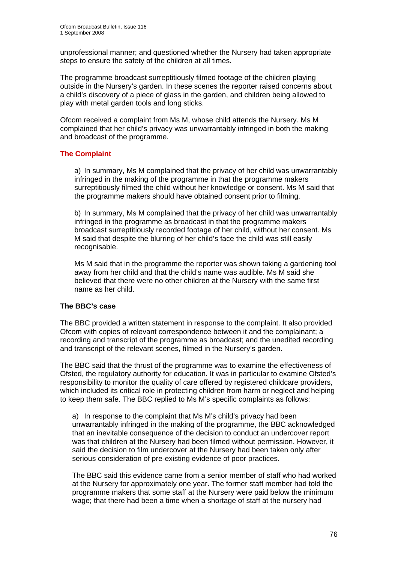unprofessional manner; and questioned whether the Nursery had taken appropriate steps to ensure the safety of the children at all times.

The programme broadcast surreptitiously filmed footage of the children playing outside in the Nursery's garden. In these scenes the reporter raised concerns about a child's discovery of a piece of glass in the garden, and children being allowed to play with metal garden tools and long sticks.

Ofcom received a complaint from Ms M, whose child attends the Nursery. Ms M complained that her child's privacy was unwarrantably infringed in both the making and broadcast of the programme.

### **The Complaint**

a) In summary, Ms M complained that the privacy of her child was unwarrantably infringed in the making of the programme in that the programme makers surreptitiously filmed the child without her knowledge or consent. Ms M said that the programme makers should have obtained consent prior to filming.

b) In summary, Ms M complained that the privacy of her child was unwarrantably infringed in the programme as broadcast in that the programme makers broadcast surreptitiously recorded footage of her child, without her consent. Ms M said that despite the blurring of her child's face the child was still easily recognisable.

Ms M said that in the programme the reporter was shown taking a gardening tool away from her child and that the child's name was audible. Ms M said she believed that there were no other children at the Nursery with the same first name as her child.

#### **The BBC's case**

The BBC provided a written statement in response to the complaint. It also provided Ofcom with copies of relevant correspondence between it and the complainant; a recording and transcript of the programme as broadcast; and the unedited recording and transcript of the relevant scenes, filmed in the Nursery's garden.

The BBC said that the thrust of the programme was to examine the effectiveness of Ofsted, the regulatory authority for education. It was in particular to examine Ofsted's responsibility to monitor the quality of care offered by registered childcare providers, which included its critical role in protecting children from harm or neglect and helping to keep them safe. The BBC replied to Ms M's specific complaints as follows:

a) In response to the complaint that Ms M's child's privacy had been unwarrantably infringed in the making of the programme, the BBC acknowledged that an inevitable consequence of the decision to conduct an undercover report was that children at the Nursery had been filmed without permission. However, it said the decision to film undercover at the Nursery had been taken only after serious consideration of pre-existing evidence of poor practices.

The BBC said this evidence came from a senior member of staff who had worked at the Nursery for approximately one year. The former staff member had told the programme makers that some staff at the Nursery were paid below the minimum wage; that there had been a time when a shortage of staff at the nursery had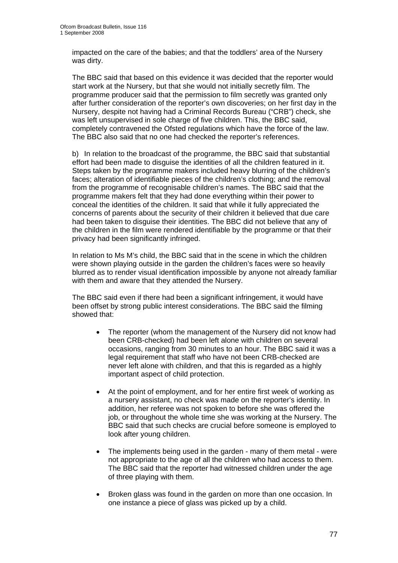impacted on the care of the babies; and that the toddlers' area of the Nursery was dirty.

The BBC said that based on this evidence it was decided that the reporter would start work at the Nursery, but that she would not initially secretly film. The programme producer said that the permission to film secretly was granted only after further consideration of the reporter's own discoveries; on her first day in the Nursery, despite not having had a Criminal Records Bureau ("CRB") check, she was left unsupervised in sole charge of five children. This, the BBC said, completely contravened the Ofsted regulations which have the force of the law. The BBC also said that no one had checked the reporter's references.

b) In relation to the broadcast of the programme, the BBC said that substantial effort had been made to disguise the identities of all the children featured in it. Steps taken by the programme makers included heavy blurring of the children's faces; alteration of identifiable pieces of the children's clothing; and the removal from the programme of recognisable children's names. The BBC said that the programme makers felt that they had done everything within their power to conceal the identities of the children. It said that while it fully appreciated the concerns of parents about the security of their children it believed that due care had been taken to disguise their identities. The BBC did not believe that any of the children in the film were rendered identifiable by the programme or that their privacy had been significantly infringed.

In relation to Ms M's child, the BBC said that in the scene in which the children were shown playing outside in the garden the children's faces were so heavily blurred as to render visual identification impossible by anyone not already familiar with them and aware that they attended the Nursery.

The BBC said even if there had been a significant infringement, it would have been offset by strong public interest considerations. The BBC said the filming showed that:

- The reporter (whom the management of the Nursery did not know had been CRB-checked) had been left alone with children on several occasions, ranging from 30 minutes to an hour. The BBC said it was a legal requirement that staff who have not been CRB-checked are never left alone with children, and that this is regarded as a highly important aspect of child protection.
- At the point of employment, and for her entire first week of working as a nursery assistant, no check was made on the reporter's identity. In addition, her referee was not spoken to before she was offered the job, or throughout the whole time she was working at the Nursery. The BBC said that such checks are crucial before someone is employed to look after young children.
- The implements being used in the garden many of them metal were not appropriate to the age of all the children who had access to them. The BBC said that the reporter had witnessed children under the age of three playing with them.
- Broken glass was found in the garden on more than one occasion. In one instance a piece of glass was picked up by a child.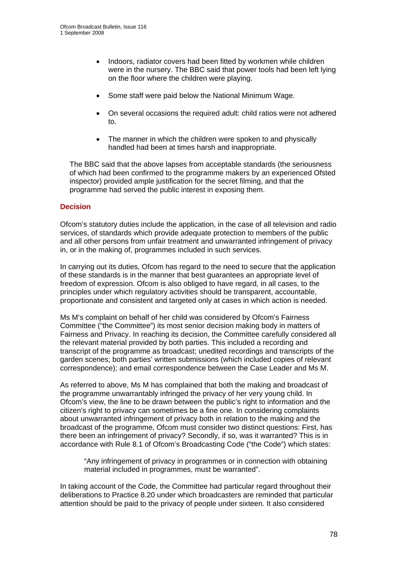- Indoors, radiator covers had been fitted by workmen while children were in the nursery. The BBC said that power tools had been left lying on the floor where the children were playing.
- Some staff were paid below the National Minimum Wage.
- On several occasions the required adult: child ratios were not adhered to.
- The manner in which the children were spoken to and physically handled had been at times harsh and inappropriate.

The BBC said that the above lapses from acceptable standards (the seriousness of which had been confirmed to the programme makers by an experienced Ofsted inspector) provided ample justification for the secret filming, and that the programme had served the public interest in exposing them.

#### **Decision**

Ofcom's statutory duties include the application, in the case of all television and radio services, of standards which provide adequate protection to members of the public and all other persons from unfair treatment and unwarranted infringement of privacy in, or in the making of, programmes included in such services.

In carrying out its duties, Ofcom has regard to the need to secure that the application of these standards is in the manner that best guarantees an appropriate level of freedom of expression. Ofcom is also obliged to have regard, in all cases, to the principles under which regulatory activities should be transparent, accountable, proportionate and consistent and targeted only at cases in which action is needed.

Ms M's complaint on behalf of her child was considered by Ofcom's Fairness Committee ("the Committee") its most senior decision making body in matters of Fairness and Privacy. In reaching its decision, the Committee carefully considered all the relevant material provided by both parties. This included a recording and transcript of the programme as broadcast; unedited recordings and transcripts of the garden scenes; both parties' written submissions (which included copies of relevant correspondence); and email correspondence between the Case Leader and Ms M.

As referred to above, Ms M has complained that both the making and broadcast of the programme unwarrantably infringed the privacy of her very young child. In Ofcom's view, the line to be drawn between the public's right to information and the citizen's right to privacy can sometimes be a fine one. In considering complaints about unwarranted infringement of privacy both in relation to the making and the broadcast of the programme, Ofcom must consider two distinct questions: First, has there been an infringement of privacy? Secondly, if so, was it warranted? This is in accordance with Rule 8.1 of Ofcom's Broadcasting Code ("the Code") which states:

"Any infringement of privacy in programmes or in connection with obtaining material included in programmes, must be warranted".

In taking account of the Code, the Committee had particular regard throughout their deliberations to Practice 8.20 under which broadcasters are reminded that particular attention should be paid to the privacy of people under sixteen. It also considered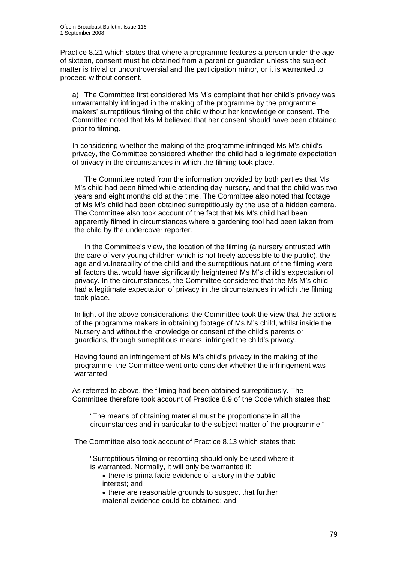Practice 8.21 which states that where a programme features a person under the age of sixteen, consent must be obtained from a parent or guardian unless the subject matter is trivial or uncontroversial and the participation minor, or it is warranted to proceed without consent.

a) The Committee first considered Ms M's complaint that her child's privacy was unwarrantably infringed in the making of the programme by the programme makers' surreptitious filming of the child without her knowledge or consent. The Committee noted that Ms M believed that her consent should have been obtained prior to filming.

In considering whether the making of the programme infringed Ms M's child's privacy, the Committee considered whether the child had a legitimate expectation of privacy in the circumstances in which the filming took place.

 The Committee noted from the information provided by both parties that Ms M's child had been filmed while attending day nursery, and that the child was two years and eight months old at the time. The Committee also noted that footage of Ms M's child had been obtained surreptitiously by the use of a hidden camera. The Committee also took account of the fact that Ms M's child had been apparently filmed in circumstances where a gardening tool had been taken from the child by the undercover reporter.

 In the Committee's view, the location of the filming (a nursery entrusted with the care of very young children which is not freely accessible to the public), the age and vulnerability of the child and the surreptitious nature of the filming were all factors that would have significantly heightened Ms M's child's expectation of privacy. In the circumstances, the Committee considered that the Ms M's child had a legitimate expectation of privacy in the circumstances in which the filming took place.

In light of the above considerations, the Committee took the view that the actions of the programme makers in obtaining footage of Ms M's child, whilst inside the Nursery and without the knowledge or consent of the child's parents or guardians, through surreptitious means, infringed the child's privacy.

Having found an infringement of Ms M's child's privacy in the making of the programme, the Committee went onto consider whether the infringement was warranted.

As referred to above, the filming had been obtained surreptitiously. The Committee therefore took account of Practice 8.9 of the Code which states that:

"The means of obtaining material must be proportionate in all the circumstances and in particular to the subject matter of the programme."

The Committee also took account of Practice 8.13 which states that:

"Surreptitious filming or recording should only be used where it is warranted. Normally, it will only be warranted if:

• there is prima facie evidence of a story in the public interest; and

• there are reasonable grounds to suspect that further material evidence could be obtained; and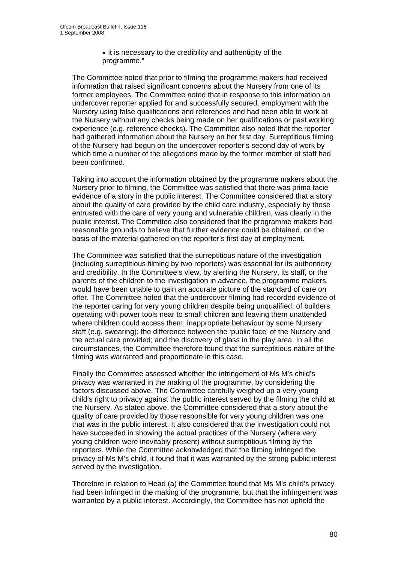• it is necessary to the credibility and authenticity of the programme."

The Committee noted that prior to filming the programme makers had received information that raised significant concerns about the Nursery from one of its former employees. The Committee noted that in response to this information an undercover reporter applied for and successfully secured, employment with the Nursery using false qualifications and references and had been able to work at the Nursery without any checks being made on her qualifications or past working experience (e.g. reference checks). The Committee also noted that the reporter had gathered information about the Nursery on her first day. Surreptitious filming of the Nursery had begun on the undercover reporter's second day of work by which time a number of the allegations made by the former member of staff had been confirmed.

Taking into account the information obtained by the programme makers about the Nursery prior to filming, the Committee was satisfied that there was prima facie evidence of a story in the public interest. The Committee considered that a story about the quality of care provided by the child care industry, especially by those entrusted with the care of very young and vulnerable children, was clearly in the public interest. The Committee also considered that the programme makers had reasonable grounds to believe that further evidence could be obtained, on the basis of the material gathered on the reporter's first day of employment.

The Committee was satisfied that the surreptitious nature of the investigation (including surreptitious filming by two reporters) was essential for its authenticity and credibility. In the Committee's view, by alerting the Nursery, its staff, or the parents of the children to the investigation in advance, the programme makers would have been unable to gain an accurate picture of the standard of care on offer. The Committee noted that the undercover filming had recorded evidence of the reporter caring for very young children despite being unqualified; of builders operating with power tools near to small children and leaving them unattended where children could access them; inappropriate behaviour by some Nursery staff (e.g. swearing); the difference between the 'public face' of the Nursery and the actual care provided; and the discovery of glass in the play area. In all the circumstances, the Committee therefore found that the surreptitious nature of the filming was warranted and proportionate in this case.

Finally the Committee assessed whether the infringement of Ms M's child's privacy was warranted in the making of the programme, by considering the factors discussed above. The Committee carefully weighed up a very young child's right to privacy against the public interest served by the filming the child at the Nursery. As stated above, the Committee considered that a story about the quality of care provided by those responsible for very young children was one that was in the public interest. It also considered that the investigation could not have succeeded in showing the actual practices of the Nursery (where very young children were inevitably present) without surreptitious filming by the reporters. While the Committee acknowledged that the filming infringed the privacy of Ms M's child, it found that it was warranted by the strong public interest served by the investigation.

Therefore in relation to Head (a) the Committee found that Ms M's child's privacy had been infringed in the making of the programme, but that the infringement was warranted by a public interest. Accordingly, the Committee has not upheld the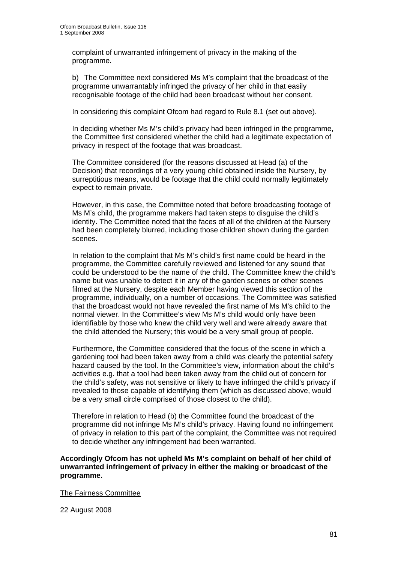complaint of unwarranted infringement of privacy in the making of the programme.

b) The Committee next considered Ms M's complaint that the broadcast of the programme unwarrantably infringed the privacy of her child in that easily recognisable footage of the child had been broadcast without her consent.

In considering this complaint Ofcom had regard to Rule 8.1 (set out above).

In deciding whether Ms M's child's privacy had been infringed in the programme, the Committee first considered whether the child had a legitimate expectation of privacy in respect of the footage that was broadcast.

The Committee considered (for the reasons discussed at Head (a) of the Decision) that recordings of a very young child obtained inside the Nursery, by surreptitious means, would be footage that the child could normally legitimately expect to remain private.

However, in this case, the Committee noted that before broadcasting footage of Ms M's child, the programme makers had taken steps to disguise the child's identity. The Committee noted that the faces of all of the children at the Nursery had been completely blurred, including those children shown during the garden scenes.

In relation to the complaint that Ms M's child's first name could be heard in the programme, the Committee carefully reviewed and listened for any sound that could be understood to be the name of the child. The Committee knew the child's name but was unable to detect it in any of the garden scenes or other scenes filmed at the Nursery, despite each Member having viewed this section of the programme, individually, on a number of occasions. The Committee was satisfied that the broadcast would not have revealed the first name of Ms M's child to the normal viewer. In the Committee's view Ms M's child would only have been identifiable by those who knew the child very well and were already aware that the child attended the Nursery; this would be a very small group of people.

Furthermore, the Committee considered that the focus of the scene in which a gardening tool had been taken away from a child was clearly the potential safety hazard caused by the tool. In the Committee's view, information about the child's activities e.g. that a tool had been taken away from the child out of concern for the child's safety, was not sensitive or likely to have infringed the child's privacy if revealed to those capable of identifying them (which as discussed above, would be a very small circle comprised of those closest to the child).

Therefore in relation to Head (b) the Committee found the broadcast of the programme did not infringe Ms M's child's privacy. Having found no infringement of privacy in relation to this part of the complaint, the Committee was not required to decide whether any infringement had been warranted.

**Accordingly Ofcom has not upheld Ms M's complaint on behalf of her child of unwarranted infringement of privacy in either the making or broadcast of the programme.** 

The Fairness Committee

22 August 2008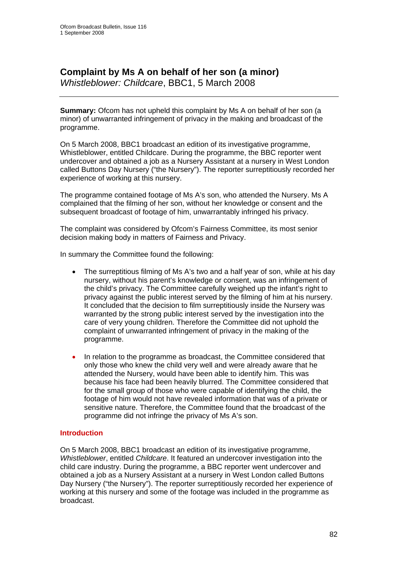# **Complaint by Ms A on behalf of her son (a minor)**

*Whistleblower: Childcare*, BBC1, 5 March 2008

**Summary:** Ofcom has not upheld this complaint by Ms A on behalf of her son (a minor) of unwarranted infringement of privacy in the making and broadcast of the programme.

On 5 March 2008, BBC1 broadcast an edition of its investigative programme, Whistleblower, entitled Childcare. During the programme, the BBC reporter went undercover and obtained a job as a Nursery Assistant at a nursery in West London called Buttons Day Nursery ("the Nursery"). The reporter surreptitiously recorded her experience of working at this nursery.

The programme contained footage of Ms A's son, who attended the Nursery. Ms A complained that the filming of her son, without her knowledge or consent and the subsequent broadcast of footage of him, unwarrantably infringed his privacy.

The complaint was considered by Ofcom's Fairness Committee, its most senior decision making body in matters of Fairness and Privacy.

In summary the Committee found the following:

- The surreptitious filming of Ms A's two and a half year of son, while at his day nursery, without his parent's knowledge or consent, was an infringement of the child's privacy. The Committee carefully weighed up the infant's right to privacy against the public interest served by the filming of him at his nursery. It concluded that the decision to film surreptitiously inside the Nursery was warranted by the strong public interest served by the investigation into the care of very young children. Therefore the Committee did not uphold the complaint of unwarranted infringement of privacy in the making of the programme.
- In relation to the programme as broadcast, the Committee considered that only those who knew the child very well and were already aware that he attended the Nursery, would have been able to identify him. This was because his face had been heavily blurred. The Committee considered that for the small group of those who were capable of identifying the child, the footage of him would not have revealed information that was of a private or sensitive nature. Therefore, the Committee found that the broadcast of the programme did not infringe the privacy of Ms A's son.

#### **Introduction**

On 5 March 2008, BBC1 broadcast an edition of its investigative programme, *Whistleblower*, entitled *Childcare*. It featured an undercover investigation into the child care industry. During the programme, a BBC reporter went undercover and obtained a job as a Nursery Assistant at a nursery in West London called Buttons Day Nursery ("the Nursery"). The reporter surreptitiously recorded her experience of working at this nursery and some of the footage was included in the programme as broadcast.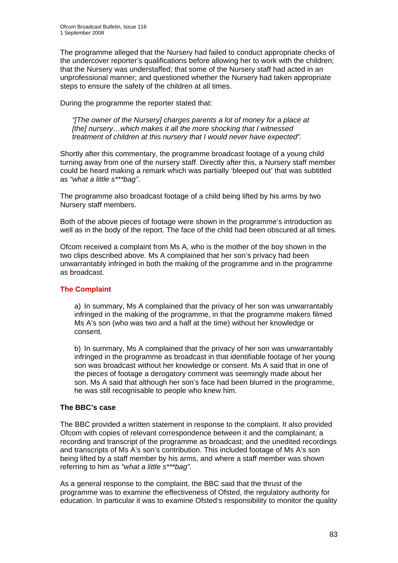The programme alleged that the Nursery had failed to conduct appropriate checks of the undercover reporter's qualifications before allowing her to work with the children; that the Nursery was understaffed; that some of the Nursery staff had acted in an unprofessional manner; and questioned whether the Nursery had taken appropriate steps to ensure the safety of the children at all times.

During the programme the reporter stated that:

*"[The owner of the Nursery] charges parents a lot of money for a place at [the] nursery…which makes it all the more shocking that I witnessed treatment of children at this nursery that I would never have expected".* 

Shortly after this commentary, the programme broadcast footage of a young child turning away from one of the nursery staff. Directly after this, a Nursery staff member could be heard making a remark which was partially 'bleeped out' that was subtitled as *"what a little s\*\*\*bag"*.

The programme also broadcast footage of a child being lifted by his arms by two Nursery staff members.

Both of the above pieces of footage were shown in the programme's introduction as well as in the body of the report. The face of the child had been obscured at all times.

Ofcom received a complaint from Ms A, who is the mother of the boy shown in the two clips described above. Ms A complained that her son's privacy had been unwarrantably infringed in both the making of the programme and in the programme as broadcast.

#### **The Complaint**

a) In summary, Ms A complained that the privacy of her son was unwarrantably infringed in the making of the programme, in that the programme makers filmed Ms A's son (who was two and a half at the time) without her knowledge or consent.

b) In summary, Ms A complained that the privacy of her son was unwarrantably infringed in the programme as broadcast in that identifiable footage of her young son was broadcast without her knowledge or consent. Ms A said that in one of the pieces of footage a derogatory comment was seemingly made about her son. Ms A said that although her son's face had been blurred in the programme, he was still recognisable to people who knew him.

#### **The BBC's case**

The BBC provided a written statement in response to the complaint. It also provided Ofcom with copies of relevant correspondence between it and the complainant; a recording and transcript of the programme as broadcast; and the unedited recordings and transcripts of Ms A's son's contribution. This included footage of Ms A's son being lifted by a staff member by his arms, and where a staff member was shown referring to him as *"what a little s\*\*\*bag"*.

As a general response to the complaint, the BBC said that the thrust of the programme was to examine the effectiveness of Ofsted, the regulatory authority for education. In particular it was to examine Ofsted's responsibility to monitor the quality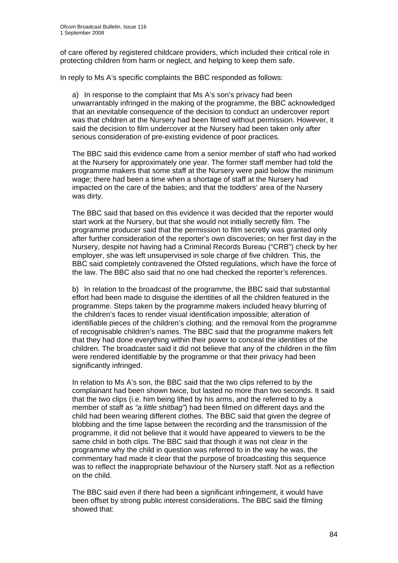of care offered by registered childcare providers, which included their critical role in protecting children from harm or neglect, and helping to keep them safe.

In reply to Ms A's specific complaints the BBC responded as follows:

a) In response to the complaint that Ms A's son's privacy had been unwarrantably infringed in the making of the programme, the BBC acknowledged that an inevitable consequence of the decision to conduct an undercover report was that children at the Nursery had been filmed without permission. However, it said the decision to film undercover at the Nursery had been taken only after serious consideration of pre-existing evidence of poor practices.

The BBC said this evidence came from a senior member of staff who had worked at the Nursery for approximately one year. The former staff member had told the programme makers that some staff at the Nursery were paid below the minimum wage; there had been a time when a shortage of staff at the Nursery had impacted on the care of the babies; and that the toddlers' area of the Nursery was dirty.

The BBC said that based on this evidence it was decided that the reporter would start work at the Nursery, but that she would not initially secretly film. The programme producer said that the permission to film secretly was granted only after further consideration of the reporter's own discoveries; on her first day in the Nursery, despite not having had a Criminal Records Bureau ("CRB") check by her employer, she was left unsupervised in sole charge of five children. This, the BBC said completely contravened the Ofsted regulations, which have the force of the law. The BBC also said that no one had checked the reporter's references.

b) In relation to the broadcast of the programme, the BBC said that substantial effort had been made to disguise the identities of all the children featured in the programme. Steps taken by the programme makers included heavy blurring of the children's faces to render visual identification impossible; alteration of identifiable pieces of the children's clothing; and the removal from the programme of recognisable children's names. The BBC said that the programme makers felt that they had done everything within their power to conceal the identities of the children. The broadcaster said it did not believe that any of the children in the film were rendered identifiable by the programme or that their privacy had been significantly infringed.

In relation to Ms A's son, the BBC said that the two clips referred to by the complainant had been shown twice, but lasted no more than two seconds. It said that the two clips (i.e. him being lifted by his arms, and the referred to by a member of staff as *"a little shitbag"*) had been filmed on different days and the child had been wearing different clothes. The BBC said that given the degree of blobbing and the time lapse between the recording and the transmission of the programme, it did not believe that it would have appeared to viewers to be the same child in both clips. The BBC said that though it was not clear in the programme why the child in question was referred to in the way he was, the commentary had made it clear that the purpose of broadcasting this sequence was to reflect the inappropriate behaviour of the Nursery staff. Not as a reflection on the child.

The BBC said even if there had been a significant infringement, it would have been offset by strong public interest considerations. The BBC said the filming showed that: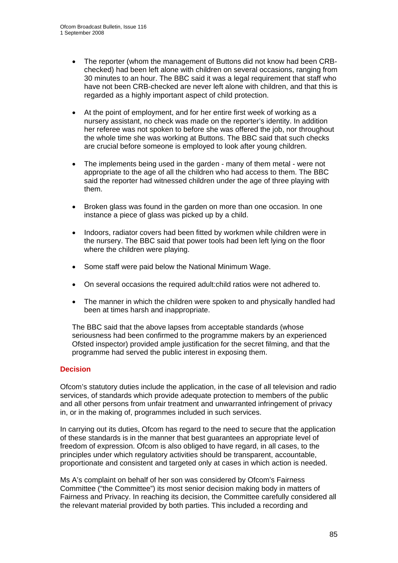- The reporter (whom the management of Buttons did not know had been CRBchecked) had been left alone with children on several occasions, ranging from 30 minutes to an hour. The BBC said it was a legal requirement that staff who have not been CRB-checked are never left alone with children, and that this is regarded as a highly important aspect of child protection.
- At the point of employment, and for her entire first week of working as a nursery assistant, no check was made on the reporter's identity. In addition her referee was not spoken to before she was offered the job, nor throughout the whole time she was working at Buttons. The BBC said that such checks are crucial before someone is employed to look after young children.
- The implements being used in the garden many of them metal were not appropriate to the age of all the children who had access to them. The BBC said the reporter had witnessed children under the age of three playing with them.
- Broken glass was found in the garden on more than one occasion. In one instance a piece of glass was picked up by a child.
- Indoors, radiator covers had been fitted by workmen while children were in the nursery. The BBC said that power tools had been left lying on the floor where the children were playing.
- Some staff were paid below the National Minimum Wage.
- On several occasions the required adult:child ratios were not adhered to.
- The manner in which the children were spoken to and physically handled had been at times harsh and inappropriate.

The BBC said that the above lapses from acceptable standards (whose seriousness had been confirmed to the programme makers by an experienced Ofsted inspector) provided ample justification for the secret filming, and that the programme had served the public interest in exposing them.

#### **Decision**

Ofcom's statutory duties include the application, in the case of all television and radio services, of standards which provide adequate protection to members of the public and all other persons from unfair treatment and unwarranted infringement of privacy in, or in the making of, programmes included in such services.

In carrying out its duties, Ofcom has regard to the need to secure that the application of these standards is in the manner that best guarantees an appropriate level of freedom of expression. Ofcom is also obliged to have regard, in all cases, to the principles under which regulatory activities should be transparent, accountable, proportionate and consistent and targeted only at cases in which action is needed.

Ms A's complaint on behalf of her son was considered by Ofcom's Fairness Committee ("the Committee") its most senior decision making body in matters of Fairness and Privacy. In reaching its decision, the Committee carefully considered all the relevant material provided by both parties. This included a recording and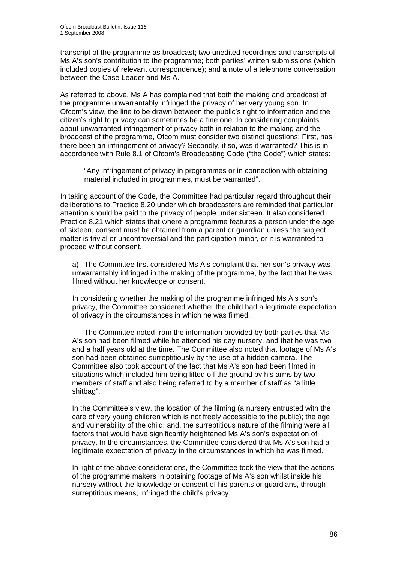transcript of the programme as broadcast; two unedited recordings and transcripts of Ms A's son's contribution to the programme; both parties' written submissions (which included copies of relevant correspondence); and a note of a telephone conversation between the Case Leader and Ms A.

As referred to above, Ms A has complained that both the making and broadcast of the programme unwarrantably infringed the privacy of her very young son. In Ofcom's view, the line to be drawn between the public's right to information and the citizen's right to privacy can sometimes be a fine one. In considering complaints about unwarranted infringement of privacy both in relation to the making and the broadcast of the programme, Ofcom must consider two distinct questions: First, has there been an infringement of privacy? Secondly, if so, was it warranted? This is in accordance with Rule 8.1 of Ofcom's Broadcasting Code ("the Code") which states:

"Any infringement of privacy in programmes or in connection with obtaining material included in programmes, must be warranted".

In taking account of the Code, the Committee had particular regard throughout their deliberations to Practice 8.20 under which broadcasters are reminded that particular attention should be paid to the privacy of people under sixteen. It also considered Practice 8.21 which states that where a programme features a person under the age of sixteen, consent must be obtained from a parent or guardian unless the subject matter is trivial or uncontroversial and the participation minor, or it is warranted to proceed without consent.

a) The Committee first considered Ms A's complaint that her son's privacy was unwarrantably infringed in the making of the programme, by the fact that he was filmed without her knowledge or consent.

In considering whether the making of the programme infringed Ms A's son's privacy, the Committee considered whether the child had a legitimate expectation of privacy in the circumstances in which he was filmed.

 The Committee noted from the information provided by both parties that Ms A's son had been filmed while he attended his day nursery, and that he was two and a half years old at the time. The Committee also noted that footage of Ms A's son had been obtained surreptitiously by the use of a hidden camera. The Committee also took account of the fact that Ms A's son had been filmed in situations which included him being lifted off the ground by his arms by two members of staff and also being referred to by a member of staff as "a little shitbag".

In the Committee's view, the location of the filming (a nursery entrusted with the care of very young children which is not freely accessible to the public); the age and vulnerability of the child; and, the surreptitious nature of the filming were all factors that would have significantly heightened Ms A's son's expectation of privacy. In the circumstances, the Committee considered that Ms A's son had a legitimate expectation of privacy in the circumstances in which he was filmed.

In light of the above considerations, the Committee took the view that the actions of the programme makers in obtaining footage of Ms A's son whilst inside his nursery without the knowledge or consent of his parents or guardians, through surreptitious means, infringed the child's privacy.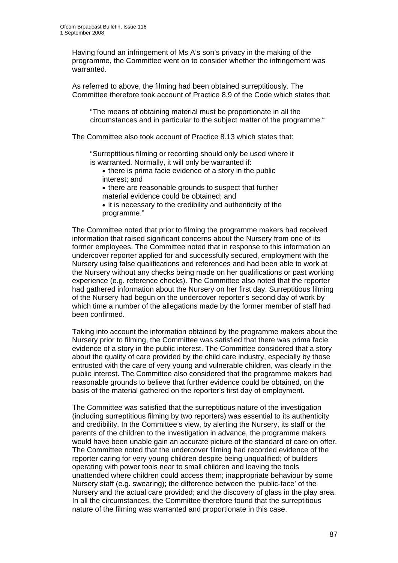Having found an infringement of Ms A's son's privacy in the making of the programme, the Committee went on to consider whether the infringement was warranted.

As referred to above, the filming had been obtained surreptitiously. The Committee therefore took account of Practice 8.9 of the Code which states that:

"The means of obtaining material must be proportionate in all the circumstances and in particular to the subject matter of the programme."

The Committee also took account of Practice 8.13 which states that:

"Surreptitious filming or recording should only be used where it is warranted. Normally, it will only be warranted if:

- there is prima facie evidence of a story in the public interest; and
- there are reasonable grounds to suspect that further material evidence could be obtained; and
- it is necessary to the credibility and authenticity of the programme."

The Committee noted that prior to filming the programme makers had received information that raised significant concerns about the Nursery from one of its former employees. The Committee noted that in response to this information an undercover reporter applied for and successfully secured, employment with the Nursery using false qualifications and references and had been able to work at the Nursery without any checks being made on her qualifications or past working experience (e.g. reference checks). The Committee also noted that the reporter had gathered information about the Nursery on her first day. Surreptitious filming of the Nursery had begun on the undercover reporter's second day of work by which time a number of the allegations made by the former member of staff had been confirmed.

Taking into account the information obtained by the programme makers about the Nursery prior to filming, the Committee was satisfied that there was prima facie evidence of a story in the public interest. The Committee considered that a story about the quality of care provided by the child care industry, especially by those entrusted with the care of very young and vulnerable children, was clearly in the public interest. The Committee also considered that the programme makers had reasonable grounds to believe that further evidence could be obtained, on the basis of the material gathered on the reporter's first day of employment.

The Committee was satisfied that the surreptitious nature of the investigation (including surreptitious filming by two reporters) was essential to its authenticity and credibility. In the Committee's view, by alerting the Nursery, its staff or the parents of the children to the investigation in advance, the programme makers would have been unable gain an accurate picture of the standard of care on offer. The Committee noted that the undercover filming had recorded evidence of the reporter caring for very young children despite being unqualified; of builders operating with power tools near to small children and leaving the tools unattended where children could access them; inappropriate behaviour by some Nursery staff (e.g. swearing); the difference between the 'public-face' of the Nursery and the actual care provided; and the discovery of glass in the play area. In all the circumstances, the Committee therefore found that the surreptitious nature of the filming was warranted and proportionate in this case.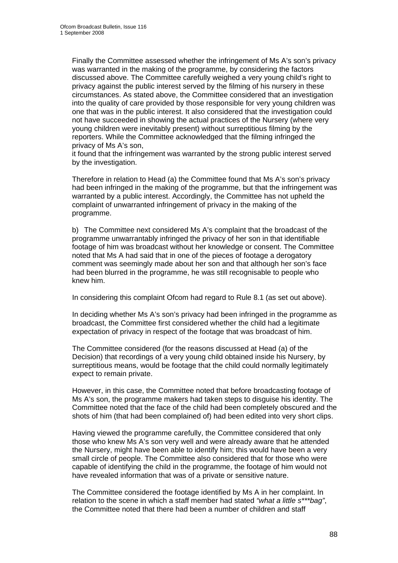Finally the Committee assessed whether the infringement of Ms A's son's privacy was warranted in the making of the programme, by considering the factors discussed above. The Committee carefully weighed a very young child's right to privacy against the public interest served by the filming of his nursery in these circumstances. As stated above, the Committee considered that an investigation into the quality of care provided by those responsible for very young children was one that was in the public interest. It also considered that the investigation could not have succeeded in showing the actual practices of the Nursery (where very young children were inevitably present) without surreptitious filming by the reporters. While the Committee acknowledged that the filming infringed the privacy of Ms A's son,

it found that the infringement was warranted by the strong public interest served by the investigation.

Therefore in relation to Head (a) the Committee found that Ms A's son's privacy had been infringed in the making of the programme, but that the infringement was warranted by a public interest. Accordingly, the Committee has not upheld the complaint of unwarranted infringement of privacy in the making of the programme.

b) The Committee next considered Ms A's complaint that the broadcast of the programme unwarrantably infringed the privacy of her son in that identifiable footage of him was broadcast without her knowledge or consent. The Committee noted that Ms A had said that in one of the pieces of footage a derogatory comment was seemingly made about her son and that although her son's face had been blurred in the programme, he was still recognisable to people who knew him.

In considering this complaint Ofcom had regard to Rule 8.1 (as set out above).

In deciding whether Ms A's son's privacy had been infringed in the programme as broadcast, the Committee first considered whether the child had a legitimate expectation of privacy in respect of the footage that was broadcast of him.

The Committee considered (for the reasons discussed at Head (a) of the Decision) that recordings of a very young child obtained inside his Nursery, by surreptitious means, would be footage that the child could normally legitimately expect to remain private.

However, in this case, the Committee noted that before broadcasting footage of Ms A's son, the programme makers had taken steps to disguise his identity. The Committee noted that the face of the child had been completely obscured and the shots of him (that had been complained of) had been edited into very short clips.

Having viewed the programme carefully, the Committee considered that only those who knew Ms A's son very well and were already aware that he attended the Nursery, might have been able to identify him; this would have been a very small circle of people. The Committee also considered that for those who were capable of identifying the child in the programme, the footage of him would not have revealed information that was of a private or sensitive nature.

The Committee considered the footage identified by Ms A in her complaint. In relation to the scene in which a staff member had stated *"what a little s\*\*\*bag"*, the Committee noted that there had been a number of children and staff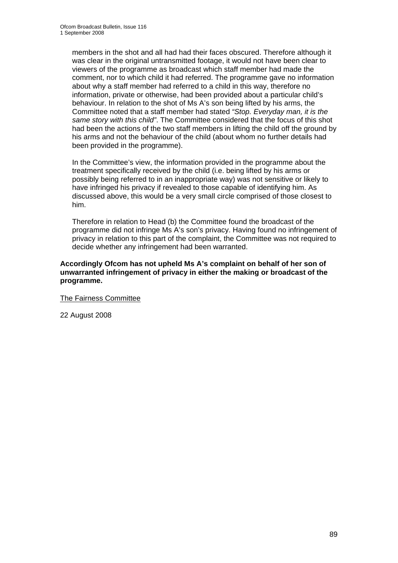members in the shot and all had had their faces obscured. Therefore although it was clear in the original untransmitted footage, it would not have been clear to viewers of the programme as broadcast which staff member had made the comment, nor to which child it had referred. The programme gave no information about why a staff member had referred to a child in this way, therefore no information, private or otherwise, had been provided about a particular child's behaviour. In relation to the shot of Ms A's son being lifted by his arms, the Committee noted that a staff member had stated *"Stop. Everyday man, it is the same story with this child"*. The Committee considered that the focus of this shot had been the actions of the two staff members in lifting the child off the ground by his arms and not the behaviour of the child (about whom no further details had been provided in the programme).

In the Committee's view, the information provided in the programme about the treatment specifically received by the child (i.e. being lifted by his arms or possibly being referred to in an inappropriate way) was not sensitive or likely to have infringed his privacy if revealed to those capable of identifying him. As discussed above, this would be a very small circle comprised of those closest to him.

Therefore in relation to Head (b) the Committee found the broadcast of the programme did not infringe Ms A's son's privacy. Having found no infringement of privacy in relation to this part of the complaint, the Committee was not required to decide whether any infringement had been warranted.

#### **Accordingly Ofcom has not upheld Ms A's complaint on behalf of her son of unwarranted infringement of privacy in either the making or broadcast of the programme.**

The Fairness Committee

22 August 2008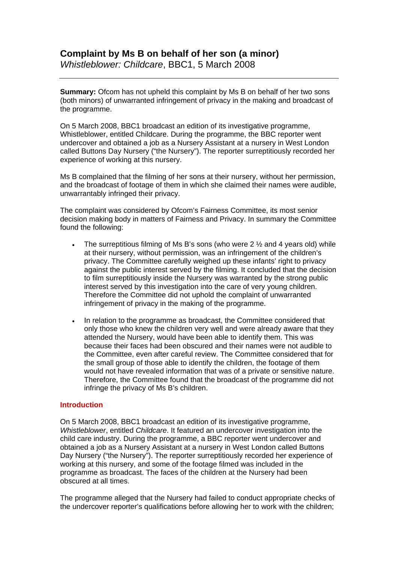# **Complaint by Ms B on behalf of her son (a minor)**

*Whistleblower: Childcare*, BBC1, 5 March 2008

**Summary:** Ofcom has not upheld this complaint by Ms B on behalf of her two sons (both minors) of unwarranted infringement of privacy in the making and broadcast of the programme.

On 5 March 2008, BBC1 broadcast an edition of its investigative programme, Whistleblower, entitled Childcare. During the programme, the BBC reporter went undercover and obtained a job as a Nursery Assistant at a nursery in West London called Buttons Day Nursery ("the Nursery"). The reporter surreptitiously recorded her experience of working at this nursery.

Ms B complained that the filming of her sons at their nursery, without her permission, and the broadcast of footage of them in which she claimed their names were audible, unwarrantably infringed their privacy.

The complaint was considered by Ofcom's Fairness Committee, its most senior decision making body in matters of Fairness and Privacy. In summary the Committee found the following:

- The surreptitious filming of Ms B's sons (who were  $2\frac{1}{2}$  and 4 years old) while at their nursery, without permission, was an infringement of the children's privacy. The Committee carefully weighed up these infants' right to privacy against the public interest served by the filming. It concluded that the decision to film surreptitiously inside the Nursery was warranted by the strong public interest served by this investigation into the care of very young children. Therefore the Committee did not uphold the complaint of unwarranted infringement of privacy in the making of the programme.
- In relation to the programme as broadcast, the Committee considered that only those who knew the children very well and were already aware that they attended the Nursery, would have been able to identify them. This was because their faces had been obscured and their names were not audible to the Committee, even after careful review. The Committee considered that for the small group of those able to identify the children, the footage of them would not have revealed information that was of a private or sensitive nature. Therefore, the Committee found that the broadcast of the programme did not infringe the privacy of Ms B's children.

#### **Introduction**

On 5 March 2008, BBC1 broadcast an edition of its investigative programme, *Whistleblower*, entitled *Childcare*. It featured an undercover investigation into the child care industry. During the programme, a BBC reporter went undercover and obtained a job as a Nursery Assistant at a nursery in West London called Buttons Day Nursery ("the Nursery"). The reporter surreptitiously recorded her experience of working at this nursery, and some of the footage filmed was included in the programme as broadcast. The faces of the children at the Nursery had been obscured at all times.

The programme alleged that the Nursery had failed to conduct appropriate checks of the undercover reporter's qualifications before allowing her to work with the children;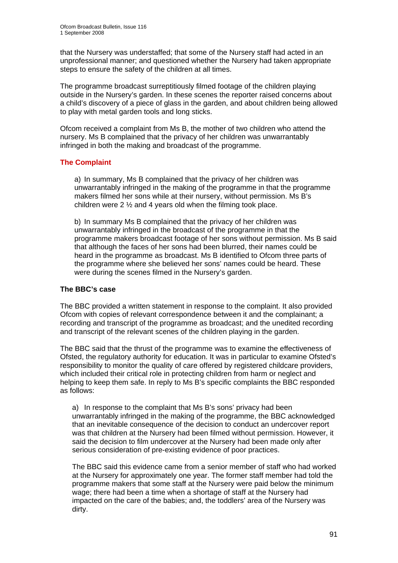that the Nursery was understaffed; that some of the Nursery staff had acted in an unprofessional manner; and questioned whether the Nursery had taken appropriate steps to ensure the safety of the children at all times.

The programme broadcast surreptitiously filmed footage of the children playing outside in the Nursery's garden. In these scenes the reporter raised concerns about a child's discovery of a piece of glass in the garden, and about children being allowed to play with metal garden tools and long sticks.

Ofcom received a complaint from Ms B, the mother of two children who attend the nursery. Ms B complained that the privacy of her children was unwarrantably infringed in both the making and broadcast of the programme.

## **The Complaint**

a) In summary, Ms B complained that the privacy of her children was unwarrantably infringed in the making of the programme in that the programme makers filmed her sons while at their nursery, without permission. Ms B's children were 2 ½ and 4 years old when the filming took place.

b) In summary Ms B complained that the privacy of her children was unwarrantably infringed in the broadcast of the programme in that the programme makers broadcast footage of her sons without permission. Ms B said that although the faces of her sons had been blurred, their names could be heard in the programme as broadcast. Ms B identified to Ofcom three parts of the programme where she believed her sons' names could be heard. These were during the scenes filmed in the Nursery's garden.

#### **The BBC's case**

The BBC provided a written statement in response to the complaint. It also provided Ofcom with copies of relevant correspondence between it and the complainant; a recording and transcript of the programme as broadcast; and the unedited recording and transcript of the relevant scenes of the children playing in the garden.

The BBC said that the thrust of the programme was to examine the effectiveness of Ofsted, the regulatory authority for education. It was in particular to examine Ofsted's responsibility to monitor the quality of care offered by registered childcare providers, which included their critical role in protecting children from harm or neglect and helping to keep them safe. In reply to Ms B's specific complaints the BBC responded as follows:

a) In response to the complaint that Ms B's sons' privacy had been unwarrantably infringed in the making of the programme, the BBC acknowledged that an inevitable consequence of the decision to conduct an undercover report was that children at the Nursery had been filmed without permission. However, it said the decision to film undercover at the Nursery had been made only after serious consideration of pre-existing evidence of poor practices.

The BBC said this evidence came from a senior member of staff who had worked at the Nursery for approximately one year. The former staff member had told the programme makers that some staff at the Nursery were paid below the minimum wage; there had been a time when a shortage of staff at the Nursery had impacted on the care of the babies; and, the toddlers' area of the Nursery was dirty.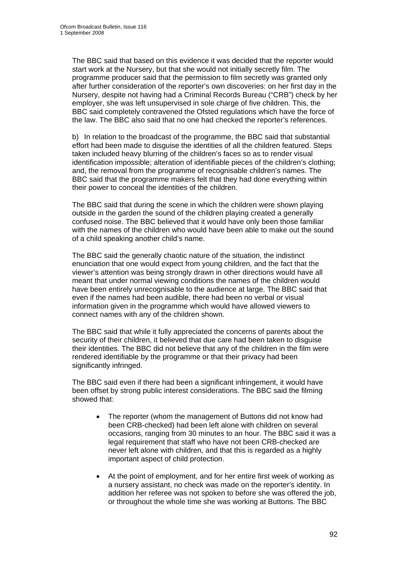The BBC said that based on this evidence it was decided that the reporter would start work at the Nursery, but that she would not initially secretly film. The programme producer said that the permission to film secretly was granted only after further consideration of the reporter's own discoveries: on her first day in the Nursery, despite not having had a Criminal Records Bureau ("CRB") check by her employer, she was left unsupervised in sole charge of five children. This, the BBC said completely contravened the Ofsted regulations which have the force of the law. The BBC also said that no one had checked the reporter's references.

b) In relation to the broadcast of the programme, the BBC said that substantial effort had been made to disguise the identities of all the children featured. Steps taken included heavy blurring of the children's faces so as to render visual identification impossible; alteration of identifiable pieces of the children's clothing; and, the removal from the programme of recognisable children's names. The BBC said that the programme makers felt that they had done everything within their power to conceal the identities of the children.

The BBC said that during the scene in which the children were shown playing outside in the garden the sound of the children playing created a generally confused noise. The BBC believed that it would have only been those familiar with the names of the children who would have been able to make out the sound of a child speaking another child's name.

The BBC said the generally chaotic nature of the situation, the indistinct enunciation that one would expect from young children, and the fact that the viewer's attention was being strongly drawn in other directions would have all meant that under normal viewing conditions the names of the children would have been entirely unrecognisable to the audience at large. The BBC said that even if the names had been audible, there had been no verbal or visual information given in the programme which would have allowed viewers to connect names with any of the children shown.

The BBC said that while it fully appreciated the concerns of parents about the security of their children, it believed that due care had been taken to disguise their identities. The BBC did not believe that any of the children in the film were rendered identifiable by the programme or that their privacy had been significantly infringed.

The BBC said even if there had been a significant infringement, it would have been offset by strong public interest considerations. The BBC said the filming showed that:

- The reporter (whom the management of Buttons did not know had been CRB-checked) had been left alone with children on several occasions, ranging from 30 minutes to an hour. The BBC said it was a legal requirement that staff who have not been CRB-checked are never left alone with children, and that this is regarded as a highly important aspect of child protection.
- At the point of employment, and for her entire first week of working as a nursery assistant, no check was made on the reporter's identity. In addition her referee was not spoken to before she was offered the job, or throughout the whole time she was working at Buttons. The BBC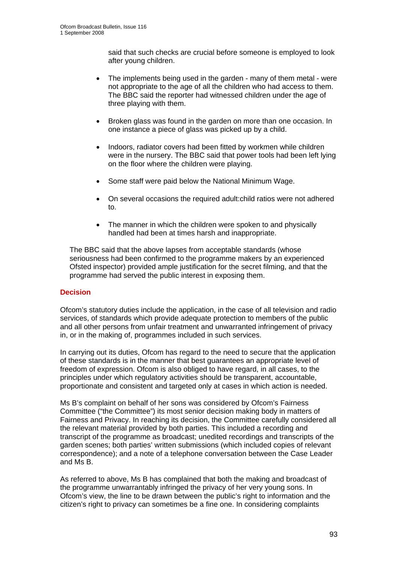said that such checks are crucial before someone is employed to look after young children.

- The implements being used in the garden many of them metal were not appropriate to the age of all the children who had access to them. The BBC said the reporter had witnessed children under the age of three playing with them.
- Broken glass was found in the garden on more than one occasion. In one instance a piece of glass was picked up by a child.
- Indoors, radiator covers had been fitted by workmen while children were in the nursery. The BBC said that power tools had been left lying on the floor where the children were playing.
- Some staff were paid below the National Minimum Wage.
- On several occasions the required adult:child ratios were not adhered to.
- The manner in which the children were spoken to and physically handled had been at times harsh and inappropriate.

The BBC said that the above lapses from acceptable standards (whose seriousness had been confirmed to the programme makers by an experienced Ofsted inspector) provided ample justification for the secret filming, and that the programme had served the public interest in exposing them.

#### **Decision**

Ofcom's statutory duties include the application, in the case of all television and radio services, of standards which provide adequate protection to members of the public and all other persons from unfair treatment and unwarranted infringement of privacy in, or in the making of, programmes included in such services.

In carrying out its duties, Ofcom has regard to the need to secure that the application of these standards is in the manner that best guarantees an appropriate level of freedom of expression. Ofcom is also obliged to have regard, in all cases, to the principles under which regulatory activities should be transparent, accountable, proportionate and consistent and targeted only at cases in which action is needed.

Ms B's complaint on behalf of her sons was considered by Ofcom's Fairness Committee ("the Committee") its most senior decision making body in matters of Fairness and Privacy. In reaching its decision, the Committee carefully considered all the relevant material provided by both parties. This included a recording and transcript of the programme as broadcast; unedited recordings and transcripts of the garden scenes; both parties' written submissions (which included copies of relevant correspondence); and a note of a telephone conversation between the Case Leader and Ms B.

As referred to above, Ms B has complained that both the making and broadcast of the programme unwarrantably infringed the privacy of her very young sons. In Ofcom's view, the line to be drawn between the public's right to information and the citizen's right to privacy can sometimes be a fine one. In considering complaints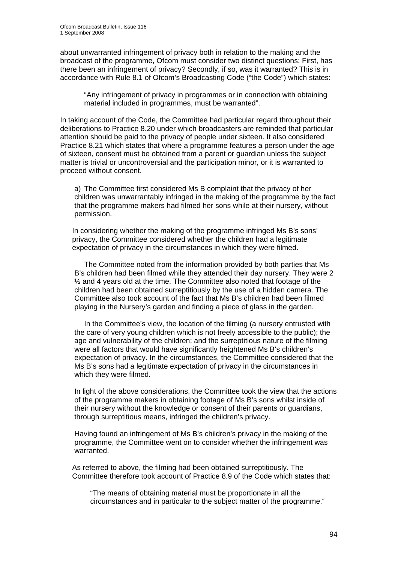about unwarranted infringement of privacy both in relation to the making and the broadcast of the programme, Ofcom must consider two distinct questions: First, has there been an infringement of privacy? Secondly, if so, was it warranted? This is in accordance with Rule 8.1 of Ofcom's Broadcasting Code ("the Code") which states:

"Any infringement of privacy in programmes or in connection with obtaining material included in programmes, must be warranted".

In taking account of the Code, the Committee had particular regard throughout their deliberations to Practice 8.20 under which broadcasters are reminded that particular attention should be paid to the privacy of people under sixteen. It also considered Practice 8.21 which states that where a programme features a person under the age of sixteen, consent must be obtained from a parent or guardian unless the subject matter is trivial or uncontroversial and the participation minor, or it is warranted to proceed without consent.

a) The Committee first considered Ms B complaint that the privacy of her children was unwarrantably infringed in the making of the programme by the fact that the programme makers had filmed her sons while at their nursery, without permission.

In considering whether the making of the programme infringed Ms B's sons' privacy, the Committee considered whether the children had a legitimate expectation of privacy in the circumstances in which they were filmed.

 The Committee noted from the information provided by both parties that Ms B's children had been filmed while they attended their day nursery. They were 2 ½ and 4 years old at the time. The Committee also noted that footage of the children had been obtained surreptitiously by the use of a hidden camera. The Committee also took account of the fact that Ms B's children had been filmed playing in the Nursery's garden and finding a piece of glass in the garden.

 In the Committee's view, the location of the filming (a nursery entrusted with the care of very young children which is not freely accessible to the public); the age and vulnerability of the children; and the surreptitious nature of the filming were all factors that would have significantly heightened Ms B's children's expectation of privacy. In the circumstances, the Committee considered that the Ms B's sons had a legitimate expectation of privacy in the circumstances in which they were filmed.

In light of the above considerations, the Committee took the view that the actions of the programme makers in obtaining footage of Ms B's sons whilst inside of their nursery without the knowledge or consent of their parents or guardians, through surreptitious means, infringed the children's privacy.

Having found an infringement of Ms B's children's privacy in the making of the programme, the Committee went on to consider whether the infringement was warranted.

As referred to above, the filming had been obtained surreptitiously. The Committee therefore took account of Practice 8.9 of the Code which states that:

"The means of obtaining material must be proportionate in all the circumstances and in particular to the subject matter of the programme."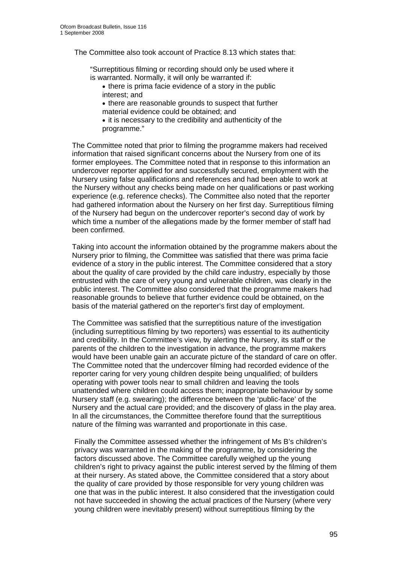The Committee also took account of Practice 8.13 which states that:

"Surreptitious filming or recording should only be used where it is warranted. Normally, it will only be warranted if:

• there is prima facie evidence of a story in the public interest; and

• there are reasonable grounds to suspect that further material evidence could be obtained; and

• it is necessary to the credibility and authenticity of the programme."

The Committee noted that prior to filming the programme makers had received information that raised significant concerns about the Nursery from one of its former employees. The Committee noted that in response to this information an undercover reporter applied for and successfully secured, employment with the Nursery using false qualifications and references and had been able to work at the Nursery without any checks being made on her qualifications or past working experience (e.g. reference checks). The Committee also noted that the reporter had gathered information about the Nursery on her first day. Surreptitious filming of the Nursery had begun on the undercover reporter's second day of work by which time a number of the allegations made by the former member of staff had been confirmed.

Taking into account the information obtained by the programme makers about the Nursery prior to filming, the Committee was satisfied that there was prima facie evidence of a story in the public interest. The Committee considered that a story about the quality of care provided by the child care industry, especially by those entrusted with the care of very young and vulnerable children, was clearly in the public interest. The Committee also considered that the programme makers had reasonable grounds to believe that further evidence could be obtained, on the basis of the material gathered on the reporter's first day of employment.

The Committee was satisfied that the surreptitious nature of the investigation (including surreptitious filming by two reporters) was essential to its authenticity and credibility. In the Committee's view, by alerting the Nursery, its staff or the parents of the children to the investigation in advance, the programme makers would have been unable gain an accurate picture of the standard of care on offer. The Committee noted that the undercover filming had recorded evidence of the reporter caring for very young children despite being unqualified; of builders operating with power tools near to small children and leaving the tools unattended where children could access them; inappropriate behaviour by some Nursery staff (e.g. swearing); the difference between the 'public-face' of the Nursery and the actual care provided; and the discovery of glass in the play area. In all the circumstances, the Committee therefore found that the surreptitious nature of the filming was warranted and proportionate in this case.

Finally the Committee assessed whether the infringement of Ms B's children's privacy was warranted in the making of the programme, by considering the factors discussed above. The Committee carefully weighed up the young children's right to privacy against the public interest served by the filming of them at their nursery. As stated above, the Committee considered that a story about the quality of care provided by those responsible for very young children was one that was in the public interest. It also considered that the investigation could not have succeeded in showing the actual practices of the Nursery (where very young children were inevitably present) without surreptitious filming by the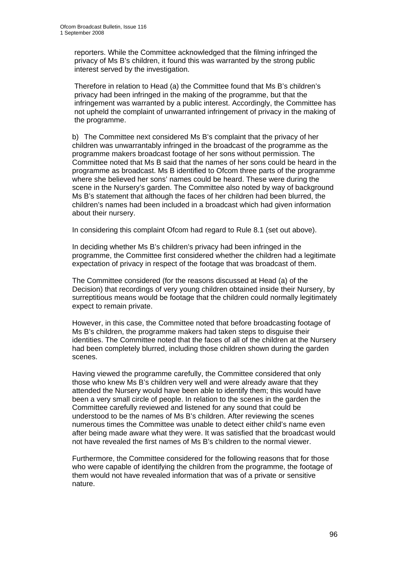reporters. While the Committee acknowledged that the filming infringed the privacy of Ms B's children, it found this was warranted by the strong public interest served by the investigation.

Therefore in relation to Head (a) the Committee found that Ms B's children's privacy had been infringed in the making of the programme, but that the infringement was warranted by a public interest. Accordingly, the Committee has not upheld the complaint of unwarranted infringement of privacy in the making of the programme.

b) The Committee next considered Ms B's complaint that the privacy of her children was unwarrantably infringed in the broadcast of the programme as the programme makers broadcast footage of her sons without permission. The Committee noted that Ms B said that the names of her sons could be heard in the programme as broadcast. Ms B identified to Ofcom three parts of the programme where she believed her sons' names could be heard. These were during the scene in the Nursery's garden. The Committee also noted by way of background Ms B's statement that although the faces of her children had been blurred, the children's names had been included in a broadcast which had given information about their nursery.

In considering this complaint Ofcom had regard to Rule 8.1 (set out above).

In deciding whether Ms B's children's privacy had been infringed in the programme, the Committee first considered whether the children had a legitimate expectation of privacy in respect of the footage that was broadcast of them.

The Committee considered (for the reasons discussed at Head (a) of the Decision) that recordings of very young children obtained inside their Nursery, by surreptitious means would be footage that the children could normally legitimately expect to remain private.

However, in this case, the Committee noted that before broadcasting footage of Ms B's children, the programme makers had taken steps to disguise their identities. The Committee noted that the faces of all of the children at the Nursery had been completely blurred, including those children shown during the garden scenes.

Having viewed the programme carefully, the Committee considered that only those who knew Ms B's children very well and were already aware that they attended the Nursery would have been able to identify them; this would have been a very small circle of people. In relation to the scenes in the garden the Committee carefully reviewed and listened for any sound that could be understood to be the names of Ms B's children. After reviewing the scenes numerous times the Committee was unable to detect either child's name even after being made aware what they were. It was satisfied that the broadcast would not have revealed the first names of Ms B's children to the normal viewer.

Furthermore, the Committee considered for the following reasons that for those who were capable of identifying the children from the programme, the footage of them would not have revealed information that was of a private or sensitive nature.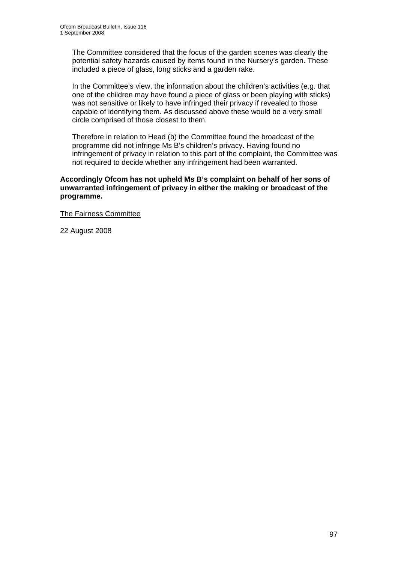The Committee considered that the focus of the garden scenes was clearly the potential safety hazards caused by items found in the Nursery's garden. These included a piece of glass, long sticks and a garden rake.

In the Committee's view, the information about the children's activities (e.g. that one of the children may have found a piece of glass or been playing with sticks) was not sensitive or likely to have infringed their privacy if revealed to those capable of identifying them. As discussed above these would be a very small circle comprised of those closest to them.

Therefore in relation to Head (b) the Committee found the broadcast of the programme did not infringe Ms B's children's privacy. Having found no infringement of privacy in relation to this part of the complaint, the Committee was not required to decide whether any infringement had been warranted.

**Accordingly Ofcom has not upheld Ms B's complaint on behalf of her sons of unwarranted infringement of privacy in either the making or broadcast of the programme.** 

The Fairness Committee

22 August 2008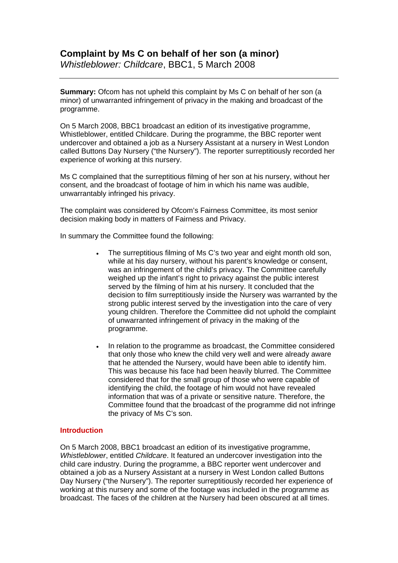*Whistleblower: Childcare*, BBC1, 5 March 2008

**Summary:** Ofcom has not upheld this complaint by Ms C on behalf of her son (a minor) of unwarranted infringement of privacy in the making and broadcast of the programme.

On 5 March 2008, BBC1 broadcast an edition of its investigative programme, Whistleblower, entitled Childcare. During the programme, the BBC reporter went undercover and obtained a job as a Nursery Assistant at a nursery in West London called Buttons Day Nursery ("the Nursery"). The reporter surreptitiously recorded her experience of working at this nursery.

Ms C complained that the surreptitious filming of her son at his nursery, without her consent, and the broadcast of footage of him in which his name was audible, unwarrantably infringed his privacy.

The complaint was considered by Ofcom's Fairness Committee, its most senior decision making body in matters of Fairness and Privacy.

In summary the Committee found the following:

- The surreptitious filming of Ms C's two year and eight month old son, while at his day nursery, without his parent's knowledge or consent, was an infringement of the child's privacy. The Committee carefully weighed up the infant's right to privacy against the public interest served by the filming of him at his nursery. It concluded that the decision to film surreptitiously inside the Nursery was warranted by the strong public interest served by the investigation into the care of very young children. Therefore the Committee did not uphold the complaint of unwarranted infringement of privacy in the making of the programme.
- In relation to the programme as broadcast, the Committee considered that only those who knew the child very well and were already aware that he attended the Nursery, would have been able to identify him. This was because his face had been heavily blurred. The Committee considered that for the small group of those who were capable of identifying the child, the footage of him would not have revealed information that was of a private or sensitive nature. Therefore, the Committee found that the broadcast of the programme did not infringe the privacy of Ms C's son.

#### **Introduction**

On 5 March 2008, BBC1 broadcast an edition of its investigative programme, *Whistleblower*, entitled *Childcare*. It featured an undercover investigation into the child care industry. During the programme, a BBC reporter went undercover and obtained a job as a Nursery Assistant at a nursery in West London called Buttons Day Nursery ("the Nursery"). The reporter surreptitiously recorded her experience of working at this nursery and some of the footage was included in the programme as broadcast. The faces of the children at the Nursery had been obscured at all times.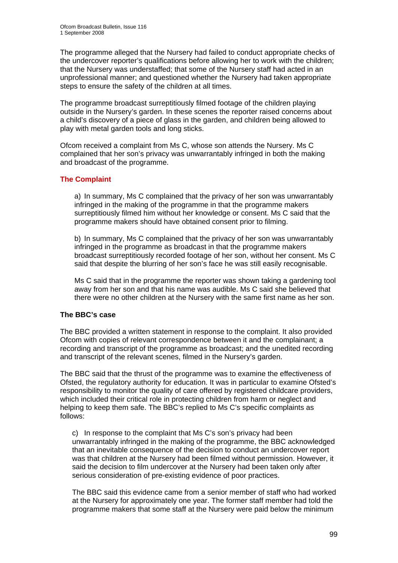The programme alleged that the Nursery had failed to conduct appropriate checks of the undercover reporter's qualifications before allowing her to work with the children; that the Nursery was understaffed; that some of the Nursery staff had acted in an unprofessional manner; and questioned whether the Nursery had taken appropriate steps to ensure the safety of the children at all times.

The programme broadcast surreptitiously filmed footage of the children playing outside in the Nursery's garden. In these scenes the reporter raised concerns about a child's discovery of a piece of glass in the garden, and children being allowed to play with metal garden tools and long sticks.

Ofcom received a complaint from Ms C, whose son attends the Nursery. Ms C complained that her son's privacy was unwarrantably infringed in both the making and broadcast of the programme.

#### **The Complaint**

a) In summary, Ms C complained that the privacy of her son was unwarrantably infringed in the making of the programme in that the programme makers surreptitiously filmed him without her knowledge or consent. Ms C said that the programme makers should have obtained consent prior to filming.

b) In summary, Ms C complained that the privacy of her son was unwarrantably infringed in the programme as broadcast in that the programme makers broadcast surreptitiously recorded footage of her son, without her consent. Ms C said that despite the blurring of her son's face he was still easily recognisable.

Ms C said that in the programme the reporter was shown taking a gardening tool away from her son and that his name was audible. Ms C said she believed that there were no other children at the Nursery with the same first name as her son.

#### **The BBC's case**

The BBC provided a written statement in response to the complaint. It also provided Ofcom with copies of relevant correspondence between it and the complainant; a recording and transcript of the programme as broadcast; and the unedited recording and transcript of the relevant scenes, filmed in the Nursery's garden.

The BBC said that the thrust of the programme was to examine the effectiveness of Ofsted, the regulatory authority for education. It was in particular to examine Ofsted's responsibility to monitor the quality of care offered by registered childcare providers, which included their critical role in protecting children from harm or neglect and helping to keep them safe. The BBC's replied to Ms C's specific complaints as follows:

c) In response to the complaint that Ms C's son's privacy had been unwarrantably infringed in the making of the programme, the BBC acknowledged that an inevitable consequence of the decision to conduct an undercover report was that children at the Nursery had been filmed without permission. However, it said the decision to film undercover at the Nursery had been taken only after serious consideration of pre-existing evidence of poor practices.

The BBC said this evidence came from a senior member of staff who had worked at the Nursery for approximately one year. The former staff member had told the programme makers that some staff at the Nursery were paid below the minimum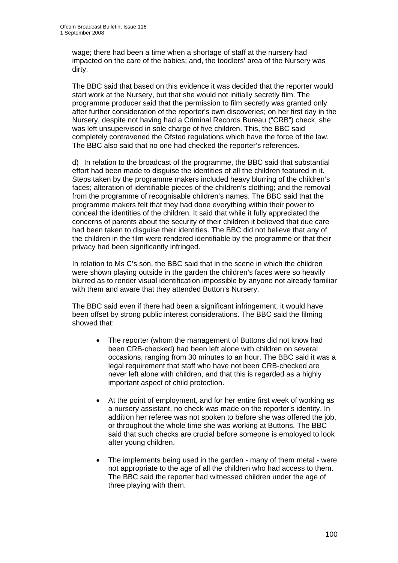wage; there had been a time when a shortage of staff at the nursery had impacted on the care of the babies; and, the toddlers' area of the Nursery was dirty.

The BBC said that based on this evidence it was decided that the reporter would start work at the Nursery, but that she would not initially secretly film. The programme producer said that the permission to film secretly was granted only after further consideration of the reporter's own discoveries; on her first day in the Nursery, despite not having had a Criminal Records Bureau ("CRB") check, she was left unsupervised in sole charge of five children. This, the BBC said completely contravened the Ofsted regulations which have the force of the law. The BBC also said that no one had checked the reporter's references.

d) In relation to the broadcast of the programme, the BBC said that substantial effort had been made to disguise the identities of all the children featured in it. Steps taken by the programme makers included heavy blurring of the children's faces; alteration of identifiable pieces of the children's clothing; and the removal from the programme of recognisable children's names. The BBC said that the programme makers felt that they had done everything within their power to conceal the identities of the children. It said that while it fully appreciated the concerns of parents about the security of their children it believed that due care had been taken to disguise their identities. The BBC did not believe that any of the children in the film were rendered identifiable by the programme or that their privacy had been significantly infringed.

In relation to Ms C's son, the BBC said that in the scene in which the children were shown playing outside in the garden the children's faces were so heavily blurred as to render visual identification impossible by anyone not already familiar with them and aware that they attended Button's Nursery.

The BBC said even if there had been a significant infringement, it would have been offset by strong public interest considerations. The BBC said the filming showed that:

- The reporter (whom the management of Buttons did not know had been CRB-checked) had been left alone with children on several occasions, ranging from 30 minutes to an hour. The BBC said it was a legal requirement that staff who have not been CRB-checked are never left alone with children, and that this is regarded as a highly important aspect of child protection.
- At the point of employment, and for her entire first week of working as a nursery assistant, no check was made on the reporter's identity. In addition her referee was not spoken to before she was offered the job, or throughout the whole time she was working at Buttons. The BBC said that such checks are crucial before someone is employed to look after young children.
- The implements being used in the garden many of them metal were not appropriate to the age of all the children who had access to them. The BBC said the reporter had witnessed children under the age of three playing with them.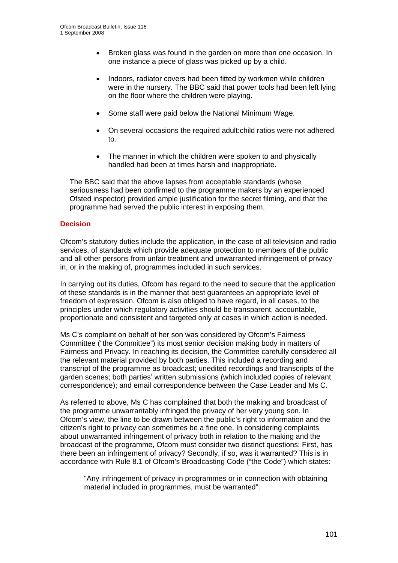- Broken glass was found in the garden on more than one occasion. In one instance a piece of glass was picked up by a child.
- Indoors, radiator covers had been fitted by workmen while children were in the nursery. The BBC said that power tools had been left lying on the floor where the children were playing.
- Some staff were paid below the National Minimum Wage.
- On several occasions the required adult:child ratios were not adhered to.
- The manner in which the children were spoken to and physically handled had been at times harsh and inappropriate.

The BBC said that the above lapses from acceptable standards (whose seriousness had been confirmed to the programme makers by an experienced Ofsted inspector) provided ample justification for the secret filming, and that the programme had served the public interest in exposing them.

#### **Decision**

Ofcom's statutory duties include the application, in the case of all television and radio services, of standards which provide adequate protection to members of the public and all other persons from unfair treatment and unwarranted infringement of privacy in, or in the making of, programmes included in such services.

In carrying out its duties, Ofcom has regard to the need to secure that the application of these standards is in the manner that best guarantees an appropriate level of freedom of expression. Ofcom is also obliged to have regard, in all cases, to the principles under which regulatory activities should be transparent, accountable, proportionate and consistent and targeted only at cases in which action is needed.

Ms C's complaint on behalf of her son was considered by Ofcom's Fairness Committee ("the Committee") its most senior decision making body in matters of Fairness and Privacy. In reaching its decision, the Committee carefully considered all the relevant material provided by both parties. This included a recording and transcript of the programme as broadcast; unedited recordings and transcripts of the garden scenes; both parties' written submissions (which included copies of relevant correspondence); and email correspondence between the Case Leader and Ms C.

As referred to above, Ms C has complained that both the making and broadcast of the programme unwarrantably infringed the privacy of her very young son. In Ofcom's view, the line to be drawn between the public's right to information and the citizen's right to privacy can sometimes be a fine one. In considering complaints about unwarranted infringement of privacy both in relation to the making and the broadcast of the programme, Ofcom must consider two distinct questions: First, has there been an infringement of privacy? Secondly, if so, was it warranted? This is in accordance with Rule 8.1 of Ofcom's Broadcasting Code ("the Code") which states:

"Any infringement of privacy in programmes or in connection with obtaining material included in programmes, must be warranted".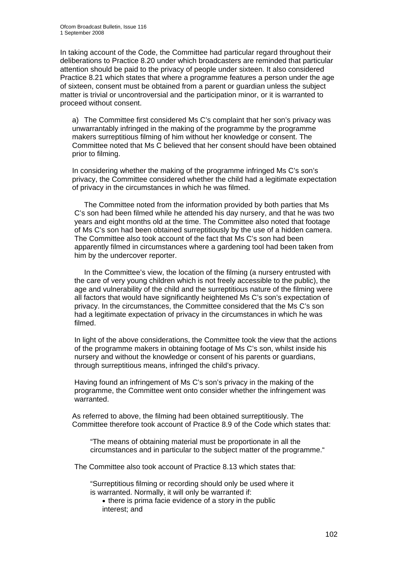In taking account of the Code, the Committee had particular regard throughout their deliberations to Practice 8.20 under which broadcasters are reminded that particular attention should be paid to the privacy of people under sixteen. It also considered Practice 8.21 which states that where a programme features a person under the age of sixteen, consent must be obtained from a parent or guardian unless the subject matter is trivial or uncontroversial and the participation minor, or it is warranted to proceed without consent.

a) The Committee first considered Ms C's complaint that her son's privacy was unwarrantably infringed in the making of the programme by the programme makers surreptitious filming of him without her knowledge or consent. The Committee noted that Ms C believed that her consent should have been obtained prior to filming.

In considering whether the making of the programme infringed Ms C's son's privacy, the Committee considered whether the child had a legitimate expectation of privacy in the circumstances in which he was filmed.

 The Committee noted from the information provided by both parties that Ms C's son had been filmed while he attended his day nursery, and that he was two years and eight months old at the time. The Committee also noted that footage of Ms C's son had been obtained surreptitiously by the use of a hidden camera. The Committee also took account of the fact that Ms C's son had been apparently filmed in circumstances where a gardening tool had been taken from him by the undercover reporter.

 In the Committee's view, the location of the filming (a nursery entrusted with the care of very young children which is not freely accessible to the public), the age and vulnerability of the child and the surreptitious nature of the filming were all factors that would have significantly heightened Ms C's son's expectation of privacy. In the circumstances, the Committee considered that the Ms C's son had a legitimate expectation of privacy in the circumstances in which he was filmed.

In light of the above considerations, the Committee took the view that the actions of the programme makers in obtaining footage of Ms C's son, whilst inside his nursery and without the knowledge or consent of his parents or guardians, through surreptitious means, infringed the child's privacy.

Having found an infringement of Ms C's son's privacy in the making of the programme, the Committee went onto consider whether the infringement was warranted.

As referred to above, the filming had been obtained surreptitiously. The Committee therefore took account of Practice 8.9 of the Code which states that:

"The means of obtaining material must be proportionate in all the circumstances and in particular to the subject matter of the programme."

The Committee also took account of Practice 8.13 which states that:

"Surreptitious filming or recording should only be used where it is warranted. Normally, it will only be warranted if:

• there is prima facie evidence of a story in the public interest; and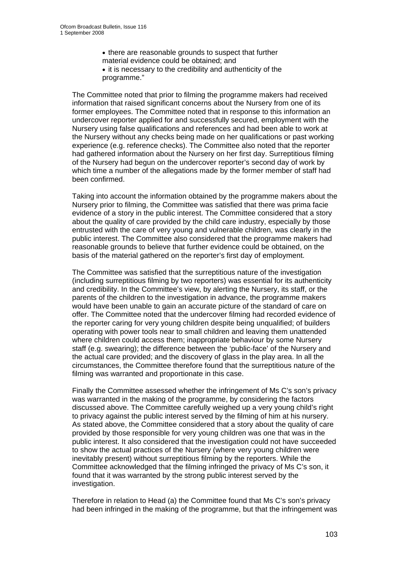- there are reasonable grounds to suspect that further material evidence could be obtained; and
- it is necessary to the credibility and authenticity of the programme."

The Committee noted that prior to filming the programme makers had received information that raised significant concerns about the Nursery from one of its former employees. The Committee noted that in response to this information an undercover reporter applied for and successfully secured, employment with the Nursery using false qualifications and references and had been able to work at the Nursery without any checks being made on her qualifications or past working experience (e.g. reference checks). The Committee also noted that the reporter had gathered information about the Nursery on her first day. Surreptitious filming of the Nursery had begun on the undercover reporter's second day of work by which time a number of the allegations made by the former member of staff had been confirmed.

Taking into account the information obtained by the programme makers about the Nursery prior to filming, the Committee was satisfied that there was prima facie evidence of a story in the public interest. The Committee considered that a story about the quality of care provided by the child care industry, especially by those entrusted with the care of very young and vulnerable children, was clearly in the public interest. The Committee also considered that the programme makers had reasonable grounds to believe that further evidence could be obtained, on the basis of the material gathered on the reporter's first day of employment.

The Committee was satisfied that the surreptitious nature of the investigation (including surreptitious filming by two reporters) was essential for its authenticity and credibility. In the Committee's view, by alerting the Nursery, its staff, or the parents of the children to the investigation in advance, the programme makers would have been unable to gain an accurate picture of the standard of care on offer. The Committee noted that the undercover filming had recorded evidence of the reporter caring for very young children despite being unqualified; of builders operating with power tools near to small children and leaving them unattended where children could access them; inappropriate behaviour by some Nursery staff (e.g. swearing); the difference between the 'public-face' of the Nursery and the actual care provided; and the discovery of glass in the play area. In all the circumstances, the Committee therefore found that the surreptitious nature of the filming was warranted and proportionate in this case.

Finally the Committee assessed whether the infringement of Ms C's son's privacy was warranted in the making of the programme, by considering the factors discussed above. The Committee carefully weighed up a very young child's right to privacy against the public interest served by the filming of him at his nursery. As stated above, the Committee considered that a story about the quality of care provided by those responsible for very young children was one that was in the public interest. It also considered that the investigation could not have succeeded to show the actual practices of the Nursery (where very young children were inevitably present) without surreptitious filming by the reporters. While the Committee acknowledged that the filming infringed the privacy of Ms C's son, it found that it was warranted by the strong public interest served by the investigation.

Therefore in relation to Head (a) the Committee found that Ms C's son's privacy had been infringed in the making of the programme, but that the infringement was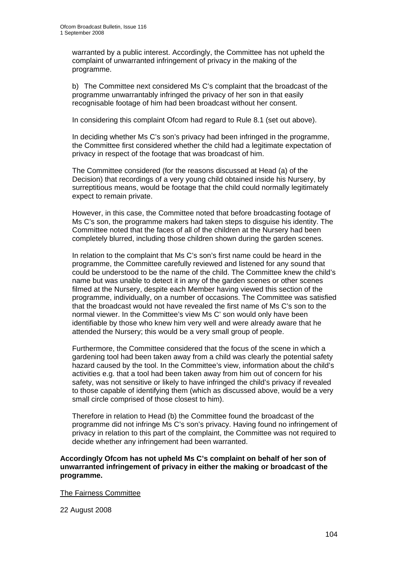warranted by a public interest. Accordingly, the Committee has not upheld the complaint of unwarranted infringement of privacy in the making of the programme.

b) The Committee next considered Ms C's complaint that the broadcast of the programme unwarrantably infringed the privacy of her son in that easily recognisable footage of him had been broadcast without her consent.

In considering this complaint Ofcom had regard to Rule 8.1 (set out above).

In deciding whether Ms C's son's privacy had been infringed in the programme, the Committee first considered whether the child had a legitimate expectation of privacy in respect of the footage that was broadcast of him.

The Committee considered (for the reasons discussed at Head (a) of the Decision) that recordings of a very young child obtained inside his Nursery, by surreptitious means, would be footage that the child could normally legitimately expect to remain private.

However, in this case, the Committee noted that before broadcasting footage of Ms C's son, the programme makers had taken steps to disguise his identity. The Committee noted that the faces of all of the children at the Nursery had been completely blurred, including those children shown during the garden scenes.

In relation to the complaint that Ms C's son's first name could be heard in the programme, the Committee carefully reviewed and listened for any sound that could be understood to be the name of the child. The Committee knew the child's name but was unable to detect it in any of the garden scenes or other scenes filmed at the Nursery, despite each Member having viewed this section of the programme, individually, on a number of occasions. The Committee was satisfied that the broadcast would not have revealed the first name of Ms C's son to the normal viewer. In the Committee's view Ms C' son would only have been identifiable by those who knew him very well and were already aware that he attended the Nursery; this would be a very small group of people.

Furthermore, the Committee considered that the focus of the scene in which a gardening tool had been taken away from a child was clearly the potential safety hazard caused by the tool. In the Committee's view, information about the child's activities e.g. that a tool had been taken away from him out of concern for his safety, was not sensitive or likely to have infringed the child's privacy if revealed to those capable of identifying them (which as discussed above, would be a very small circle comprised of those closest to him).

Therefore in relation to Head (b) the Committee found the broadcast of the programme did not infringe Ms C's son's privacy. Having found no infringement of privacy in relation to this part of the complaint, the Committee was not required to decide whether any infringement had been warranted.

**Accordingly Ofcom has not upheld Ms C's complaint on behalf of her son of unwarranted infringement of privacy in either the making or broadcast of the programme.** 

The Fairness Committee

22 August 2008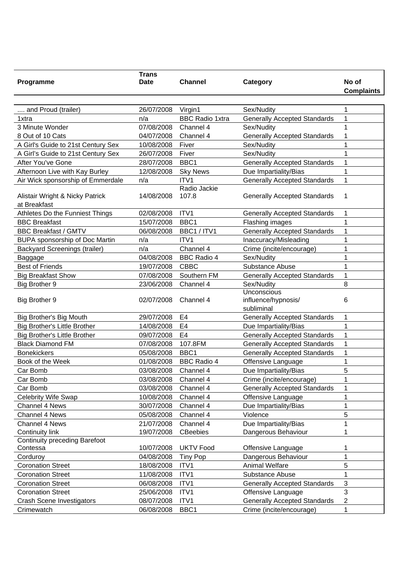|                                       | <b>Trans</b> |                        |                                     |                   |
|---------------------------------------|--------------|------------------------|-------------------------------------|-------------------|
| Programme                             | <b>Date</b>  | <b>Channel</b>         | Category                            | No of             |
|                                       |              |                        |                                     | <b>Complaints</b> |
|                                       |              |                        |                                     |                   |
| and Proud (trailer)                   | 26/07/2008   | Virgin1                | Sex/Nudity                          | 1                 |
| 1xtra                                 | n/a          | <b>BBC Radio 1xtra</b> | <b>Generally Accepted Standards</b> | 1                 |
| 3 Minute Wonder                       | 07/08/2008   | Channel 4              | Sex/Nudity                          | 1                 |
| 8 Out of 10 Cats                      | 04/07/2008   | Channel 4              | <b>Generally Accepted Standards</b> | 1                 |
| A Girl's Guide to 21st Century Sex    | 10/08/2008   | Fiver                  | Sex/Nudity                          | 1                 |
| A Girl's Guide to 21st Century Sex    | 26/07/2008   | Fiver                  | Sex/Nudity                          | 1                 |
| After You've Gone                     | 28/07/2008   | BBC1                   | <b>Generally Accepted Standards</b> | 1                 |
| Afternoon Live with Kay Burley        | 12/08/2008   | <b>Sky News</b>        | Due Impartiality/Bias               | 1                 |
| Air Wick sponsorship of Emmerdale     | n/a          | ITV1                   | <b>Generally Accepted Standards</b> | 1                 |
|                                       |              | Radio Jackie           |                                     |                   |
| Alistair Wright & Nicky Patrick       | 14/08/2008   | 107.8                  | <b>Generally Accepted Standards</b> | 1                 |
| at Breakfast                          |              |                        |                                     |                   |
| Athletes Do the Funniest Things       | 02/08/2008   | ITV1                   | <b>Generally Accepted Standards</b> | 1                 |
| <b>BBC Breakfast</b>                  | 15/07/2008   | BBC1                   | Flashing images                     | $\mathbf{1}$      |
| <b>BBC Breakfast / GMTV</b>           | 06/08/2008   | BBC1 / ITV1            | <b>Generally Accepted Standards</b> | 1                 |
| <b>BUPA sponsorship of Doc Martin</b> | n/a          | ITV1                   | Inaccuracy/Misleading               | 1                 |
| <b>Backyard Screenings (trailer)</b>  | n/a          | Channel 4              | Crime (incite/encourage)            | 1                 |
| Baggage                               | 04/08/2008   | <b>BBC Radio 4</b>     | Sex/Nudity                          | 1                 |
| <b>Best of Friends</b>                | 19/07/2008   | <b>CBBC</b>            | Substance Abuse                     | 1                 |
| <b>Big Breakfast Show</b>             | 07/08/2008   | Southern FM            | <b>Generally Accepted Standards</b> | 1                 |
|                                       |              | Channel 4              |                                     |                   |
| Big Brother 9                         | 23/06/2008   |                        | Sex/Nudity<br>Unconscious           | 8                 |
| <b>Big Brother 9</b>                  | 02/07/2008   | Channel 4              | influence/hypnosis/                 | 6                 |
|                                       |              |                        | subliminal                          |                   |
| Big Brother's Big Mouth               | 29/07/2008   | E4                     | <b>Generally Accepted Standards</b> | 1                 |
| <b>Big Brother's Little Brother</b>   | 14/08/2008   | E4                     | Due Impartiality/Bias               | 1                 |
| <b>Big Brother's Little Brother</b>   | 09/07/2008   | E <sub>4</sub>         | <b>Generally Accepted Standards</b> | 1                 |
| <b>Black Diamond FM</b>               | 07/08/2008   | 107.8FM                |                                     | 1                 |
|                                       |              |                        | <b>Generally Accepted Standards</b> |                   |
| <b>Bonekickers</b>                    | 05/08/2008   | BBC1                   | <b>Generally Accepted Standards</b> | 1                 |
| Book of the Week                      | 01/08/2008   | <b>BBC Radio 4</b>     | Offensive Language                  | 1                 |
| Car Bomb                              | 03/08/2008   | Channel 4              | Due Impartiality/Bias               | 5                 |
| Car Bomb                              | 03/08/2008   | Channel 4              | Crime (incite/encourage)            | 1                 |
| Car Bomb                              | 03/08/2008   | Channel 4              | <b>Generally Accepted Standards</b> | 1                 |
| <b>Celebrity Wife Swap</b>            | 10/08/2008   | Channel 4              | Offensive Language                  | 1                 |
| <b>Channel 4 News</b>                 | 30/07/2008   | Channel 4              | Due Impartiality/Bias               | 1                 |
| <b>Channel 4 News</b>                 | 05/08/2008   | Channel 4              | Violence                            | 5                 |
| <b>Channel 4 News</b>                 | 21/07/2008   | Channel 4              | Due Impartiality/Bias               | 1                 |
| Continuity link                       | 19/07/2008   | <b>CBeebies</b>        | Dangerous Behaviour                 |                   |
| <b>Continuity preceding Barefoot</b>  |              |                        |                                     |                   |
| Contessa                              | 10/07/2008   | <b>UKTV Food</b>       | Offensive Language                  | 1                 |
| Corduroy                              | 04/08/2008   | <b>Tiny Pop</b>        | Dangerous Behaviour                 | 1                 |
| <b>Coronation Street</b>              | 18/08/2008   | ITV1                   | <b>Animal Welfare</b>               | 5                 |
| <b>Coronation Street</b>              | 11/08/2008   | ITV1                   | Substance Abuse                     | 1                 |
| <b>Coronation Street</b>              | 06/08/2008   | ITV1                   | <b>Generally Accepted Standards</b> | 3                 |
| <b>Coronation Street</b>              | 25/06/2008   | ITV1                   | Offensive Language                  | 3                 |
| <b>Crash Scene Investigators</b>      | 08/07/2008   | ITV1                   | <b>Generally Accepted Standards</b> | 2                 |
| Crimewatch                            | 06/08/2008   | BBC1                   | Crime (incite/encourage)            | 1                 |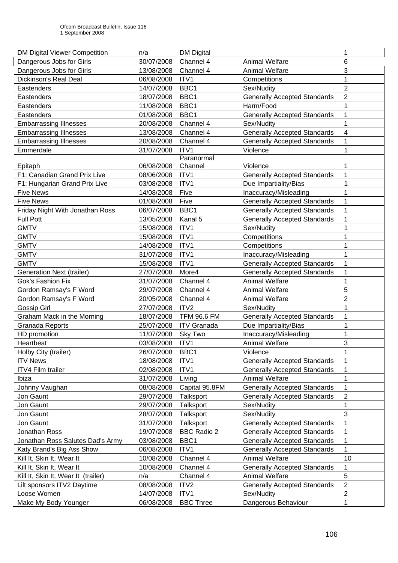| <b>DM Digital Viewer Competition</b> | n/a        | <b>DM Digital</b>  |                                     | 1              |
|--------------------------------------|------------|--------------------|-------------------------------------|----------------|
| Dangerous Jobs for Girls             | 30/07/2008 | Channel 4          | <b>Animal Welfare</b>               | 6              |
| Dangerous Jobs for Girls             | 13/08/2008 | Channel 4          | <b>Animal Welfare</b>               | 3              |
| <b>Dickinson's Real Deal</b>         | 06/08/2008 | ITV1               | Competitions                        | 1              |
| Eastenders                           | 14/07/2008 | BBC1               | Sex/Nudity                          | $\overline{c}$ |
| Eastenders                           | 18/07/2008 | BBC1               | <b>Generally Accepted Standards</b> | $\overline{2}$ |
| Eastenders                           | 11/08/2008 | BBC1               | Harm/Food                           | 1              |
| Eastenders                           | 01/08/2008 | BBC1               | <b>Generally Accepted Standards</b> | 1              |
| <b>Embarrassing Illnesses</b>        | 20/08/2008 | Channel 4          | Sex/Nudity                          | 1              |
| <b>Embarrassing Illnesses</b>        | 13/08/2008 | Channel 4          | <b>Generally Accepted Standards</b> | 4              |
| <b>Embarrassing Illnesses</b>        | 20/08/2008 | Channel 4          | <b>Generally Accepted Standards</b> | 1              |
| Emmerdale                            | 31/07/2008 | ITV1               | Violence                            | 1              |
|                                      |            | Paranormal         |                                     |                |
| Epitaph                              | 06/08/2008 | Channel            | Violence                            | 1              |
| F1: Canadian Grand Prix Live         | 08/06/2008 | ITV1               | <b>Generally Accepted Standards</b> | 1              |
| F1: Hungarian Grand Prix Live        | 03/08/2008 | ITV1               | Due Impartiality/Bias               |                |
| <b>Five News</b>                     | 14/08/2008 | Five               | Inaccuracy/Misleading               |                |
| <b>Five News</b>                     | 01/08/2008 | Five               | <b>Generally Accepted Standards</b> | 1              |
| Friday Night With Jonathan Ross      | 06/07/2008 | BBC1               | <b>Generally Accepted Standards</b> | 1              |
| <b>Full Pott</b>                     | 13/05/2008 | Kanal 5            | <b>Generally Accepted Standards</b> | 1              |
| <b>GMTV</b>                          | 15/08/2008 | ITV1               | Sex/Nudity                          | 1              |
| <b>GMTV</b>                          | 15/08/2008 | ITV1               | Competitions                        | 1              |
| <b>GMTV</b>                          | 14/08/2008 | ITV1               | Competitions                        | 1              |
| <b>GMTV</b>                          | 31/07/2008 | ITV1               | Inaccuracy/Misleading               | 1              |
| <b>GMTV</b>                          | 15/08/2008 | ITV1               | <b>Generally Accepted Standards</b> | 1              |
| <b>Generation Next (trailer)</b>     | 27/07/2008 | More4              | <b>Generally Accepted Standards</b> | 1              |
| <b>Gok's Fashion Fix</b>             | 31/07/2008 | Channel 4          | <b>Animal Welfare</b>               | 1              |
| Gordon Ramsay's F Word               | 29/07/2008 | Channel 4          | <b>Animal Welfare</b>               | 5              |
| Gordon Ramsay's F Word               | 20/05/2008 | Channel 4          | Animal Welfare                      | $\overline{2}$ |
| Gossip Girl                          | 27/07/2008 | ITV2               | Sex/Nudity                          | 1              |
| Graham Mack in the Morning           | 18/07/2008 | <b>TFM 96.6 FM</b> | <b>Generally Accepted Standards</b> |                |
| <b>Granada Reports</b>               | 25/07/2008 | <b>ITV Granada</b> | Due Impartiality/Bias               | 1              |
| HD promotion                         | 11/07/2008 | Sky Two            | Inaccuracy/Misleading               | 1              |
| Heartbeat                            | 03/08/2008 | ITV1               | <b>Animal Welfare</b>               | 3              |
| Holby City (trailer)                 | 26/07/2008 | BBC1               | Violence                            | 1              |
| <b>ITV News</b>                      | 18/08/2008 | ITV1               | <b>Generally Accepted Standards</b> |                |
| ITV4 Film trailer                    | 02/08/2008 | ITV1               | <b>Generally Accepted Standards</b> | 1              |
| Ibiza                                | 31/07/2008 | Living             | Animal Welfare                      | 1              |
| Johnny Vaughan                       | 08/08/2008 | Capital 95.8FM     | <b>Generally Accepted Standards</b> | 1              |
| Jon Gaunt                            | 29/07/2008 | Talksport          | <b>Generally Accepted Standards</b> | $\overline{2}$ |
| Jon Gaunt                            | 29/07/2008 | <b>Talksport</b>   | Sex/Nudity                          | 1              |
| Jon Gaunt                            | 28/07/2008 | Talksport          | Sex/Nudity                          | 3              |
| Jon Gaunt                            | 31/07/2008 | Talksport          | <b>Generally Accepted Standards</b> | 1              |
| Jonathan Ross                        | 19/07/2008 | <b>BBC Radio 2</b> | <b>Generally Accepted Standards</b> | 1              |
| Jonathan Ross Salutes Dad's Army     | 03/08/2008 | BBC1               | <b>Generally Accepted Standards</b> | $\mathbf 1$    |
| Katy Brand's Big Ass Show            | 06/08/2008 | ITV1               | <b>Generally Accepted Standards</b> | 1.             |
| Kill It, Skin It, Wear It            | 10/08/2008 | Channel 4          | <b>Animal Welfare</b>               | 10             |
| Kill It, Skin It, Wear It            | 10/08/2008 | Channel 4          | <b>Generally Accepted Standards</b> | 1              |
| Kill It, Skin It, Wear It (trailer)  | n/a        | Channel 4          | <b>Animal Welfare</b>               | 5              |
| Lilt sponsors ITV2 Daytime           | 08/08/2008 | ITV <sub>2</sub>   | <b>Generally Accepted Standards</b> | $\overline{2}$ |
| Loose Women                          | 14/07/2008 | ITV1               | Sex/Nudity                          | $\overline{2}$ |
| Make My Body Younger                 | 06/08/2008 | <b>BBC Three</b>   | Dangerous Behaviour                 | 1              |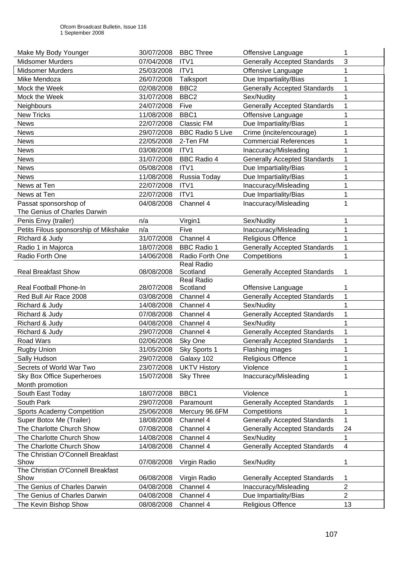| Make My Body Younger                  | 30/07/2008 | <b>BBC Three</b>        | Offensive Language                  | 1                   |
|---------------------------------------|------------|-------------------------|-------------------------------------|---------------------|
| <b>Midsomer Murders</b>               | 07/04/2008 | ITV1                    | <b>Generally Accepted Standards</b> | 3                   |
| <b>Midsomer Murders</b>               | 25/03/2008 | ITV <sub>1</sub>        | Offensive Language                  | 1                   |
| Mike Mendoza                          | 26/07/2008 | Talksport               | Due Impartiality/Bias               | 1                   |
| Mock the Week                         | 02/08/2008 | BBC <sub>2</sub>        | <b>Generally Accepted Standards</b> | 1                   |
| Mock the Week                         | 31/07/2008 | BBC <sub>2</sub>        | Sex/Nudity                          | 1                   |
| <b>Neighbours</b>                     | 24/07/2008 | Five                    | <b>Generally Accepted Standards</b> | 1                   |
| <b>New Tricks</b>                     | 11/08/2008 | BBC1                    | Offensive Language                  | 1                   |
| <b>News</b>                           | 22/07/2008 | <b>Classic FM</b>       | Due Impartiality/Bias               | 1                   |
| <b>News</b>                           | 29/07/2008 | <b>BBC Radio 5 Live</b> | Crime (incite/encourage)            | 1                   |
| <b>News</b>                           | 22/05/2008 | 2-Ten FM                | <b>Commercial References</b>        | 1                   |
| <b>News</b>                           | 03/08/2008 | ITV1                    | Inaccuracy/Misleading               | 1                   |
| <b>News</b>                           | 31/07/2008 | <b>BBC Radio 4</b>      | <b>Generally Accepted Standards</b> | 1                   |
| <b>News</b>                           | 05/08/2008 | ITV1                    | Due Impartiality/Bias               | 1                   |
| News                                  | 11/08/2008 | Russia Today            | Due Impartiality/Bias               | 1                   |
| News at Ten                           | 22/07/2008 | ITV1                    | Inaccuracy/Misleading               | 1                   |
| News at Ten                           | 22/07/2008 | ITV <sub>1</sub>        | Due Impartiality/Bias               | 1                   |
| Passat sponsorshop of                 | 04/08/2008 | Channel 4               | Inaccuracy/Misleading               | 1                   |
| The Genius of Charles Darwin          |            |                         |                                     |                     |
| Penis Envy (trailer)                  | n/a        | Virgin1                 | Sex/Nudity                          | 1                   |
| Petits Filous sponsorship of Mikshake | n/a        | Five                    | Inaccuracy/Misleading               | 1                   |
| Richard & Judy                        | 31/07/2008 | Channel 4               | <b>Religious Offence</b>            | 1                   |
| Radio 1 in Majorca                    | 18/07/2008 | <b>BBC Radio 1</b>      | <b>Generally Accepted Standards</b> | 1                   |
| Radio Forth One                       | 14/06/2008 | Radio Forth One         | Competitions                        | 1                   |
|                                       |            | Real Radio              |                                     |                     |
| <b>Real Breakfast Show</b>            | 08/08/2008 | Scotland                | <b>Generally Accepted Standards</b> | 1                   |
|                                       |            | <b>Real Radio</b>       |                                     |                     |
| Real Football Phone-In                | 28/07/2008 | Scotland                | Offensive Language                  | 1                   |
| Red Bull Air Race 2008                | 03/08/2008 | Channel 4               | <b>Generally Accepted Standards</b> | 1                   |
| Richard & Judy                        | 14/08/2008 | Channel 4               | Sex/Nudity                          | 1                   |
| Richard & Judy                        | 07/08/2008 | Channel 4               | <b>Generally Accepted Standards</b> | 1                   |
| Richard & Judy                        | 04/08/2008 | Channel 4               | Sex/Nudity                          | 1                   |
| Richard & Judy                        | 29/07/2008 | Channel 4               | <b>Generally Accepted Standards</b> | 1                   |
| Road Wars                             | 02/06/2008 | Sky One                 | <b>Generally Accepted Standards</b> | 1                   |
| Rugby Union                           | 31/05/2008 | Sky Sports 1            | Flashing images                     | 1                   |
| Sally Hudson                          | 29/07/2008 | Galaxy 102              | Religious Offence                   | 1                   |
| Secrets of World War Two              | 23/07/2008 | <b>UKTV History</b>     | Violence                            | 1                   |
| <b>Sky Box Office Superheroes</b>     | 15/07/2008 | <b>Sky Three</b>        | Inaccuracy/Misleading               | 1                   |
| Month promotion                       |            |                         |                                     |                     |
| South East Today                      | 18/07/2008 | BBC1                    | Violence                            | 1                   |
| South Park                            | 29/07/2008 | Paramount               | <b>Generally Accepted Standards</b> | 1                   |
| <b>Sports Academy Competition</b>     | 25/06/2008 | Mercury 96.6FM          | Competitions                        | 1                   |
| Super Botox Me (Trailer)              | 18/08/2008 | Channel 4               | <b>Generally Accepted Standards</b> | 1                   |
| The Charlotte Church Show             | 07/08/2008 | Channel 4               | <b>Generally Accepted Standards</b> | 24                  |
| The Charlotte Church Show             | 14/08/2008 | Channel 4               | Sex/Nudity                          | 1                   |
| The Charlotte Church Show             | 14/08/2008 | Channel 4               | <b>Generally Accepted Standards</b> | 4                   |
| The Christian O'Connell Breakfast     |            |                         |                                     |                     |
| Show                                  | 07/08/2008 | Virgin Radio            | Sex/Nudity                          | 1                   |
| The Christian O'Connell Breakfast     |            |                         |                                     |                     |
| Show                                  | 06/08/2008 | Virgin Radio            | <b>Generally Accepted Standards</b> | 1<br>$\overline{2}$ |
| The Genius of Charles Darwin          | 04/08/2008 | Channel 4               | Inaccuracy/Misleading               |                     |
| The Genius of Charles Darwin          | 04/08/2008 | Channel 4               | Due Impartiality/Bias               | $\overline{2}$      |
| The Kevin Bishop Show                 | 08/08/2008 | Channel 4               | Religious Offence                   | 13                  |